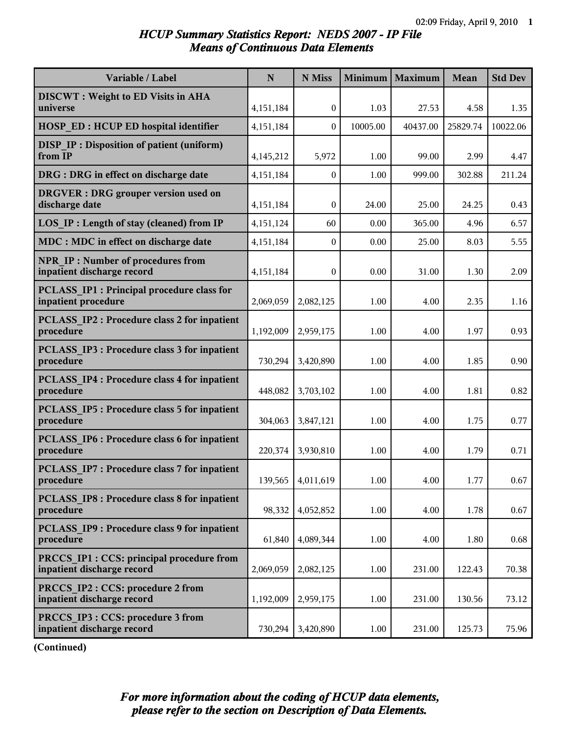# *HCUP Summary Statistics Report: NEDS 2007 - IP File Means of Continuous Data Elements*

| Variable / Label                                                         | $\mathbf N$ | N Miss            | <b>Minimum</b> | Maximum  | <b>Mean</b> | <b>Std Dev</b> |
|--------------------------------------------------------------------------|-------------|-------------------|----------------|----------|-------------|----------------|
| <b>DISCWT</b> : Weight to ED Visits in AHA<br>universe                   | 4,151,184   | $\theta$          | 1.03           | 27.53    | 4.58        | 1.35           |
| <b>HOSP ED: HCUP ED hospital identifier</b>                              | 4,151,184   | $\Omega$          | 10005.00       | 40437.00 | 25829.74    | 10022.06       |
| <b>DISP IP: Disposition of patient (uniform)</b>                         |             |                   |                |          |             |                |
| from IP                                                                  | 4,145,212   | 5,972             | 1.00           | 99.00    | 2.99        | 4.47           |
| DRG : DRG in effect on discharge date                                    | 4,151,184   | $\overline{0}$    | 1.00           | 999.00   | 302.88      | 211.24         |
| <b>DRGVER</b> : DRG grouper version used on<br>discharge date            | 4,151,184   | $\boldsymbol{0}$  | 24.00          | 25.00    | 24.25       | 0.43           |
| LOS IP : Length of stay (cleaned) from IP                                | 4,151,124   | 60                | 0.00           | 365.00   | 4.96        | 6.57           |
| MDC : MDC in effect on discharge date                                    | 4,151,184   | $\mathbf{0}$      | 0.00           | 25.00    | 8.03        | 5.55           |
| <b>NPR IP: Number of procedures from</b><br>inpatient discharge record   | 4,151,184   | $\boldsymbol{0}$  | 0.00           | 31.00    | 1.30        | 2.09           |
| <b>PCLASS IP1 : Principal procedure class for</b><br>inpatient procedure | 2,069,059   | 2,082,125         | 1.00           | 4.00     | 2.35        | 1.16           |
| PCLASS IP2 : Procedure class 2 for inpatient<br>procedure                | 1,192,009   | 2,959,175         | 1.00           | 4.00     | 1.97        | 0.93           |
| PCLASS IP3 : Procedure class 3 for inpatient<br>procedure                | 730,294     | 3,420,890         | 1.00           | 4.00     | 1.85        | 0.90           |
| <b>PCLASS IP4 : Procedure class 4 for inpatient</b><br>procedure         | 448,082     | 3,703,102         | 1.00           | 4.00     | 1.81        | 0.82           |
| <b>PCLASS IP5: Procedure class 5 for inpatient</b><br>procedure          | 304,063     | 3,847,121         | 1.00           | 4.00     | 1.75        | 0.77           |
| <b>PCLASS IP6 : Procedure class 6 for inpatient</b><br>procedure         | 220,374     | 3,930,810         | 1.00           | 4.00     | 1.79        | 0.71           |
| PCLASS IP7 : Procedure class 7 for inpatient<br>procedure                |             | 139,565 4,011,619 | 1.00           | 4.00     | 1.77        | 0.67           |
| PCLASS IP8 : Procedure class 8 for inpatient<br>procedure                | 98,332      | 4,052,852         | 1.00           | 4.00     | 1.78        | 0.67           |
| PCLASS IP9 : Procedure class 9 for inpatient<br>procedure                | 61,840      | 4,089,344         | 1.00           | 4.00     | 1.80        | 0.68           |
| PRCCS IP1 : CCS: principal procedure from<br>inpatient discharge record  | 2,069,059   | 2,082,125         | 1.00           | 231.00   | 122.43      | 70.38          |
| PRCCS IP2 : CCS: procedure 2 from<br>inpatient discharge record          | 1,192,009   | 2,959,175         | 1.00           | 231.00   | 130.56      | 73.12          |
| PRCCS IP3 : CCS: procedure 3 from<br>inpatient discharge record          | 730,294     | 3,420,890         | 1.00           | 231.00   | 125.73      | 75.96          |

**(Continued)**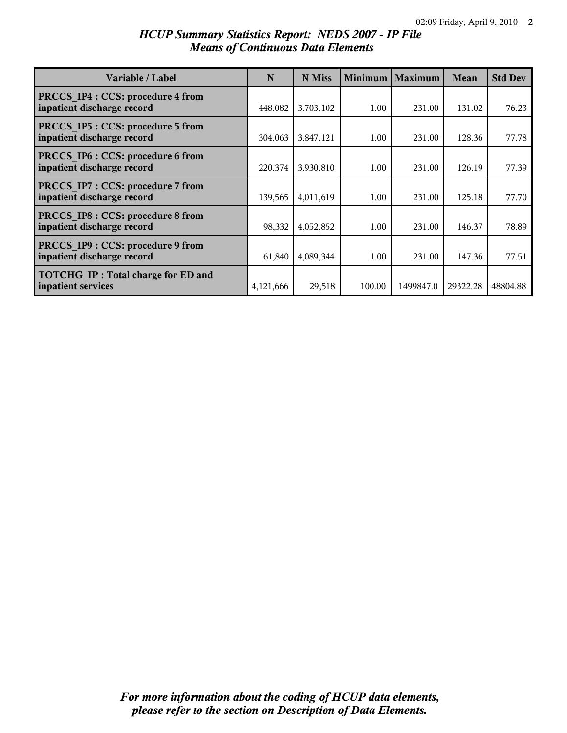# *HCUP Summary Statistics Report: NEDS 2007 - IP File Means of Continuous Data Elements*

| Variable / Label                                                      | N         | N Miss    | <b>Minimum</b> | <b>Maximum</b> | Mean     | <b>Std Dev</b> |
|-----------------------------------------------------------------------|-----------|-----------|----------------|----------------|----------|----------------|
| PRCCS IP4 : CCS: procedure 4 from<br>inpatient discharge record       | 448,082   | 3,703,102 | 1.00           | 231.00         | 131.02   | 76.23          |
| <b>PRCCS IP5: CCS: procedure 5 from</b><br>inpatient discharge record | 304,063   | 3,847,121 | 1.00           | 231.00         | 128.36   | 77.78          |
| PRCCS IP6 : CCS: procedure 6 from<br>inpatient discharge record       | 220,374   | 3,930,810 | 1.00           | 231.00         | 126.19   | 77.39          |
| PRCCS IP7 : CCS: procedure 7 from<br>inpatient discharge record       | 139,565   | 4,011,619 | 1.00           | 231.00         | 125.18   | 77.70          |
| PRCCS IP8 : CCS: procedure 8 from<br>inpatient discharge record       | 98,332    | 4,052,852 | 1.00           | 231.00         | 146.37   | 78.89          |
| PRCCS IP9 : CCS: procedure 9 from<br>inpatient discharge record       | 61,840    | 4,089,344 | 1.00           | 231.00         | 147.36   | 77.51          |
| <b>TOTCHG IP: Total charge for ED and</b><br>inpatient services       | 4,121,666 | 29,518    | 100.00         | 1499847.0      | 29322.28 | 48804.88       |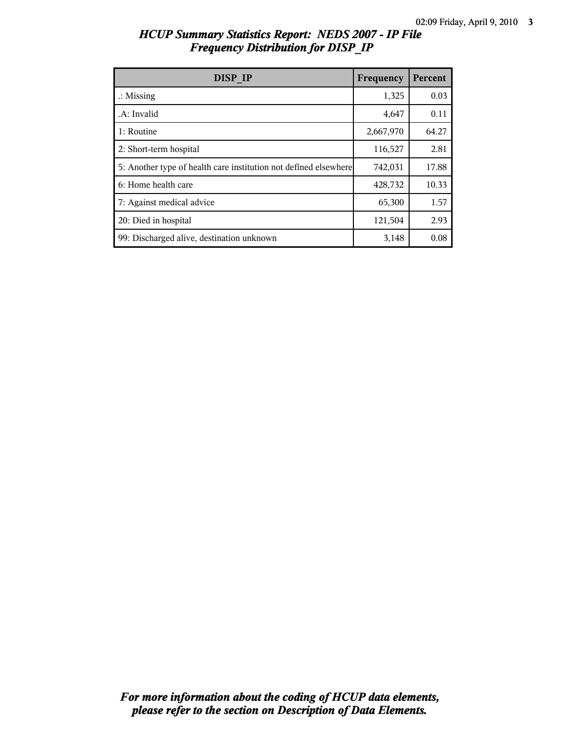| HCUP Summary Statistics Report: NEDS 2007 - IP File |  |
|-----------------------------------------------------|--|
| <b>Frequency Distribution for DISP IP</b>           |  |

| DISP <sub>IP</sub>                                               | Frequency | Percent |
|------------------------------------------------------------------|-----------|---------|
| $\therefore$ Missing                                             | 1,325     | 0.03    |
| .A: Invalid                                                      | 4,647     | 0.11    |
| 1: Routine                                                       | 2,667,970 | 64.27   |
| 2: Short-term hospital                                           | 116,527   | 2.81    |
| 5: Another type of health care institution not defined elsewhere | 742,031   | 17.88   |
| 6: Home health care                                              | 428,732   | 10.33   |
| 7: Against medical advice                                        | 65,300    | 1.57    |
| 20: Died in hospital                                             | 121,504   | 2.93    |
| 99: Discharged alive, destination unknown                        | 3,148     | 0.08    |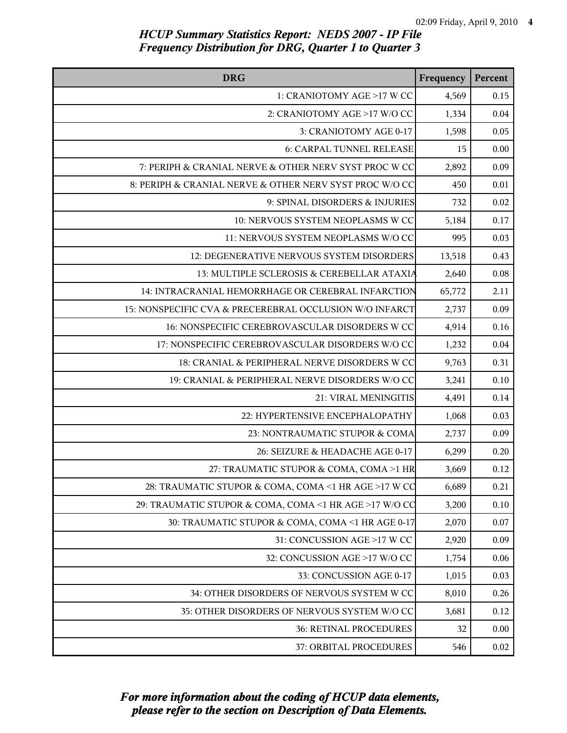| <b>DRG</b>                                              | Frequency | Percent  |
|---------------------------------------------------------|-----------|----------|
| 1: CRANIOTOMY AGE >17 W CC                              | 4,569     | 0.15     |
| 2: CRANIOTOMY AGE >17 W/O CC                            | 1,334     | 0.04     |
| 3: CRANIOTOMY AGE 0-17                                  | 1,598     | 0.05     |
| 6: CARPAL TUNNEL RELEASE                                | 15        | 0.00     |
| 7: PERIPH & CRANIAL NERVE & OTHER NERV SYST PROC W CC   | 2,892     | 0.09     |
| 8: PERIPH & CRANIAL NERVE & OTHER NERV SYST PROC W/O CC | 450       | 0.01     |
| 9: SPINAL DISORDERS & INJURIES                          | 732       | 0.02     |
| 10: NERVOUS SYSTEM NEOPLASMS W CC                       | 5,184     | 0.17     |
| 11: NERVOUS SYSTEM NEOPLASMS W/O CC                     | 995       | 0.03     |
| 12: DEGENERATIVE NERVOUS SYSTEM DISORDERS               | 13,518    | 0.43     |
| 13: MULTIPLE SCLEROSIS & CEREBELLAR ATAXIA              | 2,640     | 0.08     |
| 14: INTRACRANIAL HEMORRHAGE OR CEREBRAL INFARCTION      | 65,772    | 2.11     |
| 15: NONSPECIFIC CVA & PRECEREBRAL OCCLUSION W/O INFARCT | 2,737     | 0.09     |
| 16: NONSPECIFIC CEREBROVASCULAR DISORDERS W CC          | 4,914     | 0.16     |
| 17: NONSPECIFIC CEREBROVASCULAR DISORDERS W/O CC        | 1,232     | 0.04     |
| 18: CRANIAL & PERIPHERAL NERVE DISORDERS W CC           | 9,763     | 0.31     |
| 19: CRANIAL & PERIPHERAL NERVE DISORDERS W/O CC         | 3,241     | 0.10     |
| 21: VIRAL MENINGITIS                                    | 4,491     | 0.14     |
| 22: HYPERTENSIVE ENCEPHALOPATHY                         | 1,068     | 0.03     |
| 23: NONTRAUMATIC STUPOR & COMA                          | 2,737     | 0.09     |
| 26: SEIZURE & HEADACHE AGE 0-17                         | 6,299     | 0.20     |
| 27: TRAUMATIC STUPOR & COMA, COMA >1 HR                 | 3,669     | 0.12     |
| 28: TRAUMATIC STUPOR & COMA, COMA <1 HR AGE >17 W CO    | 6,689     | 0.21     |
| 29: TRAUMATIC STUPOR & COMA, COMA <1 HR AGE >17 W/O CO  | 3,200     | 0.10     |
| 30: TRAUMATIC STUPOR & COMA, COMA <1 HR AGE 0-17        | 2,070     | 0.07     |
| 31: CONCUSSION AGE >17 W CC                             | 2,920     | 0.09     |
| 32: CONCUSSION AGE >17 W/O CC                           | 1,754     | 0.06     |
| 33: CONCUSSION AGE 0-17                                 | 1,015     | 0.03     |
| 34: OTHER DISORDERS OF NERVOUS SYSTEM W CC              | 8,010     | 0.26     |
| 35: OTHER DISORDERS OF NERVOUS SYSTEM W/O CC            | 3,681     | 0.12     |
| 36: RETINAL PROCEDURES                                  | 32        | 0.00     |
| 37: ORBITAL PROCEDURES                                  | 546       | $0.02\,$ |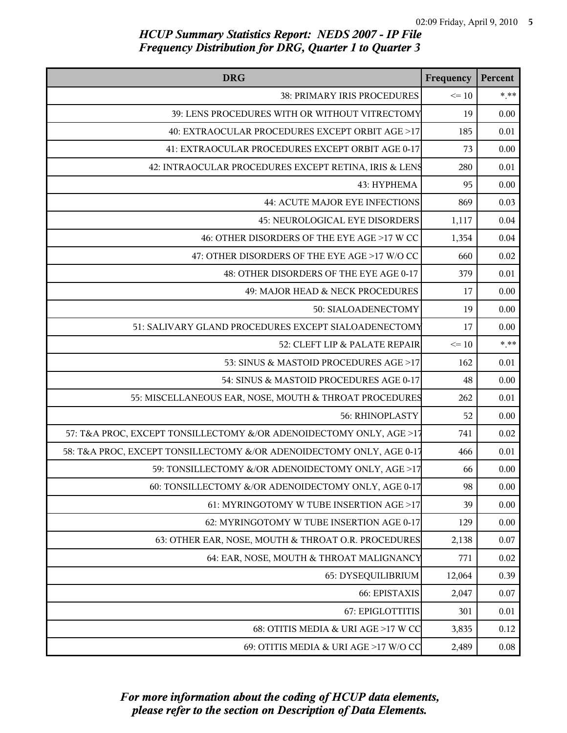| <b>DRG</b>                                                           | Frequency | Percent |
|----------------------------------------------------------------------|-----------|---------|
| 38: PRIMARY IRIS PROCEDURES                                          | $\leq 10$ | $***$   |
| 39: LENS PROCEDURES WITH OR WITHOUT VITRECTOMY                       | 19        | 0.00    |
| 40: EXTRAOCULAR PROCEDURES EXCEPT ORBIT AGE >17                      | 185       | 0.01    |
| 41: EXTRAOCULAR PROCEDURES EXCEPT ORBIT AGE 0-17                     | 73        | 0.00    |
| 42: INTRAOCULAR PROCEDURES EXCEPT RETINA, IRIS & LENS                | 280       | 0.01    |
| 43: HYPHEMA                                                          | 95        | 0.00    |
| 44: ACUTE MAJOR EYE INFECTIONS                                       | 869       | 0.03    |
| <b>45: NEUROLOGICAL EYE DISORDERS</b>                                | 1,117     | 0.04    |
| 46: OTHER DISORDERS OF THE EYE AGE >17 W CC                          | 1,354     | 0.04    |
| 47: OTHER DISORDERS OF THE EYE AGE >17 W/O CC                        | 660       | 0.02    |
| 48: OTHER DISORDERS OF THE EYE AGE 0-17                              | 379       | 0.01    |
| 49: MAJOR HEAD & NECK PROCEDURES                                     | 17        | 0.00    |
| 50: SIALOADENECTOMY                                                  | 19        | 0.00    |
| 51: SALIVARY GLAND PROCEDURES EXCEPT SIALOADENECTOMY                 | 17        | 0.00    |
| 52: CLEFT LIP & PALATE REPAIR                                        | $\leq 10$ | $* * *$ |
| 53: SINUS & MASTOID PROCEDURES AGE >17                               | 162       | 0.01    |
| 54: SINUS & MASTOID PROCEDURES AGE 0-17                              | 48        | 0.00    |
| 55: MISCELLANEOUS EAR, NOSE, MOUTH & THROAT PROCEDURES               | 262       | 0.01    |
| 56: RHINOPLASTY                                                      | 52        | 0.00    |
| 57: T&A PROC, EXCEPT TONSILLECTOMY &/OR ADENOIDECTOMY ONLY, AGE >17  | 741       | 0.02    |
| 58: T&A PROC, EXCEPT TONSILLECTOMY &/OR ADENOIDECTOMY ONLY, AGE 0-17 | 466       | 0.01    |
| 59: TONSILLECTOMY &/OR ADENOIDECTOMY ONLY, AGE >17                   | 66        | 0.00    |
| 60: TONSILLECTOMY &/OR ADENOIDECTOMY ONLY, AGE 0-17                  | 98        | 0.00    |
| 61: MYRINGOTOMY W TUBE INSERTION AGE >17                             | 39        | 0.00    |
| 62: MYRINGOTOMY W TUBE INSERTION AGE 0-17                            | 129       | 0.00    |
| 63: OTHER EAR, NOSE, MOUTH & THROAT O.R. PROCEDURES                  | 2,138     | 0.07    |
| 64: EAR, NOSE, MOUTH & THROAT MALIGNANCY                             | 771       | 0.02    |
| 65: DYSEQUILIBRIUM                                                   | 12,064    | 0.39    |
| 66: EPISTAXIS                                                        | 2,047     | 0.07    |
| 67: EPIGLOTTITIS                                                     | 301       | 0.01    |
| 68: OTITIS MEDIA & URI AGE >17 W CC                                  | 3,835     | 0.12    |
| 69: OTITIS MEDIA & URI AGE >17 W/O CC                                | 2,489     | 0.08    |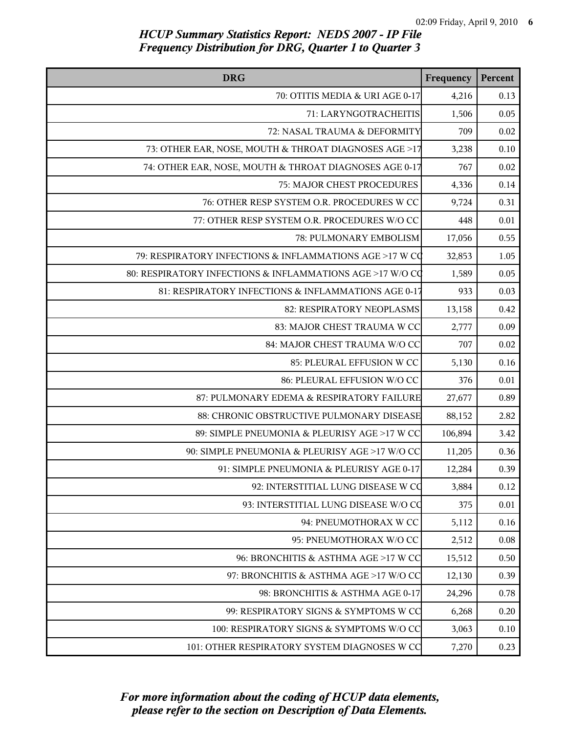| <b>DRG</b>                                                | Frequency | Percent |
|-----------------------------------------------------------|-----------|---------|
| 70: OTITIS MEDIA & URI AGE 0-17                           | 4,216     | 0.13    |
| 71: LARYNGOTRACHEITIS                                     | 1,506     | 0.05    |
| 72: NASAL TRAUMA & DEFORMITY                              | 709       | 0.02    |
| 73: OTHER EAR, NOSE, MOUTH & THROAT DIAGNOSES AGE >17     | 3,238     | 0.10    |
| 74: OTHER EAR, NOSE, MOUTH & THROAT DIAGNOSES AGE 0-17    | 767       | 0.02    |
| 75: MAJOR CHEST PROCEDURES                                | 4,336     | 0.14    |
| 76: OTHER RESP SYSTEM O.R. PROCEDURES W CC                | 9,724     | 0.31    |
| 77: OTHER RESP SYSTEM O.R. PROCEDURES W/O CC              | 448       | 0.01    |
| 78: PULMONARY EMBOLISM                                    | 17,056    | 0.55    |
| 79: RESPIRATORY INFECTIONS & INFLAMMATIONS AGE >17 W CO   | 32,853    | 1.05    |
| 80: RESPIRATORY INFECTIONS & INFLAMMATIONS AGE >17 W/O CO | 1,589     | 0.05    |
| 81: RESPIRATORY INFECTIONS & INFLAMMATIONS AGE 0-17       | 933       | 0.03    |
| 82: RESPIRATORY NEOPLASMS                                 | 13,158    | 0.42    |
| 83: MAJOR CHEST TRAUMA W CC                               | 2,777     | 0.09    |
| 84: MAJOR CHEST TRAUMA W/O CC                             | 707       | 0.02    |
| 85: PLEURAL EFFUSION W CC                                 | 5,130     | 0.16    |
| 86: PLEURAL EFFUSION W/O CC                               | 376       | 0.01    |
| 87: PULMONARY EDEMA & RESPIRATORY FAILURE                 | 27,677    | 0.89    |
| 88: CHRONIC OBSTRUCTIVE PULMONARY DISEASE                 | 88,152    | 2.82    |
| 89: SIMPLE PNEUMONIA & PLEURISY AGE >17 W CC              | 106,894   | 3.42    |
| 90: SIMPLE PNEUMONIA & PLEURISY AGE >17 W/O CC            | 11,205    | 0.36    |
| 91: SIMPLE PNEUMONIA & PLEURISY AGE 0-17                  | 12,284    | 0.39    |
| 92: INTERSTITIAL LUNG DISEASE W CO                        | 3,884     | 0.12    |
| 93: INTERSTITIAL LUNG DISEASE W/O CO                      | 375       | 0.01    |
| 94: PNEUMOTHORAX W CC                                     | 5,112     | 0.16    |
| 95: PNEUMOTHORAX W/O CC                                   | 2,512     | 0.08    |
| 96: BRONCHITIS & ASTHMA AGE >17 W CC                      | 15,512    | 0.50    |
| 97: BRONCHITIS & ASTHMA AGE >17 W/O CC                    | 12,130    | 0.39    |
| 98: BRONCHITIS & ASTHMA AGE 0-17                          | 24,296    | 0.78    |
| 99: RESPIRATORY SIGNS & SYMPTOMS W CC                     | 6,268     | 0.20    |
| 100: RESPIRATORY SIGNS & SYMPTOMS W/O CC                  | 3,063     | 0.10    |
| 101: OTHER RESPIRATORY SYSTEM DIAGNOSES W CC              | 7,270     | 0.23    |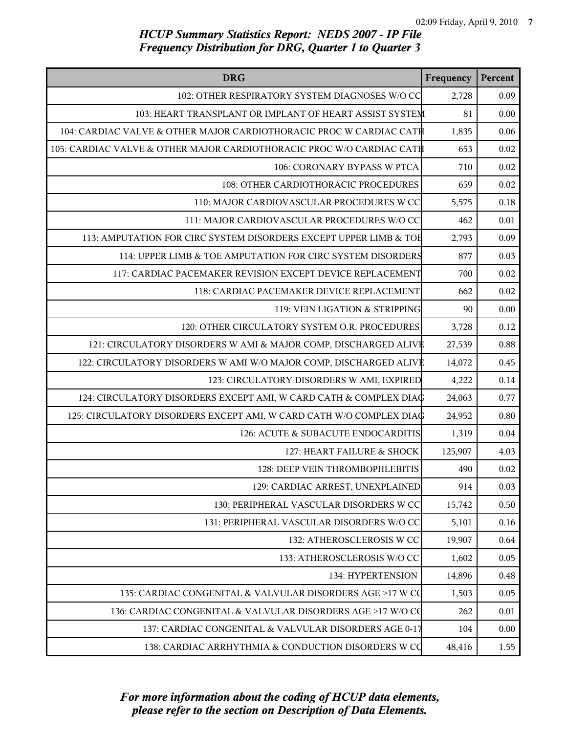| <b>DRG</b>                                                            | Frequency | Percent |
|-----------------------------------------------------------------------|-----------|---------|
| 102: OTHER RESPIRATORY SYSTEM DIAGNOSES W/O CC                        | 2,728     | 0.09    |
| 103: HEART TRANSPLANT OR IMPLANT OF HEART ASSIST SYSTEM               | 81        | 0.00    |
| 104: CARDIAC VALVE & OTHER MAJOR CARDIOTHORACIC PROC W CARDIAC CAT币   | 1,835     | 0.06    |
| 105: CARDIAC VALVE & OTHER MAJOR CARDIOTHORACIC PROC W/O CARDIAC CATH | 653       | 0.02    |
| 106: CORONARY BYPASS W PTCA                                           | 710       | 0.02    |
| 108: OTHER CARDIOTHORACIC PROCEDURES                                  | 659       | 0.02    |
| 110: MAJOR CARDIOVASCULAR PROCEDURES W CC                             | 5,575     | 0.18    |
| 111: MAJOR CARDIOVASCULAR PROCEDURES W/O CC                           | 462       | 0.01    |
| 113: AMPUTATION FOR CIRC SYSTEM DISORDERS EXCEPT UPPER LIMB & TOE     | 2,793     | 0.09    |
| 114: UPPER LIMB & TOE AMPUTATION FOR CIRC SYSTEM DISORDERS            | 877       | 0.03    |
| 117: CARDIAC PACEMAKER REVISION EXCEPT DEVICE REPLACEMENT             | 700       | 0.02    |
| 118: CARDIAC PACEMAKER DEVICE REPLACEMENT                             | 662       | 0.02    |
| 119: VEIN LIGATION & STRIPPING                                        | 90        | 0.00    |
| 120: OTHER CIRCULATORY SYSTEM O.R. PROCEDURES                         | 3,728     | 0.12    |
| 121: CIRCULATORY DISORDERS W AMI & MAJOR COMP, DISCHARGED ALIVE       | 27,539    | 0.88    |
| 122: CIRCULATORY DISORDERS W AMI W/O MAJOR COMP, DISCHARGED ALIVE     | 14,072    | 0.45    |
| 123: CIRCULATORY DISORDERS W AMI, EXPIRED                             | 4,222     | 0.14    |
| 124: CIRCULATORY DISORDERS EXCEPT AMI, W CARD CATH & COMPLEX DIAG     | 24,063    | 0.77    |
| 125: CIRCULATORY DISORDERS EXCEPT AMI, W CARD CATH W/O COMPLEX DIAG   | 24,952    | 0.80    |
| 126: ACUTE & SUBACUTE ENDOCARDITIS                                    | 1,319     | 0.04    |
| 127: HEART FAILURE & SHOCK                                            | 125,907   | 4.03    |
| 128: DEEP VEIN THROMBOPHLEBITIS                                       | 490       | 0.02    |
| 129: CARDIAC ARREST, UNEXPLAINED                                      | 914       | 0.03    |
| 130: PERIPHERAL VASCULAR DISORDERS W CC                               | 15,742    | 0.50    |
| 131: PERIPHERAL VASCULAR DISORDERS W/O CC                             | 5,101     | 0.16    |
| 132: ATHEROSCLEROSIS W CC                                             | 19,907    | 0.64    |
| 133: ATHEROSCLEROSIS W/O CC                                           | 1,602     | 0.05    |
| 134: HYPERTENSION                                                     | 14,896    | 0.48    |
| 135: CARDIAC CONGENITAL & VALVULAR DISORDERS AGE >17 W CQ             | 1,503     | 0.05    |
| 136: CARDIAC CONGENITAL & VALVULAR DISORDERS AGE >17 W/O CQ           | 262       | 0.01    |
| 137: CARDIAC CONGENITAL & VALVULAR DISORDERS AGE 0-17                 | 104       | 0.00    |
| 138: CARDIAC ARRHYTHMIA & CONDUCTION DISORDERS W CO                   | 48,416    | 1.55    |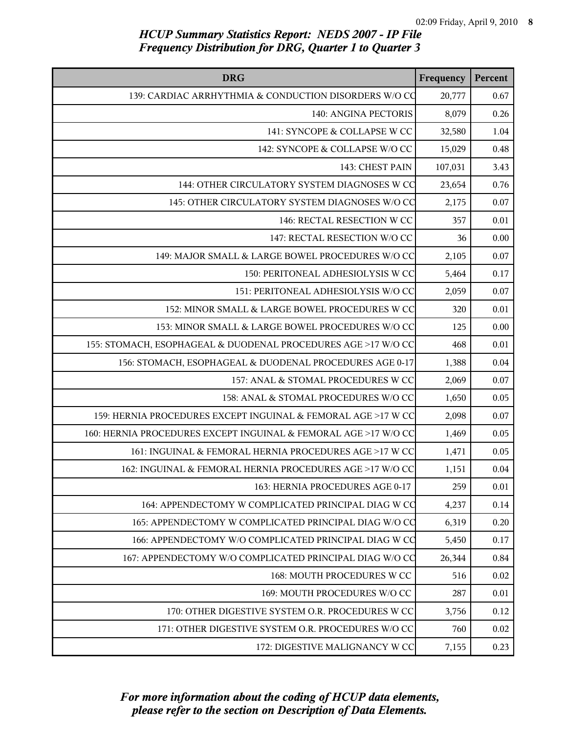| <b>DRG</b>                                                      | Frequency | Percent |
|-----------------------------------------------------------------|-----------|---------|
| 139: CARDIAC ARRHYTHMIA & CONDUCTION DISORDERS W/O CO           | 20,777    | 0.67    |
| 140: ANGINA PECTORIS                                            | 8,079     | 0.26    |
| 141: SYNCOPE & COLLAPSE W CC                                    | 32,580    | 1.04    |
| 142: SYNCOPE & COLLAPSE W/O CC                                  | 15,029    | 0.48    |
| 143: CHEST PAIN                                                 | 107,031   | 3.43    |
| 144: OTHER CIRCULATORY SYSTEM DIAGNOSES W CC                    | 23,654    | 0.76    |
| 145: OTHER CIRCULATORY SYSTEM DIAGNOSES W/O CC                  | 2,175     | 0.07    |
| 146: RECTAL RESECTION W CC                                      | 357       | 0.01    |
| 147: RECTAL RESECTION W/O CC                                    | 36        | 0.00    |
| 149: MAJOR SMALL & LARGE BOWEL PROCEDURES W/O CC                | 2,105     | 0.07    |
| 150: PERITONEAL ADHESIOLYSIS W CC                               | 5,464     | 0.17    |
| 151: PERITONEAL ADHESIOLYSIS W/O CC                             | 2,059     | 0.07    |
| 152: MINOR SMALL & LARGE BOWEL PROCEDURES W CC                  | 320       | 0.01    |
| 153: MINOR SMALL & LARGE BOWEL PROCEDURES W/O CC                | 125       | 0.00    |
| 155: STOMACH, ESOPHAGEAL & DUODENAL PROCEDURES AGE >17 W/O CC   | 468       | 0.01    |
| 156: STOMACH, ESOPHAGEAL & DUODENAL PROCEDURES AGE 0-17         | 1,388     | 0.04    |
| 157: ANAL & STOMAL PROCEDURES W CC                              | 2,069     | 0.07    |
| 158: ANAL & STOMAL PROCEDURES W/O CC                            | 1,650     | 0.05    |
| 159: HERNIA PROCEDURES EXCEPT INGUINAL & FEMORAL AGE >17 W CC   | 2,098     | 0.07    |
| 160: HERNIA PROCEDURES EXCEPT INGUINAL & FEMORAL AGE >17 W/O CC | 1,469     | 0.05    |
| 161: INGUINAL & FEMORAL HERNIA PROCEDURES AGE >17 W CC          | 1,471     | 0.05    |
| 162: INGUINAL & FEMORAL HERNIA PROCEDURES AGE >17 W/O CC        | 1,151     | 0.04    |
| 163: HERNIA PROCEDURES AGE 0-17                                 | 259       | 0.01    |
| 164: APPENDECTOMY W COMPLICATED PRINCIPAL DIAG W CO             | 4,237     | 0.14    |
| 165: APPENDECTOMY W COMPLICATED PRINCIPAL DIAG W/O CO           | 6,319     | 0.20    |
| 166: APPENDECTOMY W/O COMPLICATED PRINCIPAL DIAG W CO           | 5,450     | 0.17    |
| 167: APPENDECTOMY W/O COMPLICATED PRINCIPAL DIAG W/O CO         | 26,344    | 0.84    |
| 168: MOUTH PROCEDURES W CC                                      | 516       | 0.02    |
| 169: MOUTH PROCEDURES W/O CC                                    | 287       | 0.01    |
| 170: OTHER DIGESTIVE SYSTEM O.R. PROCEDURES W CC                | 3,756     | 0.12    |
| 171: OTHER DIGESTIVE SYSTEM O.R. PROCEDURES W/O CC              | 760       | 0.02    |
| 172: DIGESTIVE MALIGNANCY W CC                                  | 7,155     | 0.23    |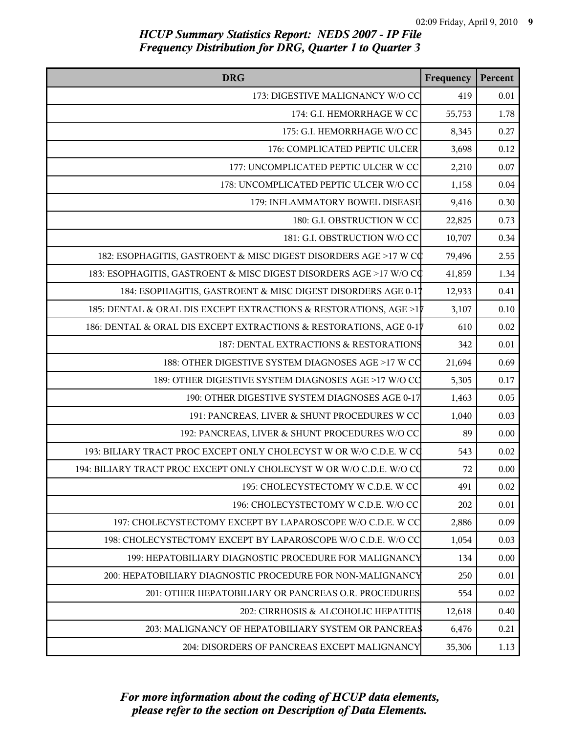| <b>DRG</b>                                                           | Frequency | Percent  |
|----------------------------------------------------------------------|-----------|----------|
| 173: DIGESTIVE MALIGNANCY W/O CC                                     | 419       | 0.01     |
| 174: G.I. HEMORRHAGE W CC                                            | 55,753    | 1.78     |
| 175: G.I. HEMORRHAGE W/O CC                                          | 8,345     | 0.27     |
| 176: COMPLICATED PEPTIC ULCER                                        | 3,698     | 0.12     |
| 177: UNCOMPLICATED PEPTIC ULCER W CC                                 | 2,210     | 0.07     |
| 178: UNCOMPLICATED PEPTIC ULCER W/O CC                               | 1,158     | $0.04\,$ |
| 179: INFLAMMATORY BOWEL DISEASE                                      | 9,416     | 0.30     |
| 180: G.I. OBSTRUCTION W CC                                           | 22,825    | 0.73     |
| 181: G.I. OBSTRUCTION W/O CC                                         | 10,707    | 0.34     |
| 182: ESOPHAGITIS, GASTROENT & MISC DIGEST DISORDERS AGE >17 W CC     | 79,496    | 2.55     |
| 183: ESOPHAGITIS, GASTROENT & MISC DIGEST DISORDERS AGE >17 W/O CO   | 41,859    | 1.34     |
| 184: ESOPHAGITIS, GASTROENT & MISC DIGEST DISORDERS AGE 0-17         | 12,933    | 0.41     |
| 185: DENTAL & ORAL DIS EXCEPT EXTRACTIONS & RESTORATIONS, AGE >17    | 3,107     | 0.10     |
| 186: DENTAL & ORAL DIS EXCEPT EXTRACTIONS & RESTORATIONS, AGE 0-17   | 610       | 0.02     |
| 187: DENTAL EXTRACTIONS & RESTORATIONS                               | 342       | $0.01\,$ |
| 188: OTHER DIGESTIVE SYSTEM DIAGNOSES AGE >17 W CC                   | 21,694    | 0.69     |
| 189: OTHER DIGESTIVE SYSTEM DIAGNOSES AGE >17 W/O CC                 | 5,305     | 0.17     |
| 190: OTHER DIGESTIVE SYSTEM DIAGNOSES AGE 0-17                       | 1,463     | 0.05     |
| 191: PANCREAS, LIVER & SHUNT PROCEDURES W CC                         | 1,040     | 0.03     |
| 192: PANCREAS, LIVER & SHUNT PROCEDURES W/O CC                       | 89        | 0.00     |
| 193: BILIARY TRACT PROC EXCEPT ONLY CHOLECYST W OR W/O C.D.E. W CO   | 543       | $0.02\,$ |
| 194: BILIARY TRACT PROC EXCEPT ONLY CHOLECYST W OR W/O C.D.E. W/O CO | 72        | 0.00     |
| 195: CHOLECYSTECTOMY W C.D.E. W CC                                   | 491       | 0.02     |
| 196: CHOLECYSTECTOMY W C.D.E. W/O CC                                 | 202       | 0.01     |
| 197: CHOLECYSTECTOMY EXCEPT BY LAPAROSCOPE W/O C.D.E. W CC           | 2,886     | 0.09     |
| 198: CHOLECYSTECTOMY EXCEPT BY LAPAROSCOPE W/O C.D.E. W/O CC         | 1,054     | 0.03     |
| 199: HEPATOBILIARY DIAGNOSTIC PROCEDURE FOR MALIGNANCY               | 134       | 0.00     |
| 200: HEPATOBILIARY DIAGNOSTIC PROCEDURE FOR NON-MALIGNANCY           | 250       | 0.01     |
| 201: OTHER HEPATOBILIARY OR PANCREAS O.R. PROCEDURES                 | 554       | 0.02     |
| 202: CIRRHOSIS & ALCOHOLIC HEPATITIS                                 | 12,618    | 0.40     |
| 203: MALIGNANCY OF HEPATOBILIARY SYSTEM OR PANCREAS                  | 6,476     | 0.21     |
| 204: DISORDERS OF PANCREAS EXCEPT MALIGNANCY                         | 35,306    | 1.13     |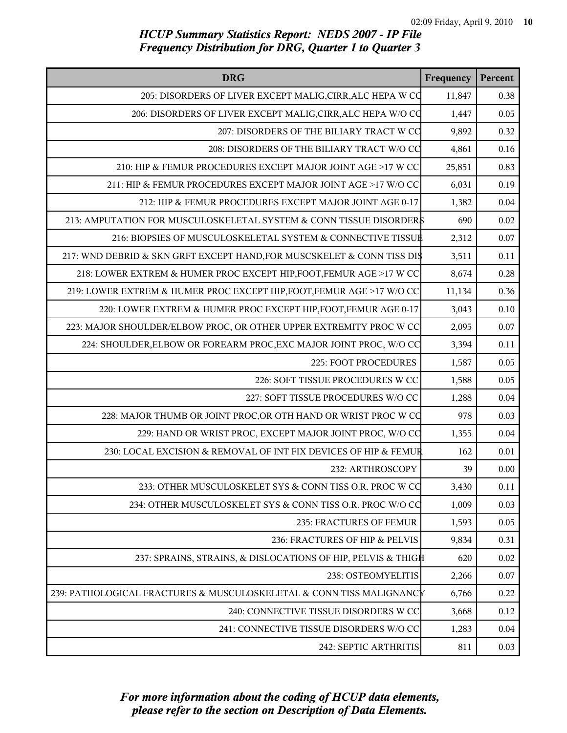| <b>DRG</b>                                                             | Frequency | Percent |
|------------------------------------------------------------------------|-----------|---------|
| 205: DISORDERS OF LIVER EXCEPT MALIG, CIRR, ALC HEPA W CO              | 11,847    | 0.38    |
| 206: DISORDERS OF LIVER EXCEPT MALIG, CIRR, ALC HEPA W/O CO            | 1,447     | 0.05    |
| 207: DISORDERS OF THE BILIARY TRACT W CC                               | 9,892     | 0.32    |
| 208: DISORDERS OF THE BILIARY TRACT W/O CC                             | 4,861     | 0.16    |
| 210: HIP & FEMUR PROCEDURES EXCEPT MAJOR JOINT AGE >17 W CC            | 25,851    | 0.83    |
| 211: HIP & FEMUR PROCEDURES EXCEPT MAJOR JOINT AGE >17 W/O CC          | 6,031     | 0.19    |
| 212: HIP & FEMUR PROCEDURES EXCEPT MAJOR JOINT AGE 0-17                | 1,382     | 0.04    |
| 213: AMPUTATION FOR MUSCULOSKELETAL SYSTEM & CONN TISSUE DISORDER\$    | 690       | 0.02    |
| 216: BIOPSIES OF MUSCULOSKELETAL SYSTEM & CONNECTIVE TISSUE            | 2,312     | 0.07    |
| 217: WND DEBRID & SKN GRFT EXCEPT HAND, FOR MUSCSKELET & CONN TISS DIS | 3,511     | 0.11    |
| 218: LOWER EXTREM & HUMER PROC EXCEPT HIP, FOOT, FEMUR AGE >17 W CC    | 8,674     | 0.28    |
| 219: LOWER EXTREM & HUMER PROC EXCEPT HIP, FOOT, FEMUR AGE >17 W/O CC  | 11,134    | 0.36    |
| 220: LOWER EXTREM & HUMER PROC EXCEPT HIP, FOOT, FEMUR AGE 0-17        | 3,043     | 0.10    |
| 223: MAJOR SHOULDER/ELBOW PROC, OR OTHER UPPER EXTREMITY PROC W CC     | 2,095     | 0.07    |
| 224: SHOULDER, ELBOW OR FOREARM PROC, EXC MAJOR JOINT PROC, W/O CC     | 3,394     | 0.11    |
| 225: FOOT PROCEDURES                                                   | 1,587     | 0.05    |
| 226: SOFT TISSUE PROCEDURES W CC                                       | 1,588     | 0.05    |
| 227: SOFT TISSUE PROCEDURES W/O CC                                     | 1,288     | 0.04    |
| 228: MAJOR THUMB OR JOINT PROC, OR OTH HAND OR WRIST PROC W CO         | 978       | 0.03    |
| 229: HAND OR WRIST PROC, EXCEPT MAJOR JOINT PROC, W/O CC               | 1,355     | 0.04    |
| 230: LOCAL EXCISION & REMOVAL OF INT FIX DEVICES OF HIP & FEMUR        | 162       | 0.01    |
| 232: ARTHROSCOPY                                                       | 39        | 0.00    |
| 233: OTHER MUSCULOSKELET SYS & CONN TISS O.R. PROC W CC                | 3,430     | 0.11    |
| 234: OTHER MUSCULOSKELET SYS & CONN TISS O.R. PROC W/O CO              | 1,009     | 0.03    |
| 235: FRACTURES OF FEMUR                                                | 1,593     | 0.05    |
| 236: FRACTURES OF HIP & PELVIS                                         | 9,834     | 0.31    |
| 237: SPRAINS, STRAINS, & DISLOCATIONS OF HIP, PELVIS & THIGH           | 620       | 0.02    |
| 238: OSTEOMYELITIS                                                     | 2,266     | 0.07    |
| 239: PATHOLOGICAL FRACTURES & MUSCULOSKELETAL & CONN TISS MALIGNANCY   | 6,766     | 0.22    |
| 240: CONNECTIVE TISSUE DISORDERS W CC                                  | 3,668     | 0.12    |
| 241: CONNECTIVE TISSUE DISORDERS W/O CC                                | 1,283     | 0.04    |
| 242: SEPTIC ARTHRITIS                                                  | 811       | 0.03    |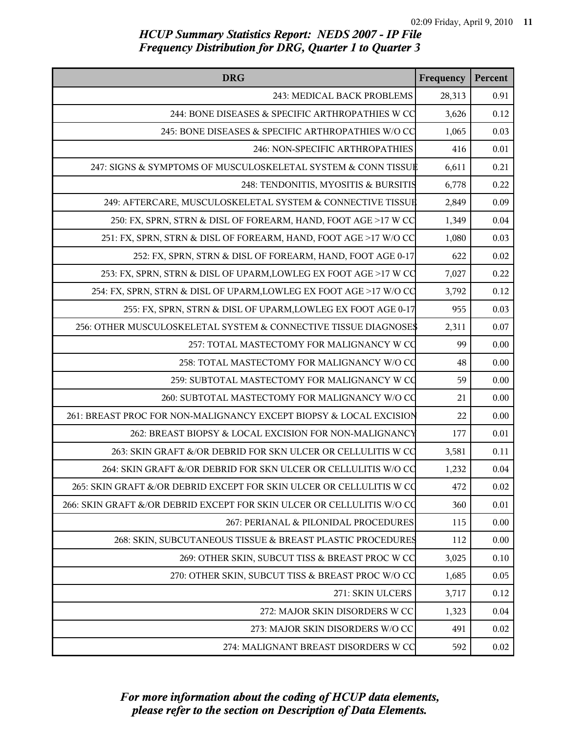| <b>DRG</b>                                                             | Frequency | Percent |
|------------------------------------------------------------------------|-----------|---------|
| 243: MEDICAL BACK PROBLEMS                                             | 28,313    | 0.91    |
| 244: BONE DISEASES & SPECIFIC ARTHROPATHIES W CO                       | 3,626     | 0.12    |
| 245: BONE DISEASES & SPECIFIC ARTHROPATHIES W/O CC                     | 1,065     | 0.03    |
| 246: NON-SPECIFIC ARTHROPATHIES                                        | 416       | 0.01    |
| 247: SIGNS & SYMPTOMS OF MUSCULOSKELETAL SYSTEM & CONN TISSUE          | 6,611     | 0.21    |
| 248: TENDONITIS, MYOSITIS & BURSITIS                                   | 6,778     | 0.22    |
| 249: AFTERCARE, MUSCULOSKELETAL SYSTEM & CONNECTIVE TISSUE             | 2,849     | 0.09    |
| 250: FX, SPRN, STRN & DISL OF FOREARM, HAND, FOOT AGE >17 W CC         | 1,349     | 0.04    |
| 251: FX, SPRN, STRN & DISL OF FOREARM, HAND, FOOT AGE >17 W/O CC       | 1,080     | 0.03    |
| 252: FX, SPRN, STRN & DISL OF FOREARM, HAND, FOOT AGE 0-17             | 622       | 0.02    |
| 253: FX, SPRN, STRN & DISL OF UPARM, LOWLEG EX FOOT AGE >17 W CC       | 7,027     | 0.22    |
| 254: FX, SPRN, STRN & DISL OF UPARM, LOWLEG EX FOOT AGE >17 W/O CO     | 3,792     | 0.12    |
| 255: FX, SPRN, STRN & DISL OF UPARM, LOWLEG EX FOOT AGE 0-17           | 955       | 0.03    |
| 256: OTHER MUSCULOSKELETAL SYSTEM & CONNECTIVE TISSUE DIAGNOSE\$       | 2,311     | 0.07    |
| 257: TOTAL MASTECTOMY FOR MALIGNANCY W CO                              | 99        | 0.00    |
| 258: TOTAL MASTECTOMY FOR MALIGNANCY W/O CO                            | 48        | 0.00    |
| 259: SUBTOTAL MASTECTOMY FOR MALIGNANCY W CO                           | 59        | 0.00    |
| 260: SUBTOTAL MASTECTOMY FOR MALIGNANCY W/O CO                         | 21        | 0.00    |
| 261: BREAST PROC FOR NON-MALIGNANCY EXCEPT BIOPSY & LOCAL EXCISION     | 22        | 0.00    |
| 262: BREAST BIOPSY & LOCAL EXCISION FOR NON-MALIGNANCY                 | 177       | 0.01    |
| 263: SKIN GRAFT &/OR DEBRID FOR SKN ULCER OR CELLULITIS W CO           | 3,581     | 0.11    |
| 264: SKIN GRAFT &/OR DEBRID FOR SKN ULCER OR CELLULITIS W/O CQ         | 1,232     | 0.04    |
| 265: SKIN GRAFT &/OR DEBRID EXCEPT FOR SKIN ULCER OR CELLULITIS W CQ   | 472       | 0.02    |
| 266: SKIN GRAFT &/OR DEBRID EXCEPT FOR SKIN ULCER OR CELLULITIS W/O CQ | 360       | 0.01    |
| 267: PERIANAL & PILONIDAL PROCEDURES                                   | 115       | 0.00    |
| 268: SKIN, SUBCUTANEOUS TISSUE & BREAST PLASTIC PROCEDURES             | 112       | 0.00    |
| 269: OTHER SKIN, SUBCUT TISS & BREAST PROC W CC                        | 3,025     | 0.10    |
| 270: OTHER SKIN, SUBCUT TISS & BREAST PROC W/O CC                      | 1,685     | 0.05    |
| 271: SKIN ULCERS                                                       | 3,717     | 0.12    |
| 272: MAJOR SKIN DISORDERS W CC                                         | 1,323     | 0.04    |
| 273: MAJOR SKIN DISORDERS W/O CC                                       | 491       | 0.02    |
| 274: MALIGNANT BREAST DISORDERS W CC                                   | 592       | 0.02    |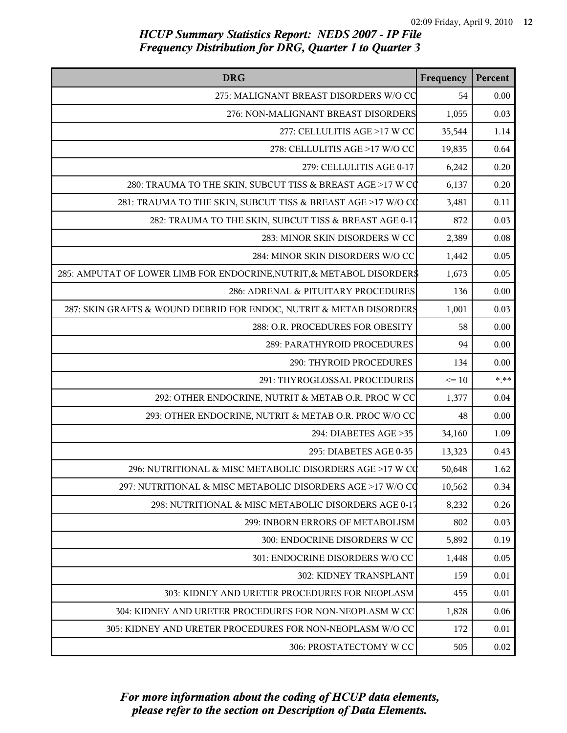| <b>DRG</b>                                                             | Frequency | Percent  |
|------------------------------------------------------------------------|-----------|----------|
| 275: MALIGNANT BREAST DISORDERS W/O CC                                 | 54        | 0.00     |
| 276: NON-MALIGNANT BREAST DISORDERS                                    | 1,055     | 0.03     |
| 277: CELLULITIS AGE >17 W CC                                           | 35,544    | 1.14     |
| 278: CELLULITIS AGE >17 W/O CC                                         | 19,835    | 0.64     |
| 279: CELLULITIS AGE 0-17                                               | 6,242     | 0.20     |
| 280: TRAUMA TO THE SKIN, SUBCUT TISS & BREAST AGE >17 W CO             | 6,137     | 0.20     |
| 281: TRAUMA TO THE SKIN, SUBCUT TISS & BREAST AGE >17 W/O CQ           | 3,481     | 0.11     |
| 282: TRAUMA TO THE SKIN, SUBCUT TISS & BREAST AGE 0-17                 | 872       | 0.03     |
| 283: MINOR SKIN DISORDERS W CC                                         | 2,389     | 0.08     |
| 284: MINOR SKIN DISORDERS W/O CC                                       | 1,442     | 0.05     |
| 285: AMPUTAT OF LOWER LIMB FOR ENDOCRINE, NUTRIT, & METABOL DISORDER\$ | 1,673     | 0.05     |
| 286: ADRENAL & PITUITARY PROCEDURES                                    | 136       | 0.00     |
| 287: SKIN GRAFTS & WOUND DEBRID FOR ENDOC, NUTRIT & METAB DISORDERS    | 1,001     | 0.03     |
| 288: O.R. PROCEDURES FOR OBESITY                                       | 58        | 0.00     |
| 289: PARATHYROID PROCEDURES                                            | 94        | 0.00     |
| 290: THYROID PROCEDURES                                                | 134       | 0.00     |
| 291: THYROGLOSSAL PROCEDURES                                           | $\leq 10$ | $*$ $**$ |
| 292: OTHER ENDOCRINE, NUTRIT & METAB O.R. PROC W CC                    | 1,377     | 0.04     |
| 293: OTHER ENDOCRINE, NUTRIT & METAB O.R. PROC W/O CC                  | 48        | 0.00     |
| 294: DIABETES AGE > 35                                                 | 34,160    | 1.09     |
| 295: DIABETES AGE 0-35                                                 | 13,323    | 0.43     |
| 296: NUTRITIONAL & MISC METABOLIC DISORDERS AGE >17 W CQ               | 50,648    | 1.62     |
| 297: NUTRITIONAL & MISC METABOLIC DISORDERS AGE >17 W/O CQ             | 10,562    | 0.34     |
| 298: NUTRITIONAL & MISC METABOLIC DISORDERS AGE 0-17                   | 8,232     | 0.26     |
| 299: INBORN ERRORS OF METABOLISM                                       | 802       | 0.03     |
| 300: ENDOCRINE DISORDERS W CC                                          | 5,892     | 0.19     |
| 301: ENDOCRINE DISORDERS W/O CC                                        | 1,448     | 0.05     |
| <b>302: KIDNEY TRANSPLANT</b>                                          | 159       | 0.01     |
| 303: KIDNEY AND URETER PROCEDURES FOR NEOPLASM                         | 455       | 0.01     |
| 304: KIDNEY AND URETER PROCEDURES FOR NON-NEOPLASM W CC                | 1,828     | 0.06     |
| 305: KIDNEY AND URETER PROCEDURES FOR NON-NEOPLASM W/O CC              | 172       | 0.01     |
| 306: PROSTATECTOMY W CC                                                | 505       | 0.02     |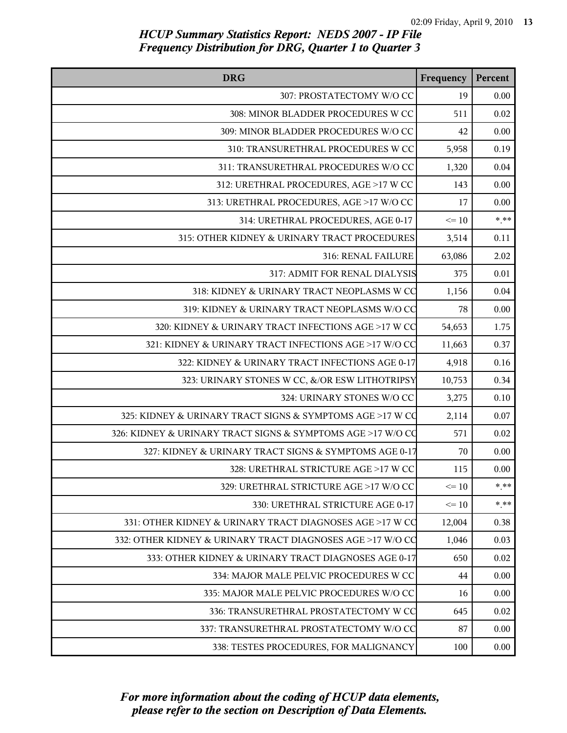| <b>DRG</b>                                                  | Frequency | Percent  |
|-------------------------------------------------------------|-----------|----------|
| 307: PROSTATECTOMY W/O CC                                   | 19        | 0.00     |
| 308: MINOR BLADDER PROCEDURES W CC                          | 511       | 0.02     |
| 309: MINOR BLADDER PROCEDURES W/O CC                        | 42        | 0.00     |
| 310: TRANSURETHRAL PROCEDURES W CC                          | 5,958     | 0.19     |
| 311: TRANSURETHRAL PROCEDURES W/O CC                        | 1,320     | 0.04     |
| 312: URETHRAL PROCEDURES, AGE >17 W CC                      | 143       | 0.00     |
| 313: URETHRAL PROCEDURES, AGE >17 W/O CC                    | 17        | 0.00     |
| 314: URETHRAL PROCEDURES, AGE 0-17                          | $\leq 10$ | $*$ **   |
| 315: OTHER KIDNEY & URINARY TRACT PROCEDURES                | 3,514     | 0.11     |
| 316: RENAL FAILURE                                          | 63,086    | 2.02     |
| 317: ADMIT FOR RENAL DIALYSIS                               | 375       | 0.01     |
| 318: KIDNEY & URINARY TRACT NEOPLASMS W CC                  | 1,156     | 0.04     |
| 319: KIDNEY & URINARY TRACT NEOPLASMS W/O CC                | 78        | 0.00     |
| 320: KIDNEY & URINARY TRACT INFECTIONS AGE >17 W CC         | 54,653    | 1.75     |
| 321: KIDNEY & URINARY TRACT INFECTIONS AGE >17 W/O CC       | 11,663    | 0.37     |
| 322: KIDNEY & URINARY TRACT INFECTIONS AGE 0-17             | 4,918     | 0.16     |
| 323: URINARY STONES W CC, &/OR ESW LITHOTRIPSY              | 10,753    | 0.34     |
| 324: URINARY STONES W/O CC                                  | 3,275     | 0.10     |
| 325: KIDNEY & URINARY TRACT SIGNS & SYMPTOMS AGE >17 W CO   | 2,114     | 0.07     |
| 326: KIDNEY & URINARY TRACT SIGNS & SYMPTOMS AGE >17 W/O CO | 571       | 0.02     |
| 327: KIDNEY & URINARY TRACT SIGNS & SYMPTOMS AGE 0-17       | 70        | 0.00     |
| 328: URETHRAL STRICTURE AGE >17 W CC                        | 115       | 0.00     |
| 329: URETHRAL STRICTURE AGE >17 W/O CC                      | $\leq 10$ | $* * *$  |
| 330: URETHRAL STRICTURE AGE 0-17                            | $\leq 10$ | $*$ $**$ |
| 331: OTHER KIDNEY & URINARY TRACT DIAGNOSES AGE >17 W CC    | 12,004    | 0.38     |
| 332: OTHER KIDNEY & URINARY TRACT DIAGNOSES AGE >17 W/O CC  | 1,046     | 0.03     |
| 333: OTHER KIDNEY & URINARY TRACT DIAGNOSES AGE 0-17        | 650       | 0.02     |
| 334: MAJOR MALE PELVIC PROCEDURES W CC                      | 44        | 0.00     |
| 335: MAJOR MALE PELVIC PROCEDURES W/O CC                    | 16        | 0.00     |
| 336: TRANSURETHRAL PROSTATECTOMY W CC                       | 645       | 0.02     |
| 337: TRANSURETHRAL PROSTATECTOMY W/O CC                     | 87        | 0.00     |
| 338: TESTES PROCEDURES, FOR MALIGNANCY                      | 100       | 0.00     |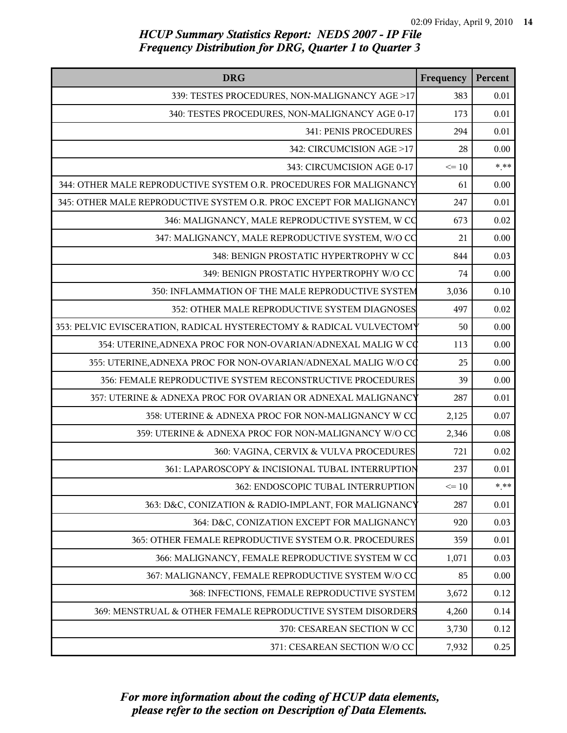| <b>DRG</b>                                                          | Frequency | Percent |
|---------------------------------------------------------------------|-----------|---------|
| 339: TESTES PROCEDURES, NON-MALIGNANCY AGE >17                      | 383       | 0.01    |
| 340: TESTES PROCEDURES, NON-MALIGNANCY AGE 0-17                     | 173       | 0.01    |
| 341: PENIS PROCEDURES                                               | 294       | 0.01    |
| 342: CIRCUMCISION AGE >17                                           | 28        | 0.00    |
| 343: CIRCUMCISION AGE 0-17                                          | $\leq 10$ | $*$ **  |
| 344: OTHER MALE REPRODUCTIVE SYSTEM O.R. PROCEDURES FOR MALIGNANCY  | 61        | 0.00    |
| 345: OTHER MALE REPRODUCTIVE SYSTEM O.R. PROC EXCEPT FOR MALIGNANCY | 247       | 0.01    |
| 346: MALIGNANCY, MALE REPRODUCTIVE SYSTEM, W CO                     | 673       | 0.02    |
| 347: MALIGNANCY, MALE REPRODUCTIVE SYSTEM, W/O CO                   | 21        | 0.00    |
| 348: BENIGN PROSTATIC HYPERTROPHY W CC                              | 844       | 0.03    |
| 349: BENIGN PROSTATIC HYPERTROPHY W/O CC                            | 74        | 0.00    |
| 350: INFLAMMATION OF THE MALE REPRODUCTIVE SYSTEM                   | 3,036     | 0.10    |
| 352: OTHER MALE REPRODUCTIVE SYSTEM DIAGNOSES                       | 497       | 0.02    |
| 353: PELVIC EVISCERATION, RADICAL HYSTERECTOMY & RADICAL VULVECTOMY | 50        | 0.00    |
| 354: UTERINE, ADNEXA PROC FOR NON-OVARIAN/ADNEXAL MALIG W CO        | 113       | 0.00    |
| 355: UTERINE, ADNEXA PROC FOR NON-OVARIAN/ADNEXAL MALIG W/O CC      | 25        | 0.00    |
| 356: FEMALE REPRODUCTIVE SYSTEM RECONSTRUCTIVE PROCEDURES           | 39        | 0.00    |
| 357: UTERINE & ADNEXA PROC FOR OVARIAN OR ADNEXAL MALIGNANCY        | 287       | 0.01    |
| 358: UTERINE & ADNEXA PROC FOR NON-MALIGNANCY W CC                  | 2,125     | 0.07    |
| 359: UTERINE & ADNEXA PROC FOR NON-MALIGNANCY W/O CC                | 2,346     | 0.08    |
| 360: VAGINA, CERVIX & VULVA PROCEDURES                              | 721       | 0.02    |
| 361: LAPAROSCOPY & INCISIONAL TUBAL INTERRUPTION                    | 237       | 0.01    |
| 362: ENDOSCOPIC TUBAL INTERRUPTION                                  | $\leq 10$ | $* * *$ |
| 363: D&C, CONIZATION & RADIO-IMPLANT, FOR MALIGNANCY                | 287       | 0.01    |
| 364: D&C, CONIZATION EXCEPT FOR MALIGNANCY                          | 920       | 0.03    |
| 365: OTHER FEMALE REPRODUCTIVE SYSTEM O.R. PROCEDURES               | 359       | 0.01    |
| 366: MALIGNANCY, FEMALE REPRODUCTIVE SYSTEM W CC                    | 1,071     | 0.03    |
| 367: MALIGNANCY, FEMALE REPRODUCTIVE SYSTEM W/O CC                  | 85        | 0.00    |
| 368: INFECTIONS, FEMALE REPRODUCTIVE SYSTEM                         | 3,672     | 0.12    |
| 369: MENSTRUAL & OTHER FEMALE REPRODUCTIVE SYSTEM DISORDERS         | 4,260     | 0.14    |
| 370: CESAREAN SECTION W CC                                          | 3,730     | 0.12    |
| 371: CESAREAN SECTION W/O CC                                        | 7,932     | 0.25    |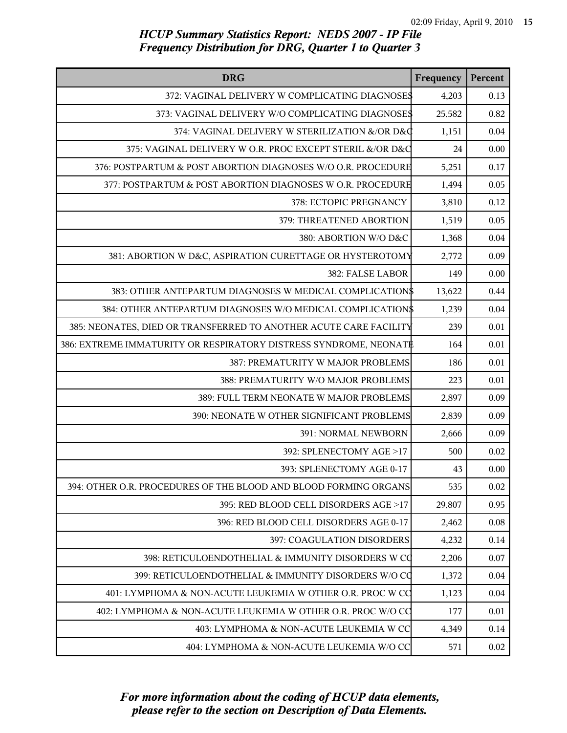| <b>DRG</b>                                                        | Frequency | Percent |
|-------------------------------------------------------------------|-----------|---------|
| 372: VAGINAL DELIVERY W COMPLICATING DIAGNOSES                    | 4,203     | 0.13    |
| 373: VAGINAL DELIVERY W/O COMPLICATING DIAGNOSES                  | 25,582    | 0.82    |
| 374: VAGINAL DELIVERY W STERILIZATION &/OR D&Q                    | 1,151     | 0.04    |
| 375: VAGINAL DELIVERY W O.R. PROC EXCEPT STERIL &/OR D&C          | 24        | 0.00    |
| 376: POSTPARTUM & POST ABORTION DIAGNOSES W/O O.R. PROCEDURE      | 5,251     | 0.17    |
| 377: POSTPARTUM & POST ABORTION DIAGNOSES W O.R. PROCEDURE        | 1,494     | 0.05    |
| 378: ECTOPIC PREGNANCY                                            | 3,810     | 0.12    |
| 379: THREATENED ABORTION                                          | 1,519     | 0.05    |
| 380: ABORTION W/O D&C                                             | 1,368     | 0.04    |
| 381: ABORTION W D&C, ASPIRATION CURETTAGE OR HYSTEROTOMY          | 2,772     | 0.09    |
| 382: FALSE LABOR                                                  | 149       | 0.00    |
| 383: OTHER ANTEPARTUM DIAGNOSES W MEDICAL COMPLICATION\$          | 13,622    | 0.44    |
| 384: OTHER ANTEPARTUM DIAGNOSES W/O MEDICAL COMPLICATION\$        | 1,239     | 0.04    |
| 385: NEONATES, DIED OR TRANSFERRED TO ANOTHER ACUTE CARE FACILITY | 239       | 0.01    |
| 386: EXTREME IMMATURITY OR RESPIRATORY DISTRESS SYNDROME, NEONATI | 164       | 0.01    |
| 387: PREMATURITY W MAJOR PROBLEMS                                 | 186       | 0.01    |
| 388: PREMATURITY W/O MAJOR PROBLEMS                               | 223       | 0.01    |
| 389: FULL TERM NEONATE W MAJOR PROBLEMS                           | 2,897     | 0.09    |
| 390: NEONATE W OTHER SIGNIFICANT PROBLEMS                         | 2,839     | 0.09    |
| 391: NORMAL NEWBORN                                               | 2,666     | 0.09    |
| 392: SPLENECTOMY AGE >17                                          | 500       | 0.02    |
| 393: SPLENECTOMY AGE 0-17                                         | 43        | 0.00    |
| 394: OTHER O.R. PROCEDURES OF THE BLOOD AND BLOOD FORMING ORGANS  | 535       | 0.02    |
| 395: RED BLOOD CELL DISORDERS AGE >17                             | 29,807    | 0.95    |
| 396: RED BLOOD CELL DISORDERS AGE 0-17                            | 2,462     | 0.08    |
| 397: COAGULATION DISORDERS                                        | 4,232     | 0.14    |
| 398: RETICULOENDOTHELIAL & IMMUNITY DISORDERS W CO                | 2,206     | 0.07    |
| 399: RETICULOENDOTHELIAL & IMMUNITY DISORDERS W/O CO              | 1,372     | 0.04    |
| 401: LYMPHOMA & NON-ACUTE LEUKEMIA W OTHER O.R. PROC W CC         | 1,123     | 0.04    |
| 402: LYMPHOMA & NON-ACUTE LEUKEMIA W OTHER O.R. PROC W/O CC       | 177       | 0.01    |
| 403: LYMPHOMA & NON-ACUTE LEUKEMIA W CC                           | 4,349     | 0.14    |
| 404: LYMPHOMA & NON-ACUTE LEUKEMIA W/O CC                         | 571       | 0.02    |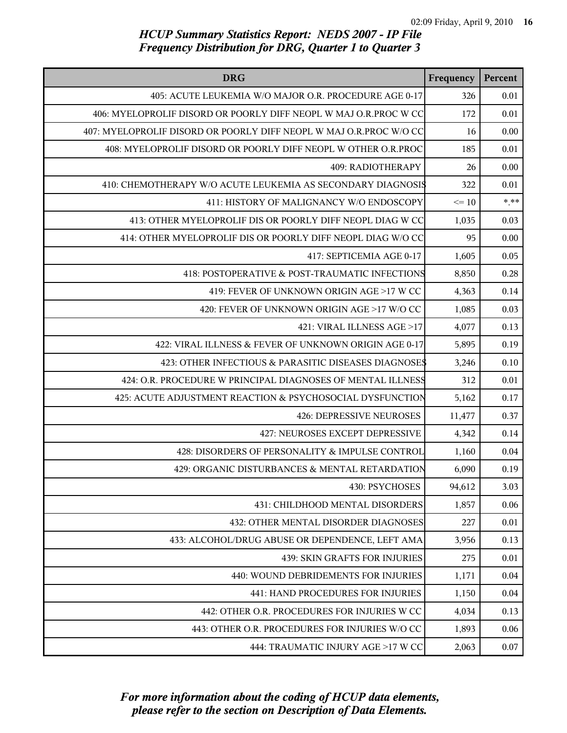| <b>DRG</b>                                                         | Frequency | Percent |
|--------------------------------------------------------------------|-----------|---------|
| 405: ACUTE LEUKEMIA W/O MAJOR O.R. PROCEDURE AGE 0-17              | 326       | 0.01    |
| 406: MYELOPROLIF DISORD OR POORLY DIFF NEOPL W MAJ O.R.PROC W CC   | 172       | 0.01    |
| 407: MYELOPROLIF DISORD OR POORLY DIFF NEOPL W MAJ O.R.PROC W/O CC | 16        | 0.00    |
| 408: MYELOPROLIF DISORD OR POORLY DIFF NEOPL W OTHER O.R.PROC      | 185       | 0.01    |
| 409: RADIOTHERAPY                                                  | 26        | 0.00    |
| 410: CHEMOTHERAPY W/O ACUTE LEUKEMIA AS SECONDARY DIAGNOSIS        | 322       | 0.01    |
| 411: HISTORY OF MALIGNANCY W/O ENDOSCOPY                           | $\leq 10$ | $***$   |
| 413: OTHER MYELOPROLIF DIS OR POORLY DIFF NEOPL DIAG W CC          | 1,035     | 0.03    |
| 414: OTHER MYELOPROLIF DIS OR POORLY DIFF NEOPL DIAG W/O CC        | 95        | 0.00    |
| 417: SEPTICEMIA AGE 0-17                                           | 1,605     | 0.05    |
| 418: POSTOPERATIVE & POST-TRAUMATIC INFECTIONS                     | 8,850     | 0.28    |
| 419: FEVER OF UNKNOWN ORIGIN AGE >17 W CC                          | 4,363     | 0.14    |
| 420: FEVER OF UNKNOWN ORIGIN AGE >17 W/O CC                        | 1,085     | 0.03    |
| 421: VIRAL ILLNESS AGE >17                                         | 4,077     | 0.13    |
| 422: VIRAL ILLNESS & FEVER OF UNKNOWN ORIGIN AGE 0-17              | 5,895     | 0.19    |
| 423: OTHER INFECTIOUS & PARASITIC DISEASES DIAGNOSE\$              | 3,246     | 0.10    |
| 424: O.R. PROCEDURE W PRINCIPAL DIAGNOSES OF MENTAL ILLNESS        | 312       | 0.01    |
| 425: ACUTE ADJUSTMENT REACTION & PSYCHOSOCIAL DYSFUNCTION          | 5,162     | 0.17    |
| <b>426: DEPRESSIVE NEUROSES</b>                                    | 11,477    | 0.37    |
| 427: NEUROSES EXCEPT DEPRESSIVE                                    | 4,342     | 0.14    |
| 428: DISORDERS OF PERSONALITY & IMPULSE CONTROL                    | 1,160     | 0.04    |
| 429: ORGANIC DISTURBANCES & MENTAL RETARDATION                     | 6,090     | 0.19    |
| 430: PSYCHOSES                                                     | 94,612    | 3.03    |
| 431: CHILDHOOD MENTAL DISORDERS                                    | 1,857     | 0.06    |
| 432: OTHER MENTAL DISORDER DIAGNOSES                               | 227       | 0.01    |
| 433: ALCOHOL/DRUG ABUSE OR DEPENDENCE, LEFT AMA                    | 3,956     | 0.13    |
| <b>439: SKIN GRAFTS FOR INJURIES</b>                               | 275       | 0.01    |
| 440: WOUND DEBRIDEMENTS FOR INJURIES                               | 1,171     | 0.04    |
| 441: HAND PROCEDURES FOR INJURIES                                  | 1,150     | 0.04    |
| 442: OTHER O.R. PROCEDURES FOR INJURIES W CC                       | 4,034     | 0.13    |
| 443: OTHER O.R. PROCEDURES FOR INJURIES W/O CC                     | 1,893     | 0.06    |
| 444: TRAUMATIC INJURY AGE >17 W CC                                 | 2,063     | 0.07    |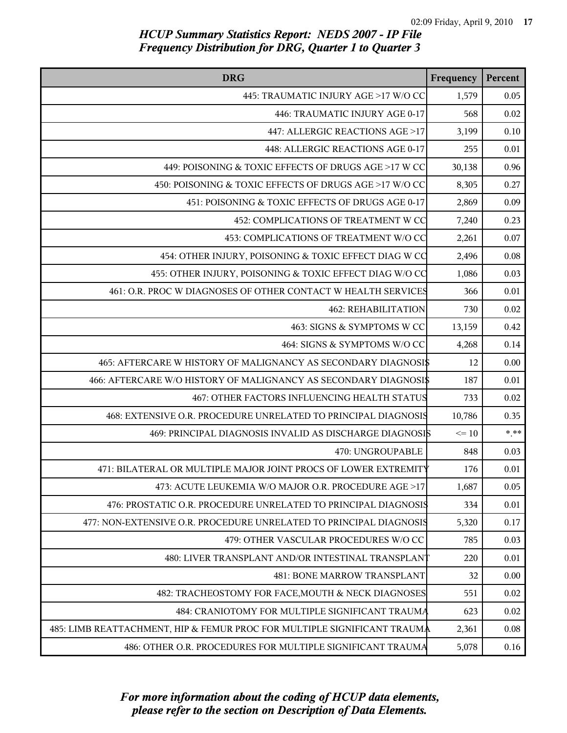| <b>DRG</b>                                                               | Frequency       | Percent  |
|--------------------------------------------------------------------------|-----------------|----------|
| 445: TRAUMATIC INJURY AGE >17 W/O CC                                     | 1,579           | 0.05     |
| 446: TRAUMATIC INJURY AGE 0-17                                           | 568             | 0.02     |
| 447: ALLERGIC REACTIONS AGE >17                                          | 3,199           | 0.10     |
| 448: ALLERGIC REACTIONS AGE 0-17                                         | 255             | 0.01     |
| 449: POISONING & TOXIC EFFECTS OF DRUGS AGE >17 W CC                     | 30,138          | 0.96     |
| 450: POISONING & TOXIC EFFECTS OF DRUGS AGE >17 W/O CC                   | 8,305           | 0.27     |
| 451: POISONING & TOXIC EFFECTS OF DRUGS AGE 0-17                         | 2,869           | 0.09     |
| 452: COMPLICATIONS OF TREATMENT W CC                                     | 7,240           | 0.23     |
| 453: COMPLICATIONS OF TREATMENT W/O CC                                   | 2,261           | 0.07     |
| 454: OTHER INJURY, POISONING & TOXIC EFFECT DIAG W CC                    | 2,496           | 0.08     |
| 455: OTHER INJURY, POISONING & TOXIC EFFECT DIAG W/O CO                  | 1,086           | 0.03     |
| 461: O.R. PROC W DIAGNOSES OF OTHER CONTACT W HEALTH SERVICES            | 366             | 0.01     |
| <b>462: REHABILITATION</b>                                               | 730             | $0.02\,$ |
| 463: SIGNS & SYMPTOMS W CC                                               | 13,159          | 0.42     |
| 464: SIGNS & SYMPTOMS W/O CC                                             | 4,268           | 0.14     |
| 465: AFTERCARE W HISTORY OF MALIGNANCY AS SECONDARY DIAGNOSI\$           | 12              | 0.00     |
| 466: AFTERCARE W/O HISTORY OF MALIGNANCY AS SECONDARY DIAGNOSI\$         | 187             | 0.01     |
| 467: OTHER FACTORS INFLUENCING HEALTH STATUS                             | 733             | $0.02\,$ |
| 468: EXTENSIVE O.R. PROCEDURE UNRELATED TO PRINCIPAL DIAGNOSIS           | 10,786          | 0.35     |
| 469: PRINCIPAL DIAGNOSIS INVALID AS DISCHARGE DIAGNOSIS                  | $\Leftarrow$ 10 | $***$    |
| 470: UNGROUPABLE                                                         | 848             | 0.03     |
| 471: BILATERAL OR MULTIPLE MAJOR JOINT PROCS OF LOWER EXTREMITY          | 176             | 0.01     |
| 473: ACUTE LEUKEMIA W/O MAJOR O.R. PROCEDURE AGE >17                     | 1,687           | 0.05     |
| 476: PROSTATIC O.R. PROCEDURE UNRELATED TO PRINCIPAL DIAGNOSIS           | 334             | 0.01     |
| 477: NON-EXTENSIVE O.R. PROCEDURE UNRELATED TO PRINCIPAL DIAGNOSIS       | 5,320           | 0.17     |
| 479: OTHER VASCULAR PROCEDURES W/O CC                                    | 785             | 0.03     |
| 480: LIVER TRANSPLANT AND/OR INTESTINAL TRANSPLANT                       | 220             | 0.01     |
| <b>481: BONE MARROW TRANSPLANT</b>                                       | 32              | 0.00     |
| 482: TRACHEOSTOMY FOR FACE, MOUTH & NECK DIAGNOSES                       | 551             | 0.02     |
| 484: CRANIOTOMY FOR MULTIPLE SIGNIFICANT TRAUMA                          | 623             | $0.02\,$ |
| 485: LIMB REATTACHMENT, HIP & FEMUR PROC FOR MULTIPLE SIGNIFICANT TRAUMA | 2,361           | 0.08     |
| 486: OTHER O.R. PROCEDURES FOR MULTIPLE SIGNIFICANT TRAUMA               | 5,078           | 0.16     |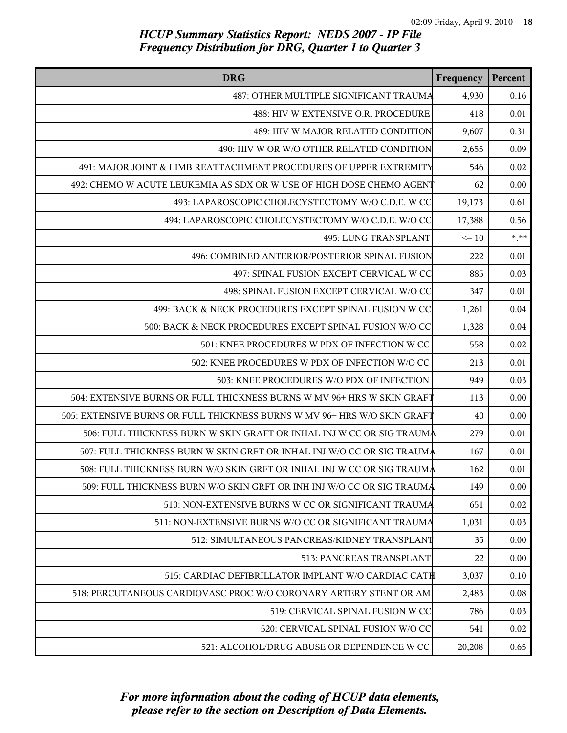| <b>DRG</b>                                                               | Frequency | Percent |
|--------------------------------------------------------------------------|-----------|---------|
| 487: OTHER MULTIPLE SIGNIFICANT TRAUMA                                   | 4,930     | 0.16    |
| 488: HIV W EXTENSIVE O.R. PROCEDURE                                      | 418       | 0.01    |
| 489: HIV W MAJOR RELATED CONDITION                                       | 9,607     | 0.31    |
| 490: HIV W OR W/O OTHER RELATED CONDITION                                | 2,655     | 0.09    |
| 491: MAJOR JOINT & LIMB REATTACHMENT PROCEDURES OF UPPER EXTREMITY       | 546       | 0.02    |
| 492: CHEMO W ACUTE LEUKEMIA AS SDX OR W USE OF HIGH DOSE CHEMO AGENT     | 62        | 0.00    |
| 493: LAPAROSCOPIC CHOLECYSTECTOMY W/O C.D.E. W CC                        | 19,173    | 0.61    |
| 494: LAPAROSCOPIC CHOLECYSTECTOMY W/O C.D.E. W/O CC                      | 17,388    | 0.56    |
| 495: LUNG TRANSPLANT                                                     | $\leq 10$ | $* * *$ |
| 496: COMBINED ANTERIOR/POSTERIOR SPINAL FUSION                           | 222       | 0.01    |
| 497: SPINAL FUSION EXCEPT CERVICAL W CC                                  | 885       | 0.03    |
| 498: SPINAL FUSION EXCEPT CERVICAL W/O CC                                | 347       | 0.01    |
| 499: BACK & NECK PROCEDURES EXCEPT SPINAL FUSION W CC                    | 1,261     | 0.04    |
| 500: BACK & NECK PROCEDURES EXCEPT SPINAL FUSION W/O CC                  | 1,328     | 0.04    |
| 501: KNEE PROCEDURES W PDX OF INFECTION W CC                             | 558       | 0.02    |
| 502: KNEE PROCEDURES W PDX OF INFECTION W/O CC                           | 213       | 0.01    |
| 503: KNEE PROCEDURES W/O PDX OF INFECTION                                | 949       | 0.03    |
| 504: EXTENSIVE BURNS OR FULL THICKNESS BURNS W MV 96+ HRS W SKIN GRAFT   | 113       | 0.00    |
| 505: EXTENSIVE BURNS OR FULL THICKNESS BURNS W MV 96+ HRS W/O SKIN GRAFT | 40        | 0.00    |
| 506: FULL THICKNESS BURN W SKIN GRAFT OR INHAL INJ W CC OR SIG TRAUMA    | 279       | 0.01    |
| 507: FULL THICKNESS BURN W SKIN GRFT OR INHAL INJ W/O CC OR SIG TRAUMA   | 167       | 0.01    |
| 508: FULL THICKNESS BURN W/O SKIN GRFT OR INHAL INJ W CC OR SIG TRAUMA   | 162       | 0.01    |
| 509: FULL THICKNESS BURN W/O SKIN GRFT OR INH INJ W/O CC OR SIG TRAUMA   | 149       | 0.00    |
| 510: NON-EXTENSIVE BURNS W CC OR SIGNIFICANT TRAUMA                      | 651       | 0.02    |
| 511: NON-EXTENSIVE BURNS W/O CC OR SIGNIFICANT TRAUMA                    | 1,031     | 0.03    |
| 512: SIMULTANEOUS PANCREAS/KIDNEY TRANSPLANT                             | 35        | 0.00    |
| 513: PANCREAS TRANSPLANT                                                 | 22        | 0.00    |
| 515: CARDIAC DEFIBRILLATOR IMPLANT W/O CARDIAC CATH                      | 3,037     | 0.10    |
| 518: PERCUTANEOUS CARDIOVASC PROC W/O CORONARY ARTERY STENT OR AM        | 2,483     | 0.08    |
| 519: CERVICAL SPINAL FUSION W CC                                         | 786       | 0.03    |
| 520: CERVICAL SPINAL FUSION W/O CC                                       | 541       | 0.02    |
| 521: ALCOHOL/DRUG ABUSE OR DEPENDENCE W CC                               | 20,208    | 0.65    |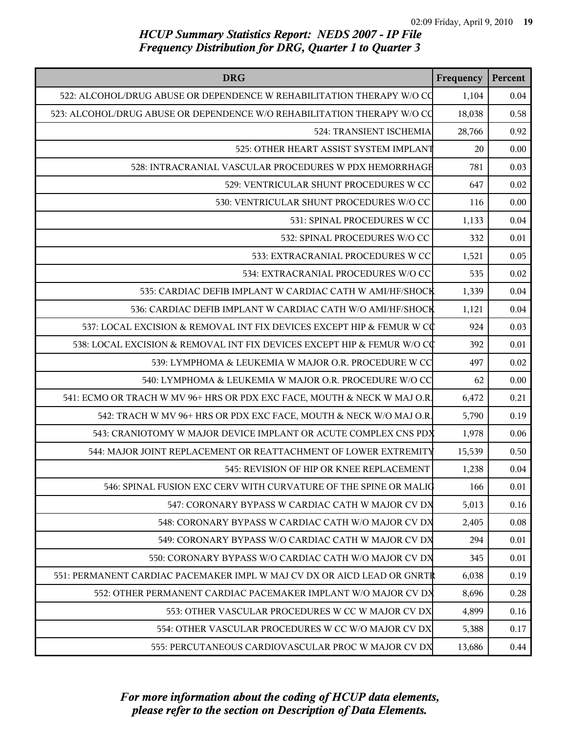| <b>DRG</b>                                                               | Frequency | Percent |
|--------------------------------------------------------------------------|-----------|---------|
| 522: ALCOHOL/DRUG ABUSE OR DEPENDENCE W REHABILITATION THERAPY W/O CO    | 1,104     | 0.04    |
| 523: ALCOHOL/DRUG ABUSE OR DEPENDENCE W/O REHABILITATION THERAPY W/O CO  | 18,038    | 0.58    |
| 524: TRANSIENT ISCHEMIA                                                  | 28,766    | 0.92    |
| 525: OTHER HEART ASSIST SYSTEM IMPLANT                                   | 20        | 0.00    |
| 528: INTRACRANIAL VASCULAR PROCEDURES W PDX HEMORRHAGE                   | 781       | 0.03    |
| 529: VENTRICULAR SHUNT PROCEDURES W CC                                   | 647       | 0.02    |
| 530: VENTRICULAR SHUNT PROCEDURES W/O CC                                 | 116       | 0.00    |
| 531: SPINAL PROCEDURES W CC                                              | 1,133     | 0.04    |
| 532: SPINAL PROCEDURES W/O CC                                            | 332       | 0.01    |
| 533: EXTRACRANIAL PROCEDURES W CC                                        | 1,521     | 0.05    |
| 534: EXTRACRANIAL PROCEDURES W/O CC                                      | 535       | 0.02    |
| 535: CARDIAC DEFIB IMPLANT W CARDIAC CATH W AMI/HF/SHOCK                 | 1,339     | 0.04    |
| 536: CARDIAC DEFIB IMPLANT W CARDIAC CATH W/O AMI/HF/SHOCK               | 1,121     | 0.04    |
| 537: LOCAL EXCISION & REMOVAL INT FIX DEVICES EXCEPT HIP & FEMUR W CC    | 924       | 0.03    |
| 538: LOCAL EXCISION & REMOVAL INT FIX DEVICES EXCEPT HIP & FEMUR W/O CC  | 392       | 0.01    |
| 539: LYMPHOMA & LEUKEMIA W MAJOR O.R. PROCEDURE W CC                     | 497       | 0.02    |
| 540: LYMPHOMA & LEUKEMIA W MAJOR O.R. PROCEDURE W/O CC                   | 62        | 0.00    |
| 541: ECMO OR TRACH W MV 96+ HRS OR PDX EXC FACE, MOUTH & NECK W MAJ O.R. | 6,472     | 0.21    |
| 542: TRACH W MV 96+ HRS OR PDX EXC FACE, MOUTH & NECK W/O MAJ O.R.       | 5,790     | 0.19    |
| 543: CRANIOTOMY W MAJOR DEVICE IMPLANT OR ACUTE COMPLEX CNS PDX          | 1,978     | 0.06    |
| 544: MAJOR JOINT REPLACEMENT OR REATTACHMENT OF LOWER EXTREMITY          | 15,539    | 0.50    |
| 545: REVISION OF HIP OR KNEE REPLACEMENT                                 | 1,238     | 0.04    |
| 546: SPINAL FUSION EXC CERV WITH CURVATURE OF THE SPINE OR MALIC         | 166       | 0.01    |
| 547: CORONARY BYPASS W CARDIAC CATH W MAJOR CV DX                        | 5,013     | 0.16    |
| 548: CORONARY BYPASS W CARDIAC CATH W/O MAJOR CV DX                      | 2,405     | 0.08    |
| 549: CORONARY BYPASS W/O CARDIAC CATH W MAJOR CV DX                      | 294       | 0.01    |
| 550: CORONARY BYPASS W/O CARDIAC CATH W/O MAJOR CV DX                    | 345       | 0.01    |
| 551: PERMANENT CARDIAC PACEMAKER IMPL W MAJ CV DX OR AICD LEAD OR GNRTR  | 6,038     | 0.19    |
| 552: OTHER PERMANENT CARDIAC PACEMAKER IMPLANT W/O MAJOR CV DX           | 8,696     | 0.28    |
| 553: OTHER VASCULAR PROCEDURES W CC W MAJOR CV DX                        | 4,899     | 0.16    |
| 554: OTHER VASCULAR PROCEDURES W CC W/O MAJOR CV DX                      | 5,388     | 0.17    |
| 555: PERCUTANEOUS CARDIOVASCULAR PROC W MAJOR CV DX                      | 13,686    | 0.44    |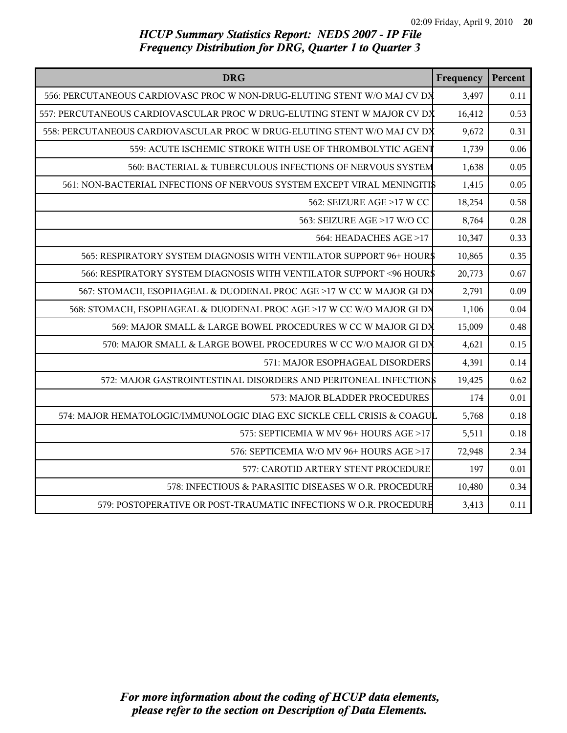| <b>DRG</b>                                                               | Frequency | Percent |
|--------------------------------------------------------------------------|-----------|---------|
| 556: PERCUTANEOUS CARDIOVASC PROC W NON-DRUG-ELUTING STENT W/O MAJ CV DX | 3,497     | 0.11    |
| 557: PERCUTANEOUS CARDIOVASCULAR PROC W DRUG-ELUTING STENT W MAJOR CV DX | 16,412    | 0.53    |
| 558: PERCUTANEOUS CARDIOVASCULAR PROC W DRUG-ELUTING STENT W/O MAJ CV DX | 9,672     | 0.31    |
| 559: ACUTE ISCHEMIC STROKE WITH USE OF THROMBOLYTIC AGENT                | 1,739     | 0.06    |
| 560: BACTERIAL & TUBERCULOUS INFECTIONS OF NERVOUS SYSTEM                | 1,638     | 0.05    |
| 561: NON-BACTERIAL INFECTIONS OF NERVOUS SYSTEM EXCEPT VIRAL MENINGITIS  | 1,415     | 0.05    |
| 562: SEIZURE AGE >17 W CC                                                | 18,254    | 0.58    |
| 563: SEIZURE AGE >17 W/O CC                                              | 8,764     | 0.28    |
| 564: HEADACHES AGE >17                                                   | 10,347    | 0.33    |
| 565: RESPIRATORY SYSTEM DIAGNOSIS WITH VENTILATOR SUPPORT 96+ HOUR\$     | 10,865    | 0.35    |
| 566: RESPIRATORY SYSTEM DIAGNOSIS WITH VENTILATOR SUPPORT <96 HOUR\$     | 20,773    | 0.67    |
| 567: STOMACH, ESOPHAGEAL & DUODENAL PROC AGE >17 W CC W MAJOR GI DX      | 2,791     | 0.09    |
| 568: STOMACH, ESOPHAGEAL & DUODENAL PROC AGE >17 W CC W/O MAJOR GI DX    | 1,106     | 0.04    |
| 569: MAJOR SMALL & LARGE BOWEL PROCEDURES W CC W MAJOR GI DX             | 15,009    | 0.48    |
| 570: MAJOR SMALL & LARGE BOWEL PROCEDURES W CC W/O MAJOR GI DX           | 4,621     | 0.15    |
| 571: MAJOR ESOPHAGEAL DISORDERS                                          | 4,391     | 0.14    |
| 572: MAJOR GASTROINTESTINAL DISORDERS AND PERITONEAL INFECTION\$         | 19,425    | 0.62    |
| 573: MAJOR BLADDER PROCEDURES                                            | 174       | 0.01    |
| 574: MAJOR HEMATOLOGIC/IMMUNOLOGIC DIAG EXC SICKLE CELL CRISIS & COAGUL  | 5,768     | 0.18    |
| 575: SEPTICEMIA W MV 96+ HOURS AGE >17                                   | 5,511     | 0.18    |
| 576: SEPTICEMIA W/O MV 96+ HOURS AGE >17                                 | 72,948    | 2.34    |
| 577: CAROTID ARTERY STENT PROCEDURE                                      | 197       | 0.01    |
| 578: INFECTIOUS & PARASITIC DISEASES W O.R. PROCEDURE                    | 10,480    | 0.34    |
| 579: POSTOPERATIVE OR POST-TRAUMATIC INFECTIONS W O.R. PROCEDURE         | 3,413     | 0.11    |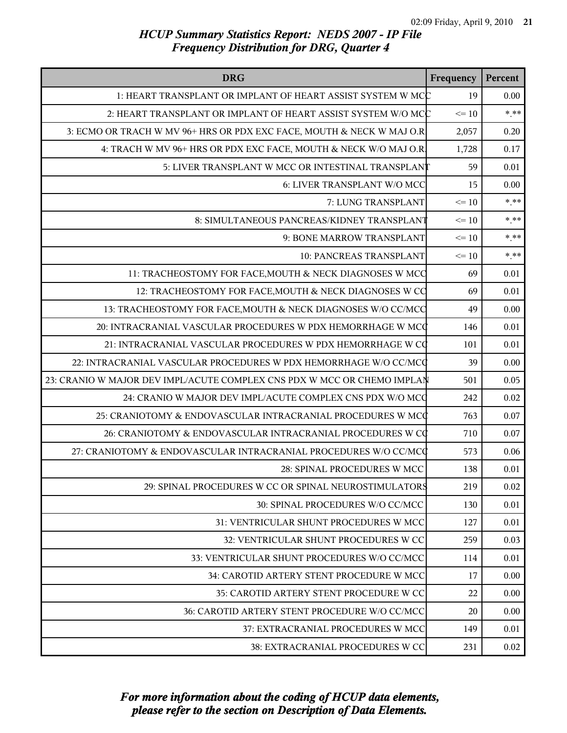| <b>DRG</b>                                                              | Frequency | Percent |
|-------------------------------------------------------------------------|-----------|---------|
| 1: HEART TRANSPLANT OR IMPLANT OF HEART ASSIST SYSTEM W MCC             | 19        | 0.00    |
| 2: HEART TRANSPLANT OR IMPLANT OF HEART ASSIST SYSTEM W/O MCC           | $\leq 10$ | $* * *$ |
| 3: ECMO OR TRACH W MV 96+ HRS OR PDX EXC FACE, MOUTH & NECK W MAJ O.R   | 2,057     | 0.20    |
| 4: TRACH W MV 96+ HRS OR PDX EXC FACE, MOUTH & NECK W/O MAJ O.R.        | 1,728     | 0.17    |
| 5: LIVER TRANSPLANT W MCC OR INTESTINAL TRANSPLANT                      | 59        | 0.01    |
| 6: LIVER TRANSPLANT W/O MCC                                             | 15        | 0.00    |
| 7: LUNG TRANSPLANT                                                      | $\leq 10$ | $***$   |
| 8: SIMULTANEOUS PANCREAS/KIDNEY TRANSPLANT                              | $\leq 10$ | $*.**$  |
| 9: BONE MARROW TRANSPLANT                                               | $\leq 10$ | $* * *$ |
| 10: PANCREAS TRANSPLANT                                                 | $\leq 10$ | $***$   |
| 11: TRACHEOSTOMY FOR FACE, MOUTH & NECK DIAGNOSES W MCC                 | 69        | 0.01    |
| 12: TRACHEOSTOMY FOR FACE, MOUTH & NECK DIAGNOSES W CC                  | 69        | 0.01    |
| 13: TRACHEOSTOMY FOR FACE, MOUTH & NECK DIAGNOSES W/O CC/MCC            | 49        | 0.00    |
| 20: INTRACRANIAL VASCULAR PROCEDURES W PDX HEMORRHAGE W MCC             | 146       | 0.01    |
| 21: INTRACRANIAL VASCULAR PROCEDURES W PDX HEMORRHAGE W CC              | 101       | 0.01    |
| 22: INTRACRANIAL VASCULAR PROCEDURES W PDX HEMORRHAGE W/O CC/MCQ        | 39        | 0.00    |
| 23: CRANIO W MAJOR DEV IMPL/ACUTE COMPLEX CNS PDX W MCC OR CHEMO IMPLAN | 501       | 0.05    |
| 24: CRANIO W MAJOR DEV IMPL/ACUTE COMPLEX CNS PDX W/O MCC               | 242       | 0.02    |
| 25: CRANIOTOMY & ENDOVASCULAR INTRACRANIAL PROCEDURES W MCC             | 763       | 0.07    |
| 26: CRANIOTOMY & ENDOVASCULAR INTRACRANIAL PROCEDURES W CC              | 710       | 0.07    |
| 27: CRANIOTOMY & ENDOVASCULAR INTRACRANIAL PROCEDURES W/O CC/MCC        | 573       | 0.06    |
| 28: SPINAL PROCEDURES W MCC                                             | 138       | 0.01    |
| 29: SPINAL PROCEDURES W CC OR SPINAL NEUROSTIMULATORS                   | 219       | 0.02    |
| 30: SPINAL PROCEDURES W/O CC/MCC                                        | 130       | 0.01    |
| 31: VENTRICULAR SHUNT PROCEDURES W MCC                                  | 127       | 0.01    |
| 32: VENTRICULAR SHUNT PROCEDURES W CC                                   | 259       | 0.03    |
| 33: VENTRICULAR SHUNT PROCEDURES W/O CC/MCC                             | 114       | 0.01    |
| 34: CAROTID ARTERY STENT PROCEDURE W MCC                                | 17        | 0.00    |
| 35: CAROTID ARTERY STENT PROCEDURE W CC                                 | 22        | 0.00    |
| 36: CAROTID ARTERY STENT PROCEDURE W/O CC/MCC                           | 20        | 0.00    |
| 37: EXTRACRANIAL PROCEDURES W MCC                                       | 149       | 0.01    |
| 38: EXTRACRANIAL PROCEDURES W CC                                        | 231       | 0.02    |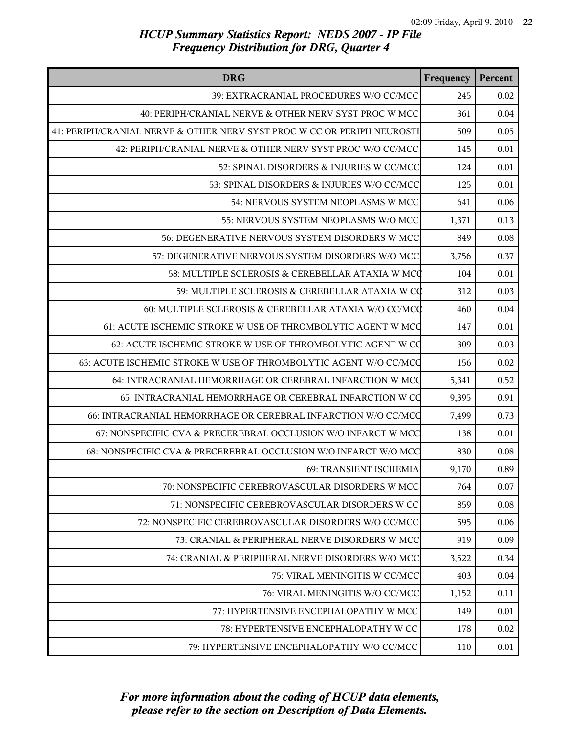| <b>DRG</b>                                                              | Frequency | Percent  |
|-------------------------------------------------------------------------|-----------|----------|
| 39: EXTRACRANIAL PROCEDURES W/O CC/MCC                                  | 245       | 0.02     |
| 40: PERIPH/CRANIAL NERVE & OTHER NERV SYST PROC W MCC                   | 361       | $0.04\,$ |
| 41: PERIPH/CRANIAL NERVE & OTHER NERV SYST PROC W CC OR PERIPH NEUROSTI | 509       | 0.05     |
| 42: PERIPH/CRANIAL NERVE & OTHER NERV SYST PROC W/O CC/MCC              | 145       | 0.01     |
| 52: SPINAL DISORDERS & INJURIES W CC/MCC                                | 124       | 0.01     |
| 53: SPINAL DISORDERS & INJURIES W/O CC/MCC                              | 125       | 0.01     |
| 54: NERVOUS SYSTEM NEOPLASMS W MCC                                      | 641       | 0.06     |
| 55: NERVOUS SYSTEM NEOPLASMS W/O MCC                                    | 1,371     | 0.13     |
| 56: DEGENERATIVE NERVOUS SYSTEM DISORDERS W MCC                         | 849       | 0.08     |
| 57: DEGENERATIVE NERVOUS SYSTEM DISORDERS W/O MCC                       | 3,756     | 0.37     |
| 58: MULTIPLE SCLEROSIS & CEREBELLAR ATAXIA W MCC                        | 104       | 0.01     |
| 59: MULTIPLE SCLEROSIS & CEREBELLAR ATAXIA W CC                         | 312       | 0.03     |
| 60: MULTIPLE SCLEROSIS & CEREBELLAR ATAXIA W/O CC/MCC                   | 460       | 0.04     |
| 61: ACUTE ISCHEMIC STROKE W USE OF THROMBOLYTIC AGENT W MCC             | 147       | 0.01     |
| 62: ACUTE ISCHEMIC STROKE W USE OF THROMBOLYTIC AGENT W CQ              | 309       | 0.03     |
| 63: ACUTE ISCHEMIC STROKE W USE OF THROMBOLYTIC AGENT W/O CC/MCQ        | 156       | 0.02     |
| 64: INTRACRANIAL HEMORRHAGE OR CEREBRAL INFARCTION W MCC                | 5,341     | 0.52     |
| 65: INTRACRANIAL HEMORRHAGE OR CEREBRAL INFARCTION W CQ                 | 9,395     | 0.91     |
| 66: INTRACRANIAL HEMORRHAGE OR CEREBRAL INFARCTION W/O CC/MCQ           | 7,499     | 0.73     |
| 67: NONSPECIFIC CVA & PRECEREBRAL OCCLUSION W/O INFARCT W MCC           | 138       | 0.01     |
| 68: NONSPECIFIC CVA & PRECEREBRAL OCCLUSION W/O INFARCT W/O MCC         | 830       | 0.08     |
| 69: TRANSIENT ISCHEMIA                                                  | 9,170     | 0.89     |
| 70: NONSPECIFIC CEREBROVASCULAR DISORDERS W MCC                         | 764       | 0.07     |
| 71: NONSPECIFIC CEREBROVASCULAR DISORDERS W CC                          | 859       | 0.08     |
| 72: NONSPECIFIC CEREBROVASCULAR DISORDERS W/O CC/MCC                    | 595       | 0.06     |
| 73: CRANIAL & PERIPHERAL NERVE DISORDERS W MCC                          | 919       | 0.09     |
| 74: CRANIAL & PERIPHERAL NERVE DISORDERS W/O MCC                        | 3,522     | 0.34     |
| 75: VIRAL MENINGITIS W CC/MCC                                           | 403       | 0.04     |
| 76: VIRAL MENINGITIS W/O CC/MCC                                         | 1,152     | 0.11     |
| 77: HYPERTENSIVE ENCEPHALOPATHY W MCC                                   | 149       | 0.01     |
| 78: HYPERTENSIVE ENCEPHALOPATHY W CC                                    | 178       | 0.02     |
| 79: HYPERTENSIVE ENCEPHALOPATHY W/O CC/MCC                              | 110       | 0.01     |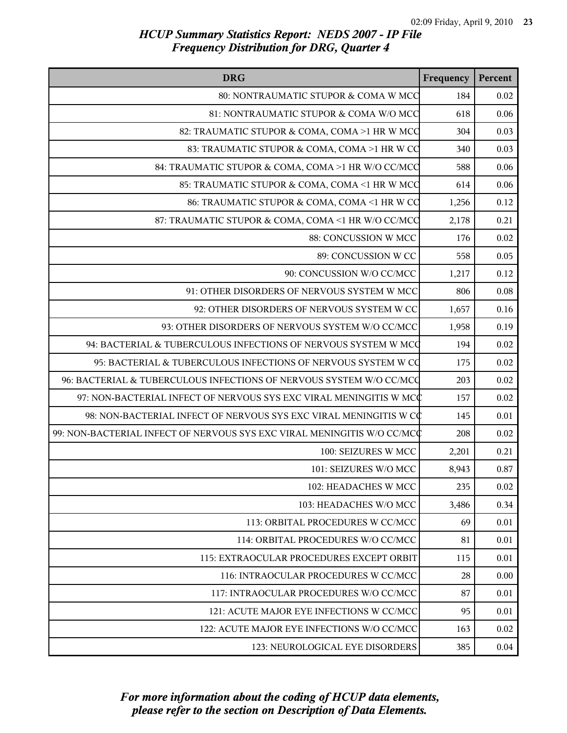| <b>DRG</b>                                                              | Frequency | Percent  |
|-------------------------------------------------------------------------|-----------|----------|
| 80: NONTRAUMATIC STUPOR & COMA W MCC                                    | 184       | $0.02\,$ |
| 81: NONTRAUMATIC STUPOR & COMA W/O MCC                                  | 618       | 0.06     |
| 82: TRAUMATIC STUPOR & COMA, COMA >1 HR W MCC                           | 304       | 0.03     |
| 83: TRAUMATIC STUPOR & COMA, COMA >1 HR W CO                            | 340       | 0.03     |
| 84: TRAUMATIC STUPOR & COMA, COMA >1 HR W/O CC/MCC                      | 588       | 0.06     |
| 85: TRAUMATIC STUPOR & COMA, COMA <1 HR W MCC                           | 614       | 0.06     |
| 86: TRAUMATIC STUPOR & COMA, COMA <1 HR W CO                            | 1,256     | 0.12     |
| 87: TRAUMATIC STUPOR & COMA, COMA <1 HR W/O CC/MCC                      | 2,178     | 0.21     |
| 88: CONCUSSION W MCC                                                    | 176       | 0.02     |
| 89: CONCUSSION W CC                                                     | 558       | 0.05     |
| 90: CONCUSSION W/O CC/MCC                                               | 1,217     | 0.12     |
| 91: OTHER DISORDERS OF NERVOUS SYSTEM W MCC                             | 806       | 0.08     |
| 92: OTHER DISORDERS OF NERVOUS SYSTEM W CC                              | 1,657     | 0.16     |
| 93: OTHER DISORDERS OF NERVOUS SYSTEM W/O CC/MCC                        | 1,958     | 0.19     |
| 94: BACTERIAL & TUBERCULOUS INFECTIONS OF NERVOUS SYSTEM W MCC          | 194       | 0.02     |
| 95: BACTERIAL & TUBERCULOUS INFECTIONS OF NERVOUS SYSTEM W CO           | 175       | 0.02     |
| 96: BACTERIAL & TUBERCULOUS INFECTIONS OF NERVOUS SYSTEM W/O CC/MCQ     | 203       | 0.02     |
| 97: NON-BACTERIAL INFECT OF NERVOUS SYS EXC VIRAL MENINGITIS W MCC      | 157       | 0.02     |
| 98: NON-BACTERIAL INFECT OF NERVOUS SYS EXC VIRAL MENINGITIS W CC       | 145       | 0.01     |
| 99: NON-BACTERIAL INFECT OF NERVOUS SYS EXC VIRAL MENINGITIS W/O CC/MCC | 208       | 0.02     |
| 100: SEIZURES W MCC                                                     | 2,201     | 0.21     |
| 101: SEIZURES W/O MCC                                                   | 8,943     | 0.87     |
| 102: HEADACHES W MCC                                                    | 235       | 0.02     |
| 103: HEADACHES W/O MCC                                                  | 3,486     | 0.34     |
| 113: ORBITAL PROCEDURES W CC/MCC                                        | 69        | 0.01     |
| 114: ORBITAL PROCEDURES W/O CC/MCC                                      | 81        | 0.01     |
| 115: EXTRAOCULAR PROCEDURES EXCEPT ORBIT                                | 115       | 0.01     |
| 116: INTRAOCULAR PROCEDURES W CC/MCC                                    | 28        | 0.00     |
| 117: INTRAOCULAR PROCEDURES W/O CC/MCC                                  | 87        | 0.01     |
| 121: ACUTE MAJOR EYE INFECTIONS W CC/MCC                                | 95        | 0.01     |
| 122: ACUTE MAJOR EYE INFECTIONS W/O CC/MCC                              | 163       | 0.02     |
| 123: NEUROLOGICAL EYE DISORDERS                                         | 385       | 0.04     |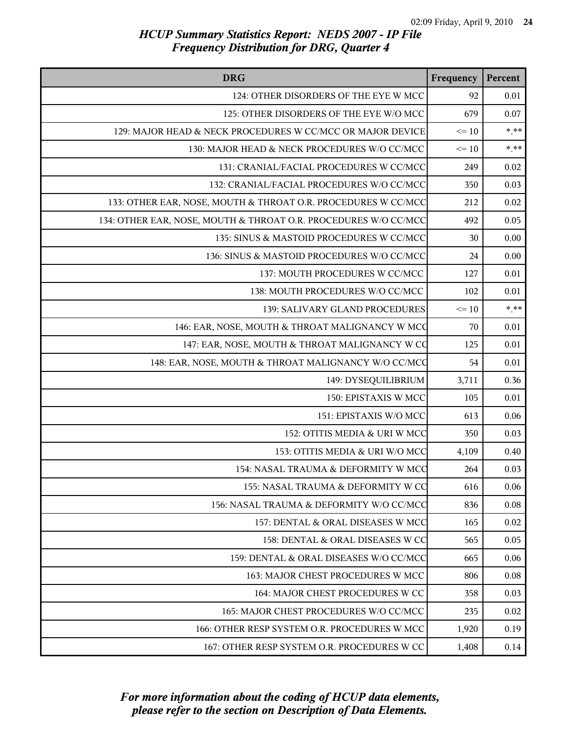| <b>DRG</b>                                                      | Frequency | Percent |
|-----------------------------------------------------------------|-----------|---------|
| 124: OTHER DISORDERS OF THE EYE W MCC                           | 92        | 0.01    |
| 125: OTHER DISORDERS OF THE EYE W/O MCC                         | 679       | 0.07    |
| 129: MAJOR HEAD & NECK PROCEDURES W CC/MCC OR MAJOR DEVICE      | $\leq 10$ | $* * *$ |
| 130: MAJOR HEAD & NECK PROCEDURES W/O CC/MCC                    | $\leq 10$ | $***$   |
| 131: CRANIAL/FACIAL PROCEDURES W CC/MCC                         | 249       | 0.02    |
| 132: CRANIAL/FACIAL PROCEDURES W/O CC/MCC                       | 350       | 0.03    |
| 133: OTHER EAR, NOSE, MOUTH & THROAT O.R. PROCEDURES W CC/MCC   | 212       | 0.02    |
| 134: OTHER EAR, NOSE, MOUTH & THROAT O.R. PROCEDURES W/O CC/MCC | 492       | 0.05    |
| 135: SINUS & MASTOID PROCEDURES W CC/MCC                        | 30        | 0.00    |
| 136: SINUS & MASTOID PROCEDURES W/O CC/MCC                      | 24        | 0.00    |
| 137: MOUTH PROCEDURES W CC/MCC                                  | 127       | 0.01    |
| 138: MOUTH PROCEDURES W/O CC/MCC                                | 102       | 0.01    |
| 139: SALIVARY GLAND PROCEDURES                                  | $\leq 10$ | $***$   |
| 146: EAR, NOSE, MOUTH & THROAT MALIGNANCY W MCC                 | 70        | 0.01    |
| 147: EAR, NOSE, MOUTH & THROAT MALIGNANCY W CO                  | 125       | 0.01    |
| 148: EAR, NOSE, MOUTH & THROAT MALIGNANCY W/O CC/MCC            | 54        | 0.01    |
| 149: DYSEQUILIBRIUM                                             | 3,711     | 0.36    |
| 150: EPISTAXIS W MCC                                            | 105       | 0.01    |
| 151: EPISTAXIS W/O MCC                                          | 613       | 0.06    |
| 152: OTITIS MEDIA & URI W MCC                                   | 350       | 0.03    |
| 153: OTITIS MEDIA & URI W/O MCC                                 | 4,109     | 0.40    |
| 154: NASAL TRAUMA & DEFORMITY W MCC                             | 264       | 0.03    |
| 155: NASAL TRAUMA & DEFORMITY W CC                              | 616       | 0.06    |
| 156: NASAL TRAUMA & DEFORMITY W/O CC/MCC                        | 836       | 0.08    |
| 157: DENTAL & ORAL DISEASES W MCC                               | 165       | 0.02    |
| 158: DENTAL & ORAL DISEASES W CC                                | 565       | 0.05    |
| 159: DENTAL & ORAL DISEASES W/O CC/MCC                          | 665       | 0.06    |
| 163: MAJOR CHEST PROCEDURES W MCC                               | 806       | 0.08    |
| 164: MAJOR CHEST PROCEDURES W CC                                | 358       | 0.03    |
| 165: MAJOR CHEST PROCEDURES W/O CC/MCC                          | 235       | 0.02    |
| 166: OTHER RESP SYSTEM O.R. PROCEDURES W MCC                    | 1,920     | 0.19    |
| 167: OTHER RESP SYSTEM O.R. PROCEDURES W CC                     | 1,408     | 0.14    |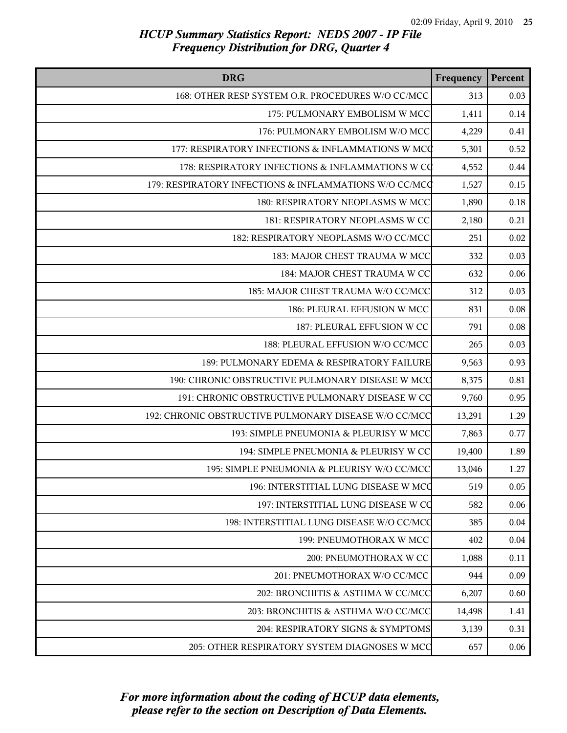| <b>DRG</b>                                             | Frequency | Percent  |
|--------------------------------------------------------|-----------|----------|
| 168: OTHER RESP SYSTEM O.R. PROCEDURES W/O CC/MCC      | 313       | 0.03     |
| 175: PULMONARY EMBOLISM W MCC                          | 1,411     | 0.14     |
| 176: PULMONARY EMBOLISM W/O MCC                        | 4,229     | 0.41     |
| 177: RESPIRATORY INFECTIONS & INFLAMMATIONS W MCC      | 5,301     | 0.52     |
| 178: RESPIRATORY INFECTIONS & INFLAMMATIONS W CO       | 4,552     | 0.44     |
| 179: RESPIRATORY INFECTIONS & INFLAMMATIONS W/O CC/MCC | 1,527     | 0.15     |
| 180: RESPIRATORY NEOPLASMS W MCC                       | 1,890     | 0.18     |
| 181: RESPIRATORY NEOPLASMS W CC                        | 2,180     | 0.21     |
| 182: RESPIRATORY NEOPLASMS W/O CC/MCC                  | 251       | 0.02     |
| 183: MAJOR CHEST TRAUMA W MCC                          | 332       | 0.03     |
| 184: MAJOR CHEST TRAUMA W CC                           | 632       | 0.06     |
| 185: MAJOR CHEST TRAUMA W/O CC/MCC                     | 312       | 0.03     |
| 186: PLEURAL EFFUSION W MCC                            | 831       | $0.08\,$ |
| 187: PLEURAL EFFUSION W CC                             | 791       | 0.08     |
| 188: PLEURAL EFFUSION W/O CC/MCC                       | 265       | 0.03     |
| 189: PULMONARY EDEMA & RESPIRATORY FAILURE             | 9,563     | 0.93     |
| 190: CHRONIC OBSTRUCTIVE PULMONARY DISEASE W MCC       | 8,375     | 0.81     |
| 191: CHRONIC OBSTRUCTIVE PULMONARY DISEASE W CC        | 9,760     | 0.95     |
| 192: CHRONIC OBSTRUCTIVE PULMONARY DISEASE W/O CC/MCC  | 13,291    | 1.29     |
| 193: SIMPLE PNEUMONIA & PLEURISY W MCC                 | 7,863     | 0.77     |
| 194: SIMPLE PNEUMONIA & PLEURISY W CC                  | 19,400    | 1.89     |
| 195: SIMPLE PNEUMONIA & PLEURISY W/O CC/MCC            | 13,046    | 1.27     |
| 196: INTERSTITIAL LUNG DISEASE W MCC                   | 519       | 0.05     |
| 197: INTERSTITIAL LUNG DISEASE W CC                    | 582       | 0.06     |
| 198: INTERSTITIAL LUNG DISEASE W/O CC/MCC              | 385       | 0.04     |
| 199: PNEUMOTHORAX W MCC                                | 402       | 0.04     |
| 200: PNEUMOTHORAX W CC                                 | 1,088     | 0.11     |
| 201: PNEUMOTHORAX W/O CC/MCC                           | 944       | 0.09     |
| 202: BRONCHITIS & ASTHMA W CC/MCC                      | 6,207     | 0.60     |
| 203: BRONCHITIS & ASTHMA W/O CC/MCC                    | 14,498    | 1.41     |
| 204: RESPIRATORY SIGNS & SYMPTOMS                      | 3,139     | 0.31     |
| 205: OTHER RESPIRATORY SYSTEM DIAGNOSES W MCC          | 657       | 0.06     |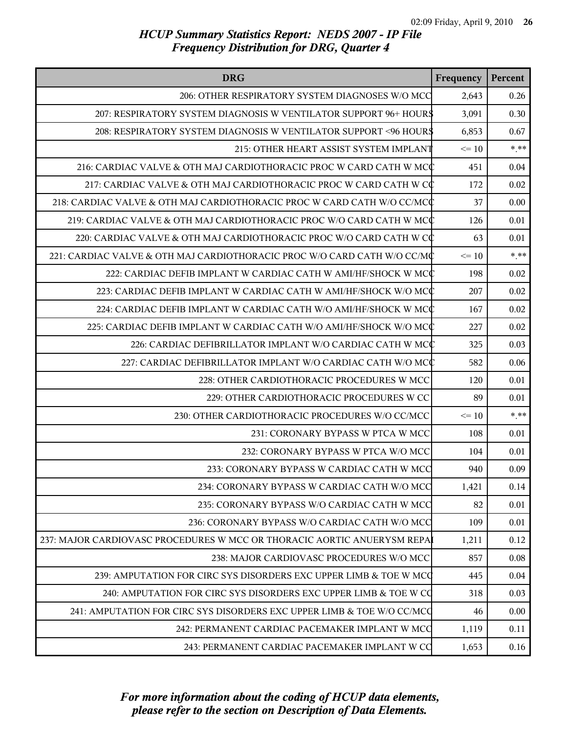| <b>DRG</b>                                                               | Frequency | Percent |
|--------------------------------------------------------------------------|-----------|---------|
| 206: OTHER RESPIRATORY SYSTEM DIAGNOSES W/O MCC                          | 2,643     | 0.26    |
| 207: RESPIRATORY SYSTEM DIAGNOSIS W VENTILATOR SUPPORT 96+ HOURS         | 3,091     | 0.30    |
| 208: RESPIRATORY SYSTEM DIAGNOSIS W VENTILATOR SUPPORT <96 HOURS         | 6,853     | 0.67    |
| 215: OTHER HEART ASSIST SYSTEM IMPLANT                                   | $\leq 10$ | $***$   |
| 216: CARDIAC VALVE & OTH MAJ CARDIOTHORACIC PROC W CARD CATH W MCC       | 451       | 0.04    |
| 217: CARDIAC VALVE & OTH MAJ CARDIOTHORACIC PROC W CARD CATH W CC        | 172       | 0.02    |
| 218: CARDIAC VALVE & OTH MAJ CARDIOTHORACIC PROC W CARD CATH W/O CC/MCC  | 37        | 0.00    |
| 219: CARDIAC VALVE & OTH MAJ CARDIOTHORACIC PROC W/O CARD CATH W MCC     | 126       | 0.01    |
| 220: CARDIAC VALVE & OTH MAJ CARDIOTHORACIC PROC W/O CARD CATH W CC      | 63        | 0.01    |
| 221: CARDIAC VALVE & OTH MAJ CARDIOTHORACIC PROC W/O CARD CATH W/O CC/MC | $\leq 10$ | $***$   |
| 222: CARDIAC DEFIB IMPLANT W CARDIAC CATH W AMI/HF/SHOCK W MCC           | 198       | 0.02    |
| 223: CARDIAC DEFIB IMPLANT W CARDIAC CATH W AMI/HF/SHOCK W/O MCC         | 207       | 0.02    |
| 224: CARDIAC DEFIB IMPLANT W CARDIAC CATH W/O AMI/HF/SHOCK W MCC         | 167       | 0.02    |
| 225: CARDIAC DEFIB IMPLANT W CARDIAC CATH W/O AMI/HF/SHOCK W/O MCC       | 227       | 0.02    |
| 226: CARDIAC DEFIBRILLATOR IMPLANT W/O CARDIAC CATH W MCC                | 325       | 0.03    |
| 227: CARDIAC DEFIBRILLATOR IMPLANT W/O CARDIAC CATH W/O MCC              | 582       | 0.06    |
| 228: OTHER CARDIOTHORACIC PROCEDURES W MCC                               | 120       | 0.01    |
| 229: OTHER CARDIOTHORACIC PROCEDURES W CC                                | 89        | 0.01    |
| 230: OTHER CARDIOTHORACIC PROCEDURES W/O CC/MCC                          | $\leq 10$ | $***$   |
| 231: CORONARY BYPASS W PTCA W MCC                                        | 108       | 0.01    |
| 232: CORONARY BYPASS W PTCA W/O MCC                                      | 104       | 0.01    |
| 233: CORONARY BYPASS W CARDIAC CATH W MCC                                | 940       | 0.09    |
| 234: CORONARY BYPASS W CARDIAC CATH W/O MCC                              | 1,421     | 0.14    |
| 235: CORONARY BYPASS W/O CARDIAC CATH W MCC                              | 82        | 0.01    |
| 236: CORONARY BYPASS W/O CARDIAC CATH W/O MCC                            | 109       | 0.01    |
| 237: MAJOR CARDIOVASC PROCEDURES W MCC OR THORACIC AORTIC ANUERYSM REPA  | 1,211     | 0.12    |
| 238: MAJOR CARDIOVASC PROCEDURES W/O MCC                                 | 857       | 0.08    |
| 239: AMPUTATION FOR CIRC SYS DISORDERS EXC UPPER LIMB & TOE W MCC        | 445       | 0.04    |
| 240: AMPUTATION FOR CIRC SYS DISORDERS EXC UPPER LIMB & TOE W CQ         | 318       | 0.03    |
| 241: AMPUTATION FOR CIRC SYS DISORDERS EXC UPPER LIMB & TOE W/O CC/MCC   | 46        | 0.00    |
| 242: PERMANENT CARDIAC PACEMAKER IMPLANT W MCC                           | 1,119     | 0.11    |
| 243: PERMANENT CARDIAC PACEMAKER IMPLANT W CO                            | 1,653     | 0.16    |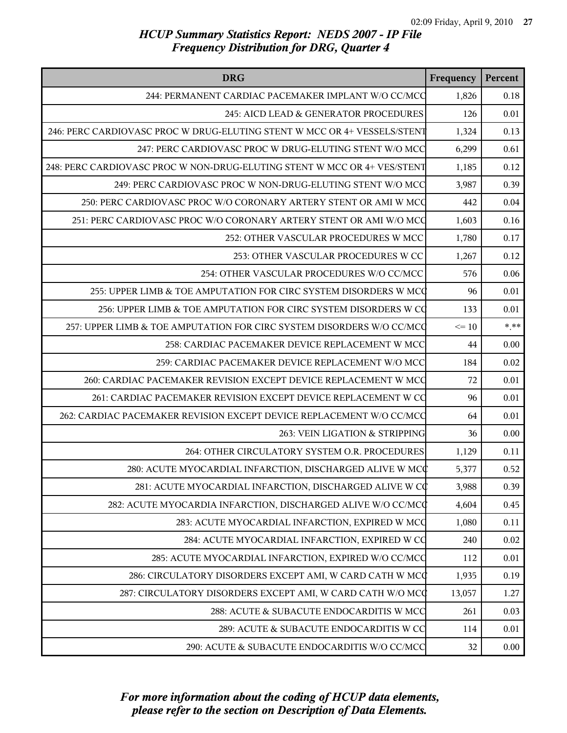| <b>DRG</b>                                                               | Frequency | Percent  |
|--------------------------------------------------------------------------|-----------|----------|
| 244: PERMANENT CARDIAC PACEMAKER IMPLANT W/O CC/MCC                      | 1,826     | 0.18     |
| 245: AICD LEAD & GENERATOR PROCEDURES                                    | 126       | 0.01     |
| 246: PERC CARDIOVASC PROC W DRUG-ELUTING STENT W MCC OR 4+ VESSELS/STENT | 1,324     | 0.13     |
| 247: PERC CARDIOVASC PROC W DRUG-ELUTING STENT W/O MCC                   | 6,299     | 0.61     |
| 248: PERC CARDIOVASC PROC W NON-DRUG-ELUTING STENT W MCC OR 4+ VES/STENT | 1,185     | 0.12     |
| 249: PERC CARDIOVASC PROC W NON-DRUG-ELUTING STENT W/O MCC               | 3,987     | 0.39     |
| 250: PERC CARDIOVASC PROC W/O CORONARY ARTERY STENT OR AMI W MCC         | 442       | 0.04     |
| 251: PERC CARDIOVASC PROC W/O CORONARY ARTERY STENT OR AMI W/O MCC       | 1,603     | 0.16     |
| 252: OTHER VASCULAR PROCEDURES W MCC                                     | 1,780     | 0.17     |
| 253: OTHER VASCULAR PROCEDURES W CC                                      | 1,267     | 0.12     |
| 254: OTHER VASCULAR PROCEDURES W/O CC/MCC                                | 576       | 0.06     |
| 255: UPPER LIMB & TOE AMPUTATION FOR CIRC SYSTEM DISORDERS W MCC         | 96        | 0.01     |
| 256: UPPER LIMB & TOE AMPUTATION FOR CIRC SYSTEM DISORDERS W CQ          | 133       | 0.01     |
| 257: UPPER LIMB & TOE AMPUTATION FOR CIRC SYSTEM DISORDERS W/O CC/MCQ    | $\leq 10$ | $***$    |
| 258: CARDIAC PACEMAKER DEVICE REPLACEMENT W MCC                          | 44        | 0.00     |
| 259: CARDIAC PACEMAKER DEVICE REPLACEMENT W/O MCC                        | 184       | 0.02     |
| 260: CARDIAC PACEMAKER REVISION EXCEPT DEVICE REPLACEMENT W MCC          | 72        | 0.01     |
| 261: CARDIAC PACEMAKER REVISION EXCEPT DEVICE REPLACEMENT W CC           | 96        | 0.01     |
| 262: CARDIAC PACEMAKER REVISION EXCEPT DEVICE REPLACEMENT W/O CC/MCC     | 64        | 0.01     |
| 263: VEIN LIGATION & STRIPPING                                           | 36        | 0.00     |
| 264: OTHER CIRCULATORY SYSTEM O.R. PROCEDURES                            | 1,129     | 0.11     |
| 280: ACUTE MYOCARDIAL INFARCTION, DISCHARGED ALIVE W MCC                 | 5,377     | 0.52     |
| 281: ACUTE MYOCARDIAL INFARCTION, DISCHARGED ALIVE W CO                  | 3,988     | 0.39     |
| 282: ACUTE MYOCARDIA INFARCTION, DISCHARGED ALIVE W/O CC/MCC             | 4,604     | 0.45     |
| 283: ACUTE MYOCARDIAL INFARCTION, EXPIRED W MCC                          | 1,080     | 0.11     |
| 284: ACUTE MYOCARDIAL INFARCTION, EXPIRED W CO                           | 240       | 0.02     |
| 285: ACUTE MYOCARDIAL INFARCTION, EXPIRED W/O CC/MCC                     | 112       | $0.01\,$ |
| 286: CIRCULATORY DISORDERS EXCEPT AMI, W CARD CATH W MCC                 | 1,935     | 0.19     |
| 287: CIRCULATORY DISORDERS EXCEPT AMI, W CARD CATH W/O MCC               | 13,057    | 1.27     |
| 288: ACUTE & SUBACUTE ENDOCARDITIS W MCC                                 | 261       | 0.03     |
| 289: ACUTE & SUBACUTE ENDOCARDITIS W CC                                  | 114       | 0.01     |
| 290: ACUTE & SUBACUTE ENDOCARDITIS W/O CC/MCC                            | 32        | 0.00     |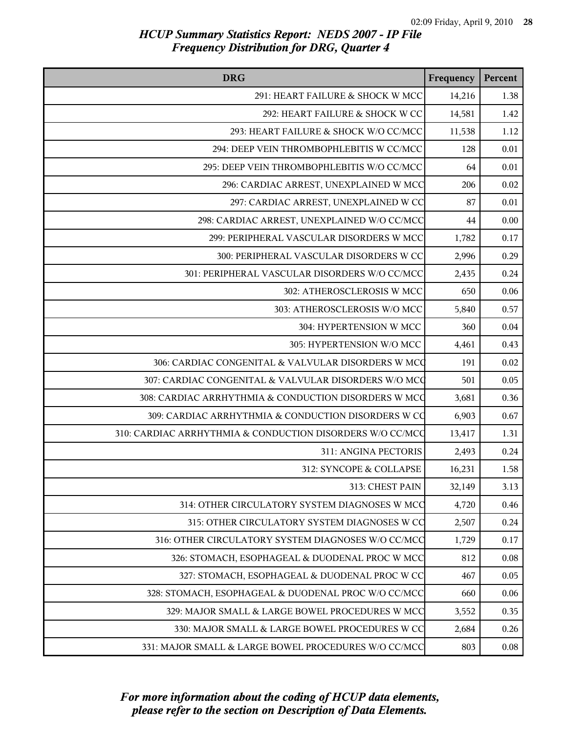| <b>DRG</b>                                                | Frequency | Percent  |
|-----------------------------------------------------------|-----------|----------|
| 291: HEART FAILURE & SHOCK W MCC                          | 14,216    | 1.38     |
| 292: HEART FAILURE & SHOCK W CC                           | 14,581    | 1.42     |
| 293: HEART FAILURE & SHOCK W/O CC/MCC                     | 11,538    | 1.12     |
| 294: DEEP VEIN THROMBOPHLEBITIS W CC/MCC                  | 128       | 0.01     |
| 295: DEEP VEIN THROMBOPHLEBITIS W/O CC/MCC                | 64        | $0.01\,$ |
| 296: CARDIAC ARREST, UNEXPLAINED W MCC                    | 206       | 0.02     |
| 297: CARDIAC ARREST, UNEXPLAINED W CC                     | 87        | 0.01     |
| 298: CARDIAC ARREST, UNEXPLAINED W/O CC/MCC               | 44        | $0.00\,$ |
| 299: PERIPHERAL VASCULAR DISORDERS W MCC                  | 1,782     | 0.17     |
| 300: PERIPHERAL VASCULAR DISORDERS W CC                   | 2,996     | 0.29     |
| 301: PERIPHERAL VASCULAR DISORDERS W/O CC/MCC             | 2,435     | 0.24     |
| 302: ATHEROSCLEROSIS W MCC                                | 650       | 0.06     |
| 303: ATHEROSCLEROSIS W/O MCC                              | 5,840     | 0.57     |
| 304: HYPERTENSION W MCC                                   | 360       | 0.04     |
| 305: HYPERTENSION W/O MCC                                 | 4,461     | 0.43     |
| 306: CARDIAC CONGENITAL & VALVULAR DISORDERS W MCC        | 191       | 0.02     |
| 307: CARDIAC CONGENITAL & VALVULAR DISORDERS W/O MCC      | 501       | 0.05     |
| 308: CARDIAC ARRHYTHMIA & CONDUCTION DISORDERS W MCC      | 3,681     | 0.36     |
| 309: CARDIAC ARRHYTHMIA & CONDUCTION DISORDERS W CO       | 6,903     | 0.67     |
| 310: CARDIAC ARRHYTHMIA & CONDUCTION DISORDERS W/O CC/MCC | 13,417    | 1.31     |
| 311: ANGINA PECTORIS                                      | 2,493     | 0.24     |
| 312: SYNCOPE & COLLAPSE                                   | 16,231    | 1.58     |
| 313: CHEST PAIN                                           | 32,149    | 3.13     |
| 314: OTHER CIRCULATORY SYSTEM DIAGNOSES W MCC             | 4,720     | 0.46     |
| 315: OTHER CIRCULATORY SYSTEM DIAGNOSES W CO              | 2,507     | 0.24     |
| 316: OTHER CIRCULATORY SYSTEM DIAGNOSES W/O CC/MCC        | 1,729     | 0.17     |
| 326: STOMACH, ESOPHAGEAL & DUODENAL PROC W MCC            | 812       | 0.08     |
| 327: STOMACH, ESOPHAGEAL & DUODENAL PROC W CC             | 467       | 0.05     |
| 328: STOMACH, ESOPHAGEAL & DUODENAL PROC W/O CC/MCC       | 660       | 0.06     |
| 329: MAJOR SMALL & LARGE BOWEL PROCEDURES W MCC           | 3,552     | 0.35     |
| 330: MAJOR SMALL & LARGE BOWEL PROCEDURES W CC            | 2,684     | 0.26     |
| 331: MAJOR SMALL & LARGE BOWEL PROCEDURES W/O CC/MCC      | 803       | 0.08     |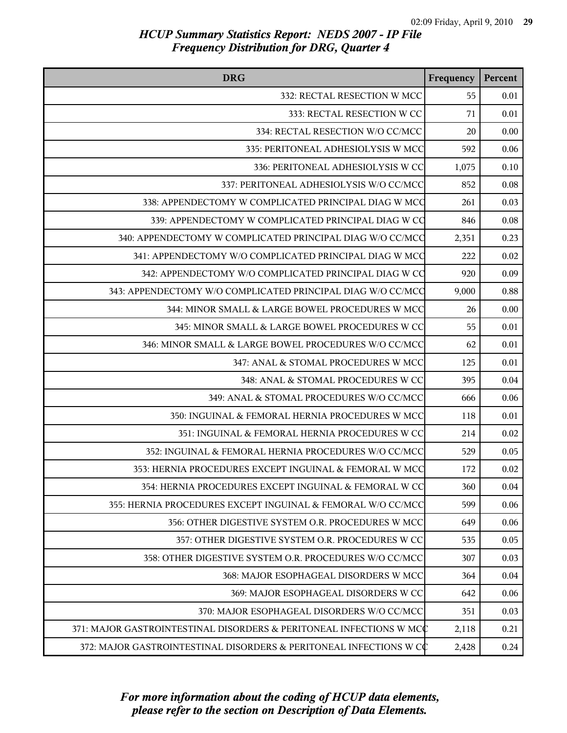| <b>DRG</b>                                                          | Frequency | Percent |
|---------------------------------------------------------------------|-----------|---------|
| 332: RECTAL RESECTION W MCC                                         | 55        | 0.01    |
| 333: RECTAL RESECTION W CC                                          | 71        | 0.01    |
| 334: RECTAL RESECTION W/O CC/MCC                                    | 20        | 0.00    |
| 335: PERITONEAL ADHESIOLYSIS W MCC                                  | 592       | 0.06    |
| 336: PERITONEAL ADHESIOLYSIS W CC                                   | 1,075     | 0.10    |
| 337: PERITONEAL ADHESIOLYSIS W/O CC/MCC                             | 852       | 0.08    |
| 338: APPENDECTOMY W COMPLICATED PRINCIPAL DIAG W MCC                | 261       | 0.03    |
| 339: APPENDECTOMY W COMPLICATED PRINCIPAL DIAG W CO                 | 846       | 0.08    |
| 340: APPENDECTOMY W COMPLICATED PRINCIPAL DIAG W/O CC/MCC           | 2,351     | 0.23    |
| 341: APPENDECTOMY W/O COMPLICATED PRINCIPAL DIAG W MCC              | 222       | 0.02    |
| 342: APPENDECTOMY W/O COMPLICATED PRINCIPAL DIAG W CO               | 920       | 0.09    |
| 343: APPENDECTOMY W/O COMPLICATED PRINCIPAL DIAG W/O CC/MCC         | 9,000     | 0.88    |
| 344: MINOR SMALL & LARGE BOWEL PROCEDURES W MCC                     | 26        | 0.00    |
| 345: MINOR SMALL & LARGE BOWEL PROCEDURES W CC                      | 55        | 0.01    |
| 346: MINOR SMALL & LARGE BOWEL PROCEDURES W/O CC/MCC                | 62        | 0.01    |
| 347: ANAL & STOMAL PROCEDURES W MCC                                 | 125       | 0.01    |
| 348: ANAL & STOMAL PROCEDURES W CC                                  | 395       | 0.04    |
| 349: ANAL & STOMAL PROCEDURES W/O CC/MCC                            | 666       | 0.06    |
| 350: INGUINAL & FEMORAL HERNIA PROCEDURES W MCC                     | 118       | 0.01    |
| 351: INGUINAL & FEMORAL HERNIA PROCEDURES W CC                      | 214       | 0.02    |
| 352: INGUINAL & FEMORAL HERNIA PROCEDURES W/O CC/MCC                | 529       | 0.05    |
| 353: HERNIA PROCEDURES EXCEPT INGUINAL & FEMORAL W MCC              | 172       | 0.02    |
| 354: HERNIA PROCEDURES EXCEPT INGUINAL & FEMORAL W CC               | 360       | 0.04    |
| 355: HERNIA PROCEDURES EXCEPT INGUINAL & FEMORAL W/O CC/MCC         | 599       | 0.06    |
| 356: OTHER DIGESTIVE SYSTEM O.R. PROCEDURES W MCC                   | 649       | 0.06    |
| 357: OTHER DIGESTIVE SYSTEM O.R. PROCEDURES W CC                    | 535       | 0.05    |
| 358: OTHER DIGESTIVE SYSTEM O.R. PROCEDURES W/O CC/MCC              | 307       | 0.03    |
| 368: MAJOR ESOPHAGEAL DISORDERS W MCC                               | 364       | 0.04    |
| 369: MAJOR ESOPHAGEAL DISORDERS W CC                                | 642       | 0.06    |
| 370: MAJOR ESOPHAGEAL DISORDERS W/O CC/MCC                          | 351       | 0.03    |
| 371: MAJOR GASTROINTESTINAL DISORDERS & PERITONEAL INFECTIONS W MCC | 2,118     | 0.21    |
| 372: MAJOR GASTROINTESTINAL DISORDERS & PERITONEAL INFECTIONS W CC  | 2,428     | 0.24    |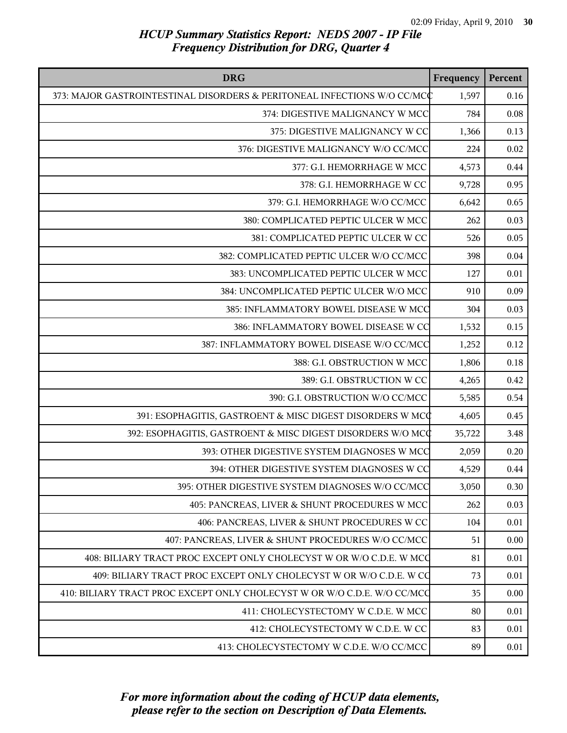| <b>DRG</b>                                                               | Frequency | Percent  |
|--------------------------------------------------------------------------|-----------|----------|
| 373: MAJOR GASTROINTESTINAL DISORDERS & PERITONEAL INFECTIONS W/O CC/MCC | 1,597     | 0.16     |
| 374: DIGESTIVE MALIGNANCY W MCC                                          | 784       | 0.08     |
| 375: DIGESTIVE MALIGNANCY W CC                                           | 1,366     | 0.13     |
| 376: DIGESTIVE MALIGNANCY W/O CC/MCC                                     | 224       | 0.02     |
| 377: G.I. HEMORRHAGE W MCC                                               | 4,573     | 0.44     |
| 378: G.I. HEMORRHAGE W CC                                                | 9,728     | 0.95     |
| 379: G.I. HEMORRHAGE W/O CC/MCC                                          | 6,642     | 0.65     |
| 380: COMPLICATED PEPTIC ULCER W MCC                                      | 262       | 0.03     |
| 381: COMPLICATED PEPTIC ULCER W CC                                       | 526       | 0.05     |
| 382: COMPLICATED PEPTIC ULCER W/O CC/MCC                                 | 398       | 0.04     |
| 383: UNCOMPLICATED PEPTIC ULCER W MCC                                    | 127       | 0.01     |
| 384: UNCOMPLICATED PEPTIC ULCER W/O MCC                                  | 910       | 0.09     |
| 385: INFLAMMATORY BOWEL DISEASE W MCC                                    | 304       | 0.03     |
| 386: INFLAMMATORY BOWEL DISEASE W CC                                     | 1,532     | 0.15     |
| 387: INFLAMMATORY BOWEL DISEASE W/O CC/MCC                               | 1,252     | 0.12     |
| 388: G.I. OBSTRUCTION W MCC                                              | 1,806     | $0.18\,$ |
| 389: G.I. OBSTRUCTION W CC                                               | 4,265     | 0.42     |
| 390: G.I. OBSTRUCTION W/O CC/MCC                                         | 5,585     | 0.54     |
| 391: ESOPHAGITIS, GASTROENT & MISC DIGEST DISORDERS W MCC                | 4,605     | 0.45     |
| 392: ESOPHAGITIS, GASTROENT & MISC DIGEST DISORDERS W/O MCC              | 35,722    | 3.48     |
| 393: OTHER DIGESTIVE SYSTEM DIAGNOSES W MCC                              | 2,059     | 0.20     |
| 394: OTHER DIGESTIVE SYSTEM DIAGNOSES W CC                               | 4,529     | 0.44     |
| 395: OTHER DIGESTIVE SYSTEM DIAGNOSES W/O CC/MCC                         | 3,050     | 0.30     |
| 405: PANCREAS, LIVER & SHUNT PROCEDURES W MCC                            | 262       | 0.03     |
| 406: PANCREAS, LIVER & SHUNT PROCEDURES W CC                             | 104       | 0.01     |
| 407: PANCREAS, LIVER & SHUNT PROCEDURES W/O CC/MCC                       | 51        | 0.00     |
| 408: BILIARY TRACT PROC EXCEPT ONLY CHOLECYST W OR W/O C.D.E. W MCC      | 81        | 0.01     |
| 409: BILIARY TRACT PROC EXCEPT ONLY CHOLECYST W OR W/O C.D.E. W CQ       | 73        | 0.01     |
| 410: BILIARY TRACT PROC EXCEPT ONLY CHOLECYST W OR W/O C.D.E. W/O CC/MCQ | 35        | 0.00     |
| 411: CHOLECYSTECTOMY W C.D.E. W MCC                                      | 80        | 0.01     |
| 412: CHOLECYSTECTOMY W C.D.E. W CC                                       | 83        | 0.01     |
| 413: CHOLECYSTECTOMY W C.D.E. W/O CC/MCC                                 | 89        | 0.01     |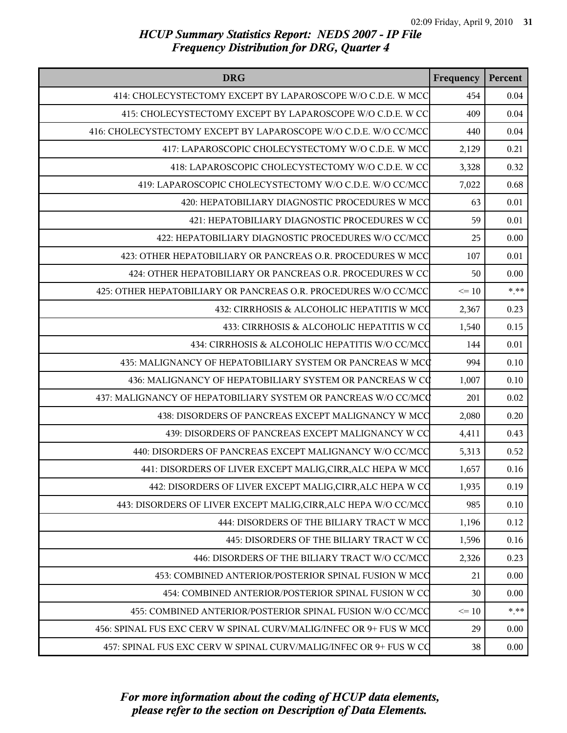| <b>DRG</b>                                                         | Frequency | Percent  |
|--------------------------------------------------------------------|-----------|----------|
| 414: CHOLECYSTECTOMY EXCEPT BY LAPAROSCOPE W/O C.D.E. W MCC        | 454       | 0.04     |
| 415: CHOLECYSTECTOMY EXCEPT BY LAPAROSCOPE W/O C.D.E. W CC         | 409       | 0.04     |
| 416: CHOLECYSTECTOMY EXCEPT BY LAPAROSCOPE W/O C.D.E. W/O CC/MCC   | 440       | $0.04\,$ |
| 417: LAPAROSCOPIC CHOLECYSTECTOMY W/O C.D.E. W MCC                 | 2,129     | 0.21     |
| 418: LAPAROSCOPIC CHOLECYSTECTOMY W/O C.D.E. W CC                  | 3,328     | 0.32     |
| 419: LAPAROSCOPIC CHOLECYSTECTOMY W/O C.D.E. W/O CC/MCC            | 7,022     | 0.68     |
| 420: HEPATOBILIARY DIAGNOSTIC PROCEDURES W MCC                     | 63        | 0.01     |
| 421: HEPATOBILIARY DIAGNOSTIC PROCEDURES W CC                      | 59        | 0.01     |
| 422: HEPATOBILIARY DIAGNOSTIC PROCEDURES W/O CC/MCC                | 25        | 0.00     |
| 423: OTHER HEPATOBILIARY OR PANCREAS O.R. PROCEDURES W MCC         | 107       | 0.01     |
| 424: OTHER HEPATOBILIARY OR PANCREAS O.R. PROCEDURES W CC          | 50        | 0.00     |
| 425: OTHER HEPATOBILIARY OR PANCREAS O.R. PROCEDURES W/O CC/MCC    | $\leq 10$ | $***$    |
| 432: CIRRHOSIS & ALCOHOLIC HEPATITIS W MCC                         | 2,367     | 0.23     |
| 433: CIRRHOSIS & ALCOHOLIC HEPATITIS W CO                          | 1,540     | 0.15     |
| 434: CIRRHOSIS & ALCOHOLIC HEPATITIS W/O CC/MCC                    | 144       | 0.01     |
| 435: MALIGNANCY OF HEPATOBILIARY SYSTEM OR PANCREAS W MCC          | 994       | 0.10     |
| 436: MALIGNANCY OF HEPATOBILIARY SYSTEM OR PANCREAS W CQ           | 1,007     | 0.10     |
| 437: MALIGNANCY OF HEPATOBILIARY SYSTEM OR PANCREAS W/O CC/MCQ     | 201       | $0.02\,$ |
| 438: DISORDERS OF PANCREAS EXCEPT MALIGNANCY W MCC                 | 2,080     | 0.20     |
| 439: DISORDERS OF PANCREAS EXCEPT MALIGNANCY W CC                  | 4,411     | 0.43     |
| 440: DISORDERS OF PANCREAS EXCEPT MALIGNANCY W/O CC/MCC            | 5,313     | 0.52     |
| 441: DISORDERS OF LIVER EXCEPT MALIG, CIRR, ALC HEPA W MCC         | 1,657     | 0.16     |
| 442: DISORDERS OF LIVER EXCEPT MALIG, CIRR, ALC HEPA W CO          | 1,935     | 0.19     |
| 443: DISORDERS OF LIVER EXCEPT MALIG, CIRR, ALC HEPA W/O CC/MCC    | 985       | 0.10     |
| 444: DISORDERS OF THE BILIARY TRACT W MCC                          | 1,196     | 0.12     |
| 445: DISORDERS OF THE BILIARY TRACT W CC                           | 1,596     | 0.16     |
| 446: DISORDERS OF THE BILIARY TRACT W/O CC/MCC                     | 2,326     | 0.23     |
| 453: COMBINED ANTERIOR/POSTERIOR SPINAL FUSION W MCC               | 21        | 0.00     |
| 454: COMBINED ANTERIOR/POSTERIOR SPINAL FUSION W CC                | 30        | 0.00     |
| 455: COMBINED ANTERIOR/POSTERIOR SPINAL FUSION W/O CC/MCC          | $\leq 10$ | $***$    |
| 456: SPINAL FUS EXC CERV W SPINAL CURV/MALIG/INFEC OR 9+ FUS W MCC | 29        | 0.00     |
| 457: SPINAL FUS EXC CERV W SPINAL CURV/MALIG/INFEC OR 9+ FUS W CO  | 38        | 0.00     |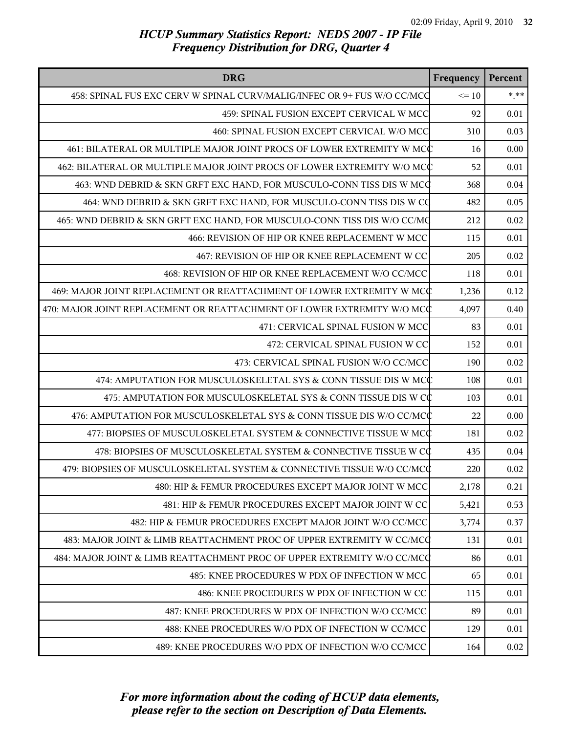| <b>DRG</b>                                                               | Frequency | Percent |
|--------------------------------------------------------------------------|-----------|---------|
| 458: SPINAL FUS EXC CERV W SPINAL CURV/MALIG/INFEC OR 9+ FUS W/O CC/MCQ  | $\leq 10$ | $***$   |
| 459: SPINAL FUSION EXCEPT CERVICAL W MCC                                 | 92        | 0.01    |
| 460: SPINAL FUSION EXCEPT CERVICAL W/O MCC                               | 310       | 0.03    |
| 461: BILATERAL OR MULTIPLE MAJOR JOINT PROCS OF LOWER EXTREMITY W MCC    | 16        | 0.00    |
| 462: BILATERAL OR MULTIPLE MAJOR JOINT PROCS OF LOWER EXTREMITY W/O MCC  | 52        | 0.01    |
| 463: WND DEBRID & SKN GRFT EXC HAND, FOR MUSCULO-CONN TISS DIS W MCQ     | 368       | 0.04    |
| 464: WND DEBRID & SKN GRFT EXC HAND, FOR MUSCULO-CONN TISS DIS W CQ      | 482       | 0.05    |
| 465: WND DEBRID & SKN GRFT EXC HAND, FOR MUSCULO-CONN TISS DIS W/O CC/MQ | 212       | 0.02    |
| 466: REVISION OF HIP OR KNEE REPLACEMENT W MCC                           | 115       | 0.01    |
| 467: REVISION OF HIP OR KNEE REPLACEMENT W CC                            | 205       | 0.02    |
| 468: REVISION OF HIP OR KNEE REPLACEMENT W/O CC/MCC                      | 118       | 0.01    |
| 469: MAJOR JOINT REPLACEMENT OR REATTACHMENT OF LOWER EXTREMITY W MCC    | 1,236     | 0.12    |
| 470: MAJOR JOINT REPLACEMENT OR REATTACHMENT OF LOWER EXTREMITY W/O MCC  | 4,097     | 0.40    |
| 471: CERVICAL SPINAL FUSION W MCC                                        | 83        | 0.01    |
| 472: CERVICAL SPINAL FUSION W CC                                         | 152       | 0.01    |
| 473: CERVICAL SPINAL FUSION W/O CC/MCC                                   | 190       | 0.02    |
| 474: AMPUTATION FOR MUSCULOSKELETAL SYS & CONN TISSUE DIS W MCC          | 108       | 0.01    |
| 475: AMPUTATION FOR MUSCULOSKELETAL SYS & CONN TISSUE DIS W CC           | 103       | 0.01    |
| 476: AMPUTATION FOR MUSCULOSKELETAL SYS & CONN TISSUE DIS W/O CC/MCC     | 22        | 0.00    |
| 477: BIOPSIES OF MUSCULOSKELETAL SYSTEM & CONNECTIVE TISSUE W MCC        | 181       | 0.02    |
| 478: BIOPSIES OF MUSCULOSKELETAL SYSTEM & CONNECTIVE TISSUE W CC         | 435       | 0.04    |
| 479: BIOPSIES OF MUSCULOSKELETAL SYSTEM & CONNECTIVE TISSUE W/O CC/MCC   | 220       | 0.02    |
| 480: HIP & FEMUR PROCEDURES EXCEPT MAJOR JOINT W MCC                     | 2,178     | 0.21    |
| 481: HIP & FEMUR PROCEDURES EXCEPT MAJOR JOINT W CC                      | 5,421     | 0.53    |
| 482: HIP & FEMUR PROCEDURES EXCEPT MAJOR JOINT W/O CC/MCC                | 3,774     | 0.37    |
| 483: MAJOR JOINT & LIMB REATTACHMENT PROC OF UPPER EXTREMITY W CC/MCQ    | 131       | 0.01    |
| 484: MAJOR JOINT & LIMB REATTACHMENT PROC OF UPPER EXTREMITY W/O CC/MCC  | 86        | 0.01    |
| 485: KNEE PROCEDURES W PDX OF INFECTION W MCC                            | 65        | 0.01    |
| 486: KNEE PROCEDURES W PDX OF INFECTION W CC                             | 115       | 0.01    |
| 487: KNEE PROCEDURES W PDX OF INFECTION W/O CC/MCC                       | 89        | 0.01    |
| 488: KNEE PROCEDURES W/O PDX OF INFECTION W CC/MCC                       | 129       | 0.01    |
| 489: KNEE PROCEDURES W/O PDX OF INFECTION W/O CC/MCC                     | 164       | 0.02    |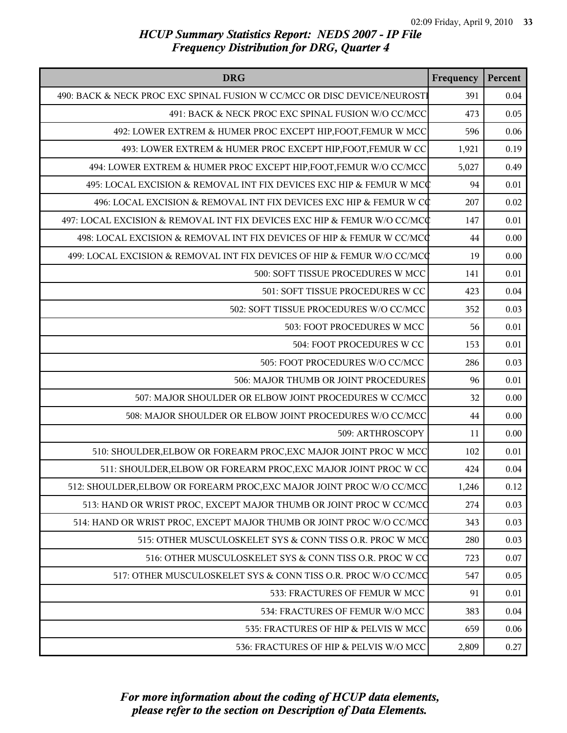| <b>DRG</b>                                                               | Frequency | Percent  |
|--------------------------------------------------------------------------|-----------|----------|
| 490: BACK & NECK PROC EXC SPINAL FUSION W CC/MCC OR DISC DEVICE/NEUROSTI | 391       | 0.04     |
| 491: BACK & NECK PROC EXC SPINAL FUSION W/O CC/MCC                       | 473       | 0.05     |
| 492: LOWER EXTREM & HUMER PROC EXCEPT HIP, FOOT, FEMUR W MCC             | 596       | 0.06     |
| 493: LOWER EXTREM & HUMER PROC EXCEPT HIP, FOOT, FEMUR W CC              | 1,921     | 0.19     |
| 494: LOWER EXTREM & HUMER PROC EXCEPT HIP, FOOT, FEMUR W/O CC/MCC        | 5,027     | 0.49     |
| 495: LOCAL EXCISION & REMOVAL INT FIX DEVICES EXC HIP & FEMUR W MCC      | 94        | 0.01     |
| 496: LOCAL EXCISION & REMOVAL INT FIX DEVICES EXC HIP & FEMUR W CC       | 207       | 0.02     |
| 497: LOCAL EXCISION & REMOVAL INT FIX DEVICES EXC HIP & FEMUR W/O CC/MCC | 147       | $0.01\,$ |
| 498: LOCAL EXCISION & REMOVAL INT FIX DEVICES OF HIP & FEMUR W CC/MCC    | 44        | 0.00     |
| 499: LOCAL EXCISION & REMOVAL INT FIX DEVICES OF HIP & FEMUR W/O CC/MCC  | 19        | 0.00     |
| 500: SOFT TISSUE PROCEDURES W MCC                                        | 141       | 0.01     |
| 501: SOFT TISSUE PROCEDURES W CC                                         | 423       | 0.04     |
| 502: SOFT TISSUE PROCEDURES W/O CC/MCC                                   | 352       | 0.03     |
| 503: FOOT PROCEDURES W MCC                                               | 56        | 0.01     |
| 504: FOOT PROCEDURES W CC                                                | 153       | 0.01     |
| 505: FOOT PROCEDURES W/O CC/MCC                                          | 286       | 0.03     |
| 506: MAJOR THUMB OR JOINT PROCEDURES                                     | 96        | 0.01     |
| 507: MAJOR SHOULDER OR ELBOW JOINT PROCEDURES W CC/MCC                   | 32        | 0.00     |
| 508: MAJOR SHOULDER OR ELBOW JOINT PROCEDURES W/O CC/MCC                 | 44        | 0.00     |
| 509: ARTHROSCOPY                                                         | 11        | 0.00     |
| 510: SHOULDER, ELBOW OR FOREARM PROC, EXC MAJOR JOINT PROC W MCC         | 102       | 0.01     |
| 511: SHOULDER, ELBOW OR FOREARM PROC, EXC MAJOR JOINT PROC W CC          | 424       | 0.04     |
| 512: SHOULDER, ELBOW OR FOREARM PROC, EXC MAJOR JOINT PROC W/O CC/MCC    | 1,246     | 0.12     |
| 513: HAND OR WRIST PROC, EXCEPT MAJOR THUMB OR JOINT PROC W CC/MCC       | 274       | 0.03     |
| 514: HAND OR WRIST PROC, EXCEPT MAJOR THUMB OR JOINT PROC W/O CC/MCC     | 343       | 0.03     |
| 515: OTHER MUSCULOSKELET SYS & CONN TISS O.R. PROC W MCC                 | 280       | 0.03     |
| 516: OTHER MUSCULOSKELET SYS & CONN TISS O.R. PROC W CC                  | 723       | 0.07     |
| 517: OTHER MUSCULOSKELET SYS & CONN TISS O.R. PROC W/O CC/MCC            | 547       | 0.05     |
| 533: FRACTURES OF FEMUR W MCC                                            | 91        | 0.01     |
| 534: FRACTURES OF FEMUR W/O MCC                                          | 383       | 0.04     |
| 535: FRACTURES OF HIP & PELVIS W MCC                                     | 659       | 0.06     |
| 536: FRACTURES OF HIP & PELVIS W/O MCC                                   | 2,809     | 0.27     |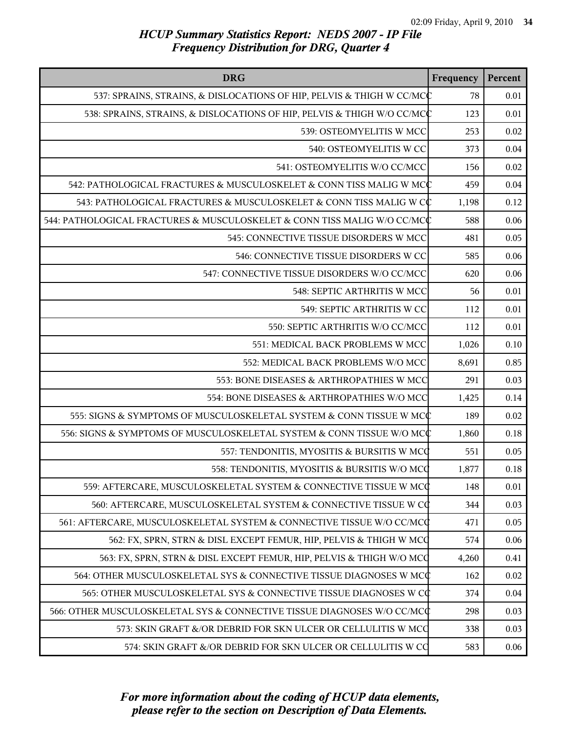| <b>DRG</b>                                                               | Frequency | Percent |
|--------------------------------------------------------------------------|-----------|---------|
| 537: SPRAINS, STRAINS, & DISLOCATIONS OF HIP, PELVIS & THIGH W CC/MCC    | 78        | 0.01    |
| 538: SPRAINS, STRAINS, & DISLOCATIONS OF HIP, PELVIS & THIGH W/O CC/MCC  | 123       | 0.01    |
| 539: OSTEOMYELITIS W MCC                                                 | 253       | 0.02    |
| 540: OSTEOMYELITIS W CC                                                  | 373       | 0.04    |
| 541: OSTEOMYELITIS W/O CC/MCC                                            | 156       | 0.02    |
| 542: PATHOLOGICAL FRACTURES & MUSCULOSKELET & CONN TISS MALIG W MCC      | 459       | 0.04    |
| 543: PATHOLOGICAL FRACTURES & MUSCULOSKELET & CONN TISS MALIG W CC       | 1,198     | 0.12    |
| 544: PATHOLOGICAL FRACTURES & MUSCULOSKELET & CONN TISS MALIG W/O CC/MCC | 588       | 0.06    |
| 545: CONNECTIVE TISSUE DISORDERS W MCC                                   | 481       | 0.05    |
| 546: CONNECTIVE TISSUE DISORDERS W CC                                    | 585       | 0.06    |
| 547: CONNECTIVE TISSUE DISORDERS W/O CC/MCC                              | 620       | 0.06    |
| 548: SEPTIC ARTHRITIS W MCC                                              | 56        | 0.01    |
| 549: SEPTIC ARTHRITIS W CC                                               | 112       | 0.01    |
| 550: SEPTIC ARTHRITIS W/O CC/MCC                                         | 112       | 0.01    |
| 551: MEDICAL BACK PROBLEMS W MCC                                         | 1,026     | 0.10    |
| 552: MEDICAL BACK PROBLEMS W/O MCC                                       | 8,691     | 0.85    |
| 553: BONE DISEASES & ARTHROPATHIES W MCC                                 | 291       | 0.03    |
| 554: BONE DISEASES & ARTHROPATHIES W/O MCC                               | 1,425     | 0.14    |
| 555: SIGNS & SYMPTOMS OF MUSCULOSKELETAL SYSTEM & CONN TISSUE W MCC      | 189       | 0.02    |
| 556: SIGNS & SYMPTOMS OF MUSCULOSKELETAL SYSTEM & CONN TISSUE W/O MCC    | 1,860     | 0.18    |
| 557: TENDONITIS, MYOSITIS & BURSITIS W MCC                               | 551       | 0.05    |
| 558: TENDONITIS, MYOSITIS & BURSITIS W/O MCC                             | 1,877     | 0.18    |
| 559: AFTERCARE, MUSCULOSKELETAL SYSTEM & CONNECTIVE TISSUE W MCC         | 148       | 0.01    |
| 560: AFTERCARE, MUSCULOSKELETAL SYSTEM & CONNECTIVE TISSUE W CC          | 344       | 0.03    |
| 561: AFTERCARE, MUSCULOSKELETAL SYSTEM & CONNECTIVE TISSUE W/O CC/MCQ    | 471       | 0.05    |
| 562: FX, SPRN, STRN & DISL EXCEPT FEMUR, HIP, PELVIS & THIGH W MCC       | 574       | 0.06    |
| 563: FX, SPRN, STRN & DISL EXCEPT FEMUR, HIP, PELVIS & THIGH W/O MCC     | 4,260     | 0.41    |
| 564: OTHER MUSCULOSKELETAL SYS & CONNECTIVE TISSUE DIAGNOSES W MCC       | 162       | 0.02    |
| 565: OTHER MUSCULOSKELETAL SYS & CONNECTIVE TISSUE DIAGNOSES W CC        | 374       | 0.04    |
| 566: OTHER MUSCULOSKELETAL SYS & CONNECTIVE TISSUE DIAGNOSES W/O CC/MCC  | 298       | 0.03    |
| 573: SKIN GRAFT &/OR DEBRID FOR SKN ULCER OR CELLULITIS W MCC            | 338       | 0.03    |
| 574: SKIN GRAFT &/OR DEBRID FOR SKN ULCER OR CELLULITIS W CO             | 583       | 0.06    |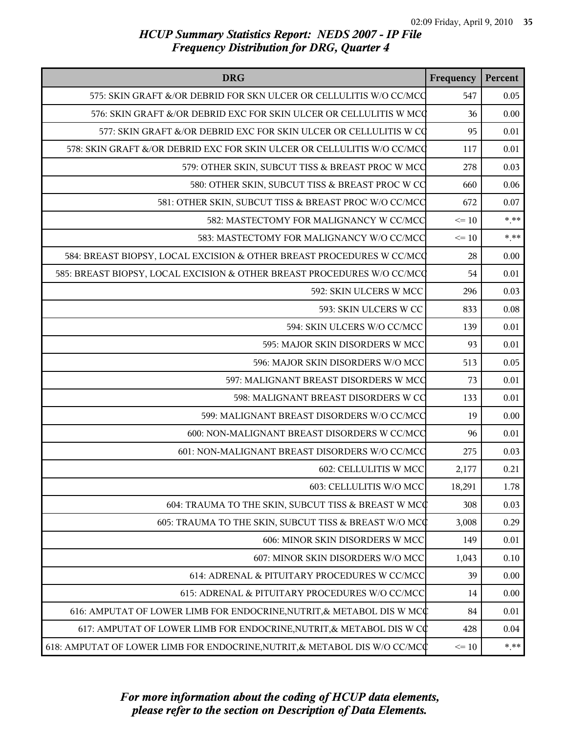| <b>DRG</b>                                                                 | Frequency       | Percent |
|----------------------------------------------------------------------------|-----------------|---------|
| 575: SKIN GRAFT &/OR DEBRID FOR SKN ULCER OR CELLULITIS W/O CC/MCC         | 547             | 0.05    |
| 576: SKIN GRAFT &/OR DEBRID EXC FOR SKIN ULCER OR CELLULITIS W MCC         | 36              | 0.00    |
| 577: SKIN GRAFT &/OR DEBRID EXC FOR SKIN ULCER OR CELLULITIS W CQ          | 95              | 0.01    |
| 578: SKIN GRAFT &/OR DEBRID EXC FOR SKIN ULCER OR CELLULITIS W/O CC/MCQ    | 117             | 0.01    |
| 579: OTHER SKIN, SUBCUT TISS & BREAST PROC W MCC                           | 278             | 0.03    |
| 580: OTHER SKIN, SUBCUT TISS & BREAST PROC W CC                            | 660             | 0.06    |
| 581: OTHER SKIN, SUBCUT TISS & BREAST PROC W/O CC/MCC                      | 672             | 0.07    |
| 582: MASTECTOMY FOR MALIGNANCY W CC/MCC                                    | $\leq 10$       | $* * *$ |
| 583: MASTECTOMY FOR MALIGNANCY W/O CC/MCC                                  | $\Leftarrow$ 10 | $***$   |
| 584: BREAST BIOPSY, LOCAL EXCISION & OTHER BREAST PROCEDURES W CC/MCQ      | 28              | 0.00    |
| 585: BREAST BIOPSY, LOCAL EXCISION & OTHER BREAST PROCEDURES W/O CC/MCQ    | 54              | 0.01    |
| 592: SKIN ULCERS W MCC                                                     | 296             | 0.03    |
| 593: SKIN ULCERS W CC                                                      | 833             | 0.08    |
| 594: SKIN ULCERS W/O CC/MCC                                                | 139             | 0.01    |
| 595: MAJOR SKIN DISORDERS W MCC                                            | 93              | 0.01    |
| 596: MAJOR SKIN DISORDERS W/O MCC                                          | 513             | 0.05    |
| 597: MALIGNANT BREAST DISORDERS W MCC                                      | 73              | 0.01    |
| 598: MALIGNANT BREAST DISORDERS W CC                                       | 133             | 0.01    |
| 599: MALIGNANT BREAST DISORDERS W/O CC/MCC                                 | 19              | 0.00    |
| 600: NON-MALIGNANT BREAST DISORDERS W CC/MCC                               | 96              | 0.01    |
| 601: NON-MALIGNANT BREAST DISORDERS W/O CC/MCC                             | 275             | 0.03    |
| 602: CELLULITIS W MCC                                                      | 2,177           | 0.21    |
| 603: CELLULITIS W/O MCC                                                    | 18,291          | 1.78    |
| 604: TRAUMA TO THE SKIN, SUBCUT TISS & BREAST W MCC                        | 308             | 0.03    |
| 605: TRAUMA TO THE SKIN, SUBCUT TISS & BREAST W/O MCC                      | 3,008           | 0.29    |
| 606: MINOR SKIN DISORDERS W MCC                                            | 149             | 0.01    |
| 607: MINOR SKIN DISORDERS W/O MCC                                          | 1,043           | 0.10    |
| 614: ADRENAL & PITUITARY PROCEDURES W CC/MCC                               | 39              | 0.00    |
| 615: ADRENAL & PITUITARY PROCEDURES W/O CC/MCC                             | 14              | 0.00    |
| 616: AMPUTAT OF LOWER LIMB FOR ENDOCRINE, NUTRIT, & METABOL DIS W MCC      | 84              | 0.01    |
| 617: AMPUTAT OF LOWER LIMB FOR ENDOCRINE, NUTRIT, & METABOL DIS W CC       | 428             | 0.04    |
| 618: AMPUTAT OF LOWER LIMB FOR ENDOCRINE, NUTRIT, & METABOL DIS W/O CC/MCC | $\leq 10$       | $* * *$ |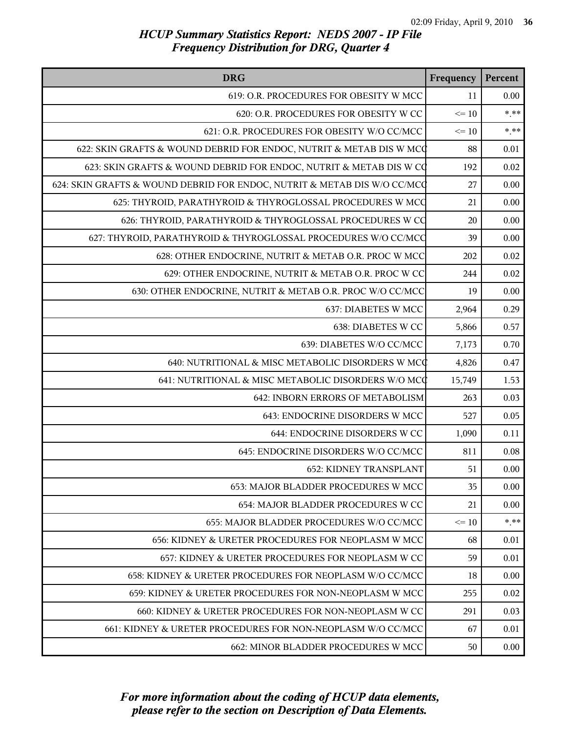| <b>DRG</b>                                                               | Frequency | Percent |
|--------------------------------------------------------------------------|-----------|---------|
| 619: O.R. PROCEDURES FOR OBESITY W MCC                                   | 11        | 0.00    |
| 620: O.R. PROCEDURES FOR OBESITY W CC                                    | $\leq 10$ | $* * *$ |
| 621: O.R. PROCEDURES FOR OBESITY W/O CC/MCC                              | $\leq 10$ | $* * *$ |
| 622: SKIN GRAFTS & WOUND DEBRID FOR ENDOC, NUTRIT & METAB DIS W MCC      | 88        | 0.01    |
| 623: SKIN GRAFTS & WOUND DEBRID FOR ENDOC, NUTRIT & METAB DIS W CO       | 192       | 0.02    |
| 624: SKIN GRAFTS & WOUND DEBRID FOR ENDOC, NUTRIT & METAB DIS W/O CC/MCC | 27        | 0.00    |
| 625: THYROID, PARATHYROID & THYROGLOSSAL PROCEDURES W MCC                | 21        | 0.00    |
| 626: THYROID, PARATHYROID & THYROGLOSSAL PROCEDURES W CO                 | 20        | 0.00    |
| 627: THYROID, PARATHYROID & THYROGLOSSAL PROCEDURES W/O CC/MCC           | 39        | 0.00    |
| 628: OTHER ENDOCRINE, NUTRIT & METAB O.R. PROC W MCC                     | 202       | 0.02    |
| 629: OTHER ENDOCRINE, NUTRIT & METAB O.R. PROC W CC                      | 244       | 0.02    |
| 630: OTHER ENDOCRINE, NUTRIT & METAB O.R. PROC W/O CC/MCC                | 19        | 0.00    |
| 637: DIABETES W MCC                                                      | 2,964     | 0.29    |
| 638: DIABETES W CC                                                       | 5,866     | 0.57    |
| 639: DIABETES W/O CC/MCC                                                 | 7,173     | 0.70    |
| 640: NUTRITIONAL & MISC METABOLIC DISORDERS W MCC                        | 4,826     | 0.47    |
| 641: NUTRITIONAL & MISC METABOLIC DISORDERS W/O MCC                      | 15,749    | 1.53    |
| 642: INBORN ERRORS OF METABOLISM                                         | 263       | 0.03    |
| 643: ENDOCRINE DISORDERS W MCC                                           | 527       | 0.05    |
| 644: ENDOCRINE DISORDERS W CC                                            | 1,090     | 0.11    |
| 645: ENDOCRINE DISORDERS W/O CC/MCC                                      | 811       | 0.08    |
| 652: KIDNEY TRANSPLANT                                                   | 51        | 0.00    |
| 653: MAJOR BLADDER PROCEDURES W MCC                                      | 35        | 0.00    |
| 654: MAJOR BLADDER PROCEDURES W CC                                       | 21        | 0.00    |
| 655: MAJOR BLADDER PROCEDURES W/O CC/MCC                                 | $\leq 10$ | $* * *$ |
| 656: KIDNEY & URETER PROCEDURES FOR NEOPLASM W MCC                       | 68        | 0.01    |
| 657: KIDNEY & URETER PROCEDURES FOR NEOPLASM W CC                        | 59        | 0.01    |
| 658: KIDNEY & URETER PROCEDURES FOR NEOPLASM W/O CC/MCC                  | 18        | 0.00    |
| 659: KIDNEY & URETER PROCEDURES FOR NON-NEOPLASM W MCC                   | 255       | 0.02    |
| 660: KIDNEY & URETER PROCEDURES FOR NON-NEOPLASM W CC                    | 291       | 0.03    |
| 661: KIDNEY & URETER PROCEDURES FOR NON-NEOPLASM W/O CC/MCC              | 67        | 0.01    |
| 662: MINOR BLADDER PROCEDURES W MCC                                      | 50        | 0.00    |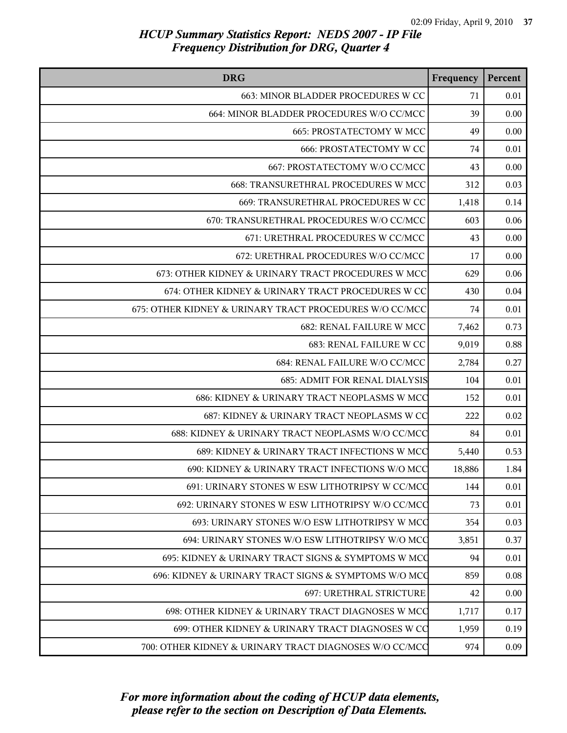| <b>DRG</b>                                              | Frequency | Percent |
|---------------------------------------------------------|-----------|---------|
| 663: MINOR BLADDER PROCEDURES W CC                      | 71        | 0.01    |
| 664: MINOR BLADDER PROCEDURES W/O CC/MCC                | 39        | 0.00    |
| 665: PROSTATECTOMY W MCC                                | 49        | 0.00    |
| <b>666: PROSTATECTOMY W CC</b>                          | 74        | 0.01    |
| 667: PROSTATECTOMY W/O CC/MCC                           | 43        | 0.00    |
| 668: TRANSURETHRAL PROCEDURES W MCC                     | 312       | 0.03    |
| 669: TRANSURETHRAL PROCEDURES W CC                      | 1,418     | 0.14    |
| 670: TRANSURETHRAL PROCEDURES W/O CC/MCC                | 603       | 0.06    |
| 671: URETHRAL PROCEDURES W CC/MCC                       | 43        | 0.00    |
| 672: URETHRAL PROCEDURES W/O CC/MCC                     | 17        | 0.00    |
| 673: OTHER KIDNEY & URINARY TRACT PROCEDURES W MCC      | 629       | 0.06    |
| 674: OTHER KIDNEY & URINARY TRACT PROCEDURES W CC       | 430       | 0.04    |
| 675: OTHER KIDNEY & URINARY TRACT PROCEDURES W/O CC/MCC | 74        | 0.01    |
| <b>682: RENAL FAILURE W MCC</b>                         | 7,462     | 0.73    |
| 683: RENAL FAILURE W CC                                 | 9,019     | 0.88    |
| 684: RENAL FAILURE W/O CC/MCC                           | 2,784     | 0.27    |
| <b>685: ADMIT FOR RENAL DIALYSIS</b>                    | 104       | 0.01    |
| 686: KIDNEY & URINARY TRACT NEOPLASMS W MCC             | 152       | 0.01    |
| 687: KIDNEY & URINARY TRACT NEOPLASMS W CC              | 222       | 0.02    |
| 688: KIDNEY & URINARY TRACT NEOPLASMS W/O CC/MCC        | 84        | 0.01    |
| 689: KIDNEY & URINARY TRACT INFECTIONS W MCC            | 5,440     | 0.53    |
| 690: KIDNEY & URINARY TRACT INFECTIONS W/O MCC          | 18,886    | 1.84    |
| 691: URINARY STONES W ESW LITHOTRIPSY W CC/MCC          | 144       | 0.01    |
| 692: URINARY STONES W ESW LITHOTRIPSY W/O CC/MCC        | 73        | 0.01    |
| 693: URINARY STONES W/O ESW LITHOTRIPSY W MCC           | 354       | 0.03    |
| 694: URINARY STONES W/O ESW LITHOTRIPSY W/O MCC         | 3,851     | 0.37    |
| 695: KIDNEY & URINARY TRACT SIGNS & SYMPTOMS W MCC      | 94        | 0.01    |
| 696: KIDNEY & URINARY TRACT SIGNS & SYMPTOMS W/O MCC    | 859       | 0.08    |
| <b>697: URETHRAL STRICTURE</b>                          | 42        | 0.00    |
| 698: OTHER KIDNEY & URINARY TRACT DIAGNOSES W MCC       | 1,717     | 0.17    |
| 699: OTHER KIDNEY & URINARY TRACT DIAGNOSES W CO        | 1,959     | 0.19    |
| 700: OTHER KIDNEY & URINARY TRACT DIAGNOSES W/O CC/MCC  | 974       | 0.09    |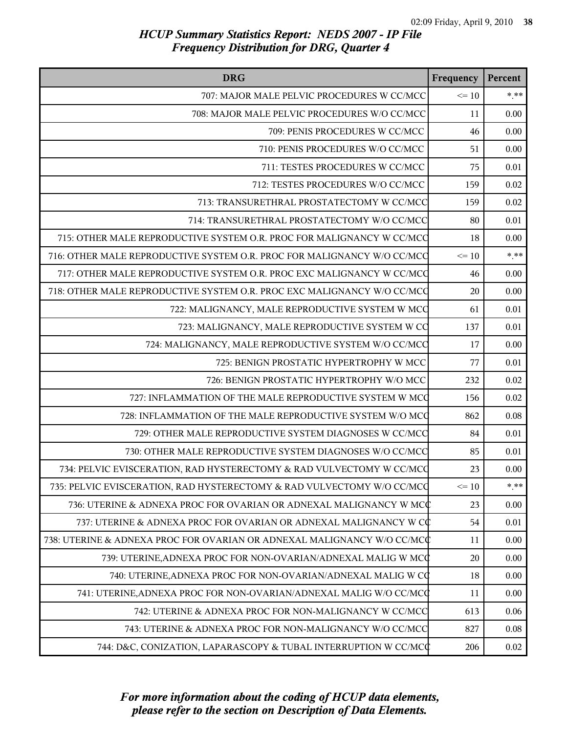| <b>DRG</b>                                                              | Frequency | Percent |
|-------------------------------------------------------------------------|-----------|---------|
| 707: MAJOR MALE PELVIC PROCEDURES W CC/MCC                              | $\leq 10$ | $* * *$ |
| 708: MAJOR MALE PELVIC PROCEDURES W/O CC/MCC                            | 11        | 0.00    |
| 709: PENIS PROCEDURES W CC/MCC                                          | 46        | 0.00    |
| 710: PENIS PROCEDURES W/O CC/MCC                                        | 51        | 0.00    |
| 711: TESTES PROCEDURES W CC/MCC                                         | 75        | 0.01    |
| 712: TESTES PROCEDURES W/O CC/MCC                                       | 159       | 0.02    |
| 713: TRANSURETHRAL PROSTATECTOMY W CC/MCC                               | 159       | 0.02    |
| 714: TRANSURETHRAL PROSTATECTOMY W/O CC/MCC                             | 80        | 0.01    |
| 715: OTHER MALE REPRODUCTIVE SYSTEM O.R. PROC FOR MALIGNANCY W CC/MCC   | 18        | 0.00    |
| 716: OTHER MALE REPRODUCTIVE SYSTEM O.R. PROC FOR MALIGNANCY W/O CC/MCC | $\leq 10$ | $***$   |
| 717: OTHER MALE REPRODUCTIVE SYSTEM O.R. PROC EXC MALIGNANCY W CC/MCC   | 46        | 0.00    |
| 718: OTHER MALE REPRODUCTIVE SYSTEM O.R. PROC EXC MALIGNANCY W/O CC/MCC | 20        | 0.00    |
| 722: MALIGNANCY, MALE REPRODUCTIVE SYSTEM W MCC                         | 61        | 0.01    |
| 723: MALIGNANCY, MALE REPRODUCTIVE SYSTEM W CO                          | 137       | 0.01    |
| 724: MALIGNANCY, MALE REPRODUCTIVE SYSTEM W/O CC/MCC                    | 17        | 0.00    |
| 725: BENIGN PROSTATIC HYPERTROPHY W MCC                                 | 77        | 0.01    |
| 726: BENIGN PROSTATIC HYPERTROPHY W/O MCC                               | 232       | 0.02    |
| 727: INFLAMMATION OF THE MALE REPRODUCTIVE SYSTEM W MCC                 | 156       | 0.02    |
| 728: INFLAMMATION OF THE MALE REPRODUCTIVE SYSTEM W/O MCC               | 862       | 0.08    |
| 729: OTHER MALE REPRODUCTIVE SYSTEM DIAGNOSES W CC/MCC                  | 84        | 0.01    |
| 730: OTHER MALE REPRODUCTIVE SYSTEM DIAGNOSES W/O CC/MCC                | 85        | 0.01    |
| 734: PELVIC EVISCERATION, RAD HYSTERECTOMY & RAD VULVECTOMY W CC/MCQ    | 23        | 0.00    |
| 735: PELVIC EVISCERATION, RAD HYSTERECTOMY & RAD VULVECTOMY W/O CC/MCQ  | $\leq 10$ | $***$   |
| 736: UTERINE & ADNEXA PROC FOR OVARIAN OR ADNEXAL MALIGNANCY W MCC      | 23        | 0.00    |
| 737: UTERINE & ADNEXA PROC FOR OVARIAN OR ADNEXAL MALIGNANCY W CC       | 54        | 0.01    |
| 738: UTERINE & ADNEXA PROC FOR OVARIAN OR ADNEXAL MALIGNANCY W/O CC/MCC | 11        | 0.00    |
| 739: UTERINE, ADNEXA PROC FOR NON-OVARIAN/ADNEXAL MALIG W MCC           | 20        | 0.00    |
| 740: UTERINE, ADNEXA PROC FOR NON-OVARIAN/ADNEXAL MALIG W CQ            | 18        | 0.00    |
| 741: UTERINE, ADNEXA PROC FOR NON-OVARIAN/ADNEXAL MALIG W/O CC/MCC      | 11        | 0.00    |
| 742: UTERINE & ADNEXA PROC FOR NON-MALIGNANCY W CC/MCC                  | 613       | 0.06    |
| 743: UTERINE & ADNEXA PROC FOR NON-MALIGNANCY W/O CC/MCC                | 827       | 0.08    |
| 744: D&C, CONIZATION, LAPARASCOPY & TUBAL INTERRUPTION W CC/MCC         | 206       | 0.02    |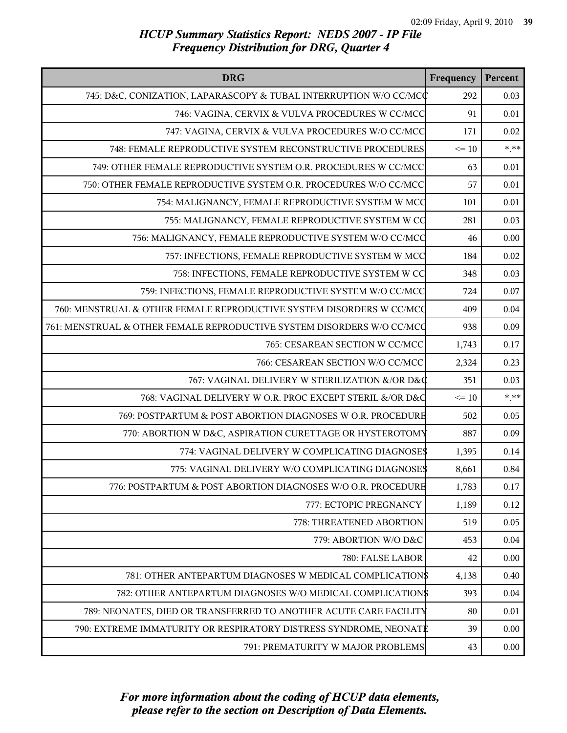| <b>DRG</b>                                                             | Frequency | Percent |
|------------------------------------------------------------------------|-----------|---------|
| 745: D&C, CONIZATION, LAPARASCOPY & TUBAL INTERRUPTION W/O CC/MCC      | 292       | 0.03    |
| 746: VAGINA, CERVIX & VULVA PROCEDURES W CC/MCC                        | 91        | 0.01    |
| 747: VAGINA, CERVIX & VULVA PROCEDURES W/O CC/MCC                      | 171       | 0.02    |
| 748: FEMALE REPRODUCTIVE SYSTEM RECONSTRUCTIVE PROCEDURES              | $\leq 10$ | $***$   |
| 749: OTHER FEMALE REPRODUCTIVE SYSTEM O.R. PROCEDURES W CC/MCC         | 63        | 0.01    |
| 750: OTHER FEMALE REPRODUCTIVE SYSTEM O.R. PROCEDURES W/O CC/MCC       | 57        | 0.01    |
| 754: MALIGNANCY, FEMALE REPRODUCTIVE SYSTEM W MCC                      | 101       | 0.01    |
| 755: MALIGNANCY, FEMALE REPRODUCTIVE SYSTEM W CO                       | 281       | 0.03    |
| 756: MALIGNANCY, FEMALE REPRODUCTIVE SYSTEM W/O CC/MCC                 | 46        | 0.00    |
| 757: INFECTIONS, FEMALE REPRODUCTIVE SYSTEM W MCC                      | 184       | 0.02    |
| 758: INFECTIONS, FEMALE REPRODUCTIVE SYSTEM W CC                       | 348       | 0.03    |
| 759: INFECTIONS, FEMALE REPRODUCTIVE SYSTEM W/O CC/MCC                 | 724       | 0.07    |
| 760: MENSTRUAL & OTHER FEMALE REPRODUCTIVE SYSTEM DISORDERS W CC/MCC   | 409       | 0.04    |
| 761: MENSTRUAL & OTHER FEMALE REPRODUCTIVE SYSTEM DISORDERS W/O CC/MCC | 938       | 0.09    |
| 765: CESAREAN SECTION W CC/MCC                                         | 1,743     | 0.17    |
| 766: CESAREAN SECTION W/O CC/MCC                                       | 2,324     | 0.23    |
| 767: VAGINAL DELIVERY W STERILIZATION &/OR D&Q                         | 351       | 0.03    |
| 768: VAGINAL DELIVERY W O.R. PROC EXCEPT STERIL &/OR D&C               | $\leq 10$ | $* * *$ |
| 769: POSTPARTUM & POST ABORTION DIAGNOSES W O.R. PROCEDURE             | 502       | 0.05    |
| 770: ABORTION W D&C, ASPIRATION CURETTAGE OR HYSTEROTOMY               | 887       | 0.09    |
| 774: VAGINAL DELIVERY W COMPLICATING DIAGNOSES                         | 1,395     | 0.14    |
| 775: VAGINAL DELIVERY W/O COMPLICATING DIAGNOSES                       | 8,661     | 0.84    |
| 776: POSTPARTUM & POST ABORTION DIAGNOSES W/O O.R. PROCEDURE           | 1,783     | 0.17    |
| 777: ECTOPIC PREGNANCY                                                 | 1,189     | 0.12    |
| 778: THREATENED ABORTION                                               | 519       | 0.05    |
| 779: ABORTION W/O D&C                                                  | 453       | 0.04    |
| 780: FALSE LABOR                                                       | 42        | 0.00    |
| 781: OTHER ANTEPARTUM DIAGNOSES W MEDICAL COMPLICATION\$               | 4,138     | 0.40    |
| 782: OTHER ANTEPARTUM DIAGNOSES W/O MEDICAL COMPLICATION\$             | 393       | 0.04    |
| 789: NEONATES, DIED OR TRANSFERRED TO ANOTHER ACUTE CARE FACILITY      | 80        | 0.01    |
| 790: EXTREME IMMATURITY OR RESPIRATORY DISTRESS SYNDROME, NEONATE      | 39        | 0.00    |
| 791: PREMATURITY W MAJOR PROBLEMS                                      | 43        | 0.00    |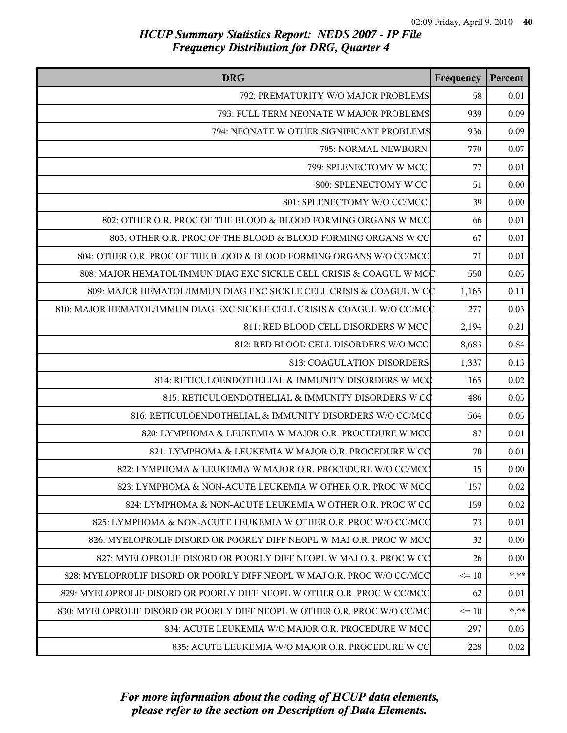| <b>DRG</b>                                                               | Frequency | Percent  |
|--------------------------------------------------------------------------|-----------|----------|
| 792: PREMATURITY W/O MAJOR PROBLEMS                                      | 58        | 0.01     |
| 793: FULL TERM NEONATE W MAJOR PROBLEMS                                  | 939       | 0.09     |
| 794: NEONATE W OTHER SIGNIFICANT PROBLEMS                                | 936       | 0.09     |
| 795: NORMAL NEWBORN                                                      | 770       | 0.07     |
| 799: SPLENECTOMY W MCC                                                   | 77        | 0.01     |
| 800: SPLENECTOMY W CC                                                    | 51        | 0.00     |
| 801: SPLENECTOMY W/O CC/MCC                                              | 39        | 0.00     |
| 802: OTHER O.R. PROC OF THE BLOOD & BLOOD FORMING ORGANS W MCC           | 66        | 0.01     |
| 803: OTHER O.R. PROC OF THE BLOOD & BLOOD FORMING ORGANS W CC            | 67        | 0.01     |
| 804: OTHER O.R. PROC OF THE BLOOD & BLOOD FORMING ORGANS W/O CC/MCC      | 71        | 0.01     |
| 808: MAJOR HEMATOL/IMMUN DIAG EXC SICKLE CELL CRISIS & COAGUL W MCC      | 550       | 0.05     |
| 809: MAJOR HEMATOL/IMMUN DIAG EXC SICKLE CELL CRISIS & COAGUL W CC       | 1,165     | 0.11     |
| 810: MAJOR HEMATOL/IMMUN DIAG EXC SICKLE CELL CRISIS & COAGUL W/O CC/MCC | 277       | 0.03     |
| 811: RED BLOOD CELL DISORDERS W MCC                                      | 2,194     | 0.21     |
| 812: RED BLOOD CELL DISORDERS W/O MCC                                    | 8,683     | 0.84     |
| 813: COAGULATION DISORDERS                                               | 1,337     | 0.13     |
| 814: RETICULOENDOTHELIAL & IMMUNITY DISORDERS W MCC                      | 165       | 0.02     |
| 815: RETICULOENDOTHELIAL & IMMUNITY DISORDERS W CO                       | 486       | 0.05     |
| 816: RETICULOENDOTHELIAL & IMMUNITY DISORDERS W/O CC/MCQ                 | 564       | 0.05     |
| 820: LYMPHOMA & LEUKEMIA W MAJOR O.R. PROCEDURE W MCC                    | 87        | 0.01     |
| 821: LYMPHOMA & LEUKEMIA W MAJOR O.R. PROCEDURE W CC                     | 70        | 0.01     |
| 822: LYMPHOMA & LEUKEMIA W MAJOR O.R. PROCEDURE W/O CC/MCC               | 15        | 0.00     |
| 823: LYMPHOMA & NON-ACUTE LEUKEMIA W OTHER O.R. PROC W MCC               | 157       | 0.02     |
| 824: LYMPHOMA & NON-ACUTE LEUKEMIA W OTHER O.R. PROC W CC                | 159       | 0.02     |
| 825: LYMPHOMA & NON-ACUTE LEUKEMIA W OTHER O.R. PROC W/O CC/MCC          | 73        | 0.01     |
| 826: MYELOPROLIF DISORD OR POORLY DIFF NEOPL W MAJ O.R. PROC W MCC       | 32        | 0.00     |
| 827: MYELOPROLIF DISORD OR POORLY DIFF NEOPL W MAJ O.R. PROC W CC        | 26        | 0.00     |
| 828: MYELOPROLIF DISORD OR POORLY DIFF NEOPL W MAJ O.R. PROC W/O CC/MCC  | $\leq 10$ | $*$ $**$ |
| 829: MYELOPROLIF DISORD OR POORLY DIFF NEOPL W OTHER O.R. PROC W CC/MCC  | 62        | 0.01     |
| 830: MYELOPROLIF DISORD OR POORLY DIFF NEOPL W OTHER O.R. PROC W/O CC/MC | $\leq 10$ | $*$ **   |
| 834: ACUTE LEUKEMIA W/O MAJOR O.R. PROCEDURE W MCC                       | 297       | 0.03     |
| 835: ACUTE LEUKEMIA W/O MAJOR O.R. PROCEDURE W CC                        | 228       | 0.02     |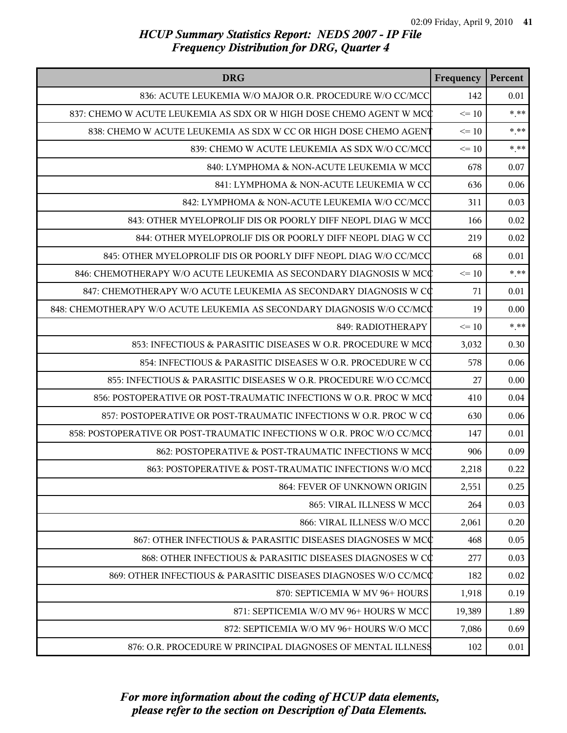| <b>DRG</b>                                                             | Frequency | Percent |
|------------------------------------------------------------------------|-----------|---------|
| 836: ACUTE LEUKEMIA W/O MAJOR O.R. PROCEDURE W/O CC/MCC                | 142       | 0.01    |
| 837: CHEMO W ACUTE LEUKEMIA AS SDX OR W HIGH DOSE CHEMO AGENT W MCC    | $\leq 10$ | $*$ **  |
| 838: CHEMO W ACUTE LEUKEMIA AS SDX W CC OR HIGH DOSE CHEMO AGENT       | $\leq 10$ | $***$   |
| 839: CHEMO W ACUTE LEUKEMIA AS SDX W/O CC/MCC                          | $\leq 10$ | $***$   |
| 840: LYMPHOMA & NON-ACUTE LEUKEMIA W MCC                               | 678       | 0.07    |
| 841: LYMPHOMA & NON-ACUTE LEUKEMIA W CC                                | 636       | 0.06    |
| 842: LYMPHOMA & NON-ACUTE LEUKEMIA W/O CC/MCC                          | 311       | 0.03    |
| 843: OTHER MYELOPROLIF DIS OR POORLY DIFF NEOPL DIAG W MCC             | 166       | 0.02    |
| 844: OTHER MYELOPROLIF DIS OR POORLY DIFF NEOPL DIAG W CC              | 219       | 0.02    |
| 845: OTHER MYELOPROLIF DIS OR POORLY DIFF NEOPL DIAG W/O CC/MCC        | 68        | 0.01    |
| 846: CHEMOTHERAPY W/O ACUTE LEUKEMIA AS SECONDARY DIAGNOSIS W MCC      | $\leq 10$ | $***$   |
| 847: CHEMOTHERAPY W/O ACUTE LEUKEMIA AS SECONDARY DIAGNOSIS W CC       | 71        | 0.01    |
| 848: CHEMOTHERAPY W/O ACUTE LEUKEMIA AS SECONDARY DIAGNOSIS W/O CC/MCC | 19        | 0.00    |
| 849: RADIOTHERAPY                                                      | $\leq 10$ | $***$   |
| 853: INFECTIOUS & PARASITIC DISEASES W O.R. PROCEDURE W MCC            | 3,032     | 0.30    |
| 854: INFECTIOUS & PARASITIC DISEASES W O.R. PROCEDURE W CO             | 578       | 0.06    |
| 855: INFECTIOUS & PARASITIC DISEASES W O.R. PROCEDURE W/O CC/MCQ       | 27        | 0.00    |
| 856: POSTOPERATIVE OR POST-TRAUMATIC INFECTIONS W O.R. PROC W MCC      | 410       | 0.04    |
| 857: POSTOPERATIVE OR POST-TRAUMATIC INFECTIONS W O.R. PROC W CO       | 630       | 0.06    |
| 858: POSTOPERATIVE OR POST-TRAUMATIC INFECTIONS W O.R. PROC W/O CC/MCQ | 147       | 0.01    |
| 862: POSTOPERATIVE & POST-TRAUMATIC INFECTIONS W MCC                   | 906       | 0.09    |
| 863: POSTOPERATIVE & POST-TRAUMATIC INFECTIONS W/O MCC                 | 2,218     | 0.22    |
| 864: FEVER OF UNKNOWN ORIGIN                                           | 2,551     | 0.25    |
| 865: VIRAL ILLNESS W MCC                                               | 264       | 0.03    |
| 866: VIRAL ILLNESS W/O MCC                                             | 2,061     | 0.20    |
| 867: OTHER INFECTIOUS & PARASITIC DISEASES DIAGNOSES W MCC             | 468       | 0.05    |
| 868: OTHER INFECTIOUS & PARASITIC DISEASES DIAGNOSES W CC              | 277       | 0.03    |
| 869: OTHER INFECTIOUS & PARASITIC DISEASES DIAGNOSES W/O CC/MCC        | 182       | 0.02    |
| 870: SEPTICEMIA W MV 96+ HOURS                                         | 1,918     | 0.19    |
| 871: SEPTICEMIA W/O MV 96+ HOURS W MCC                                 | 19,389    | 1.89    |
| 872: SEPTICEMIA W/O MV 96+ HOURS W/O MCC                               | 7,086     | 0.69    |
| 876: O.R. PROCEDURE W PRINCIPAL DIAGNOSES OF MENTAL ILLNESS            | 102       | 0.01    |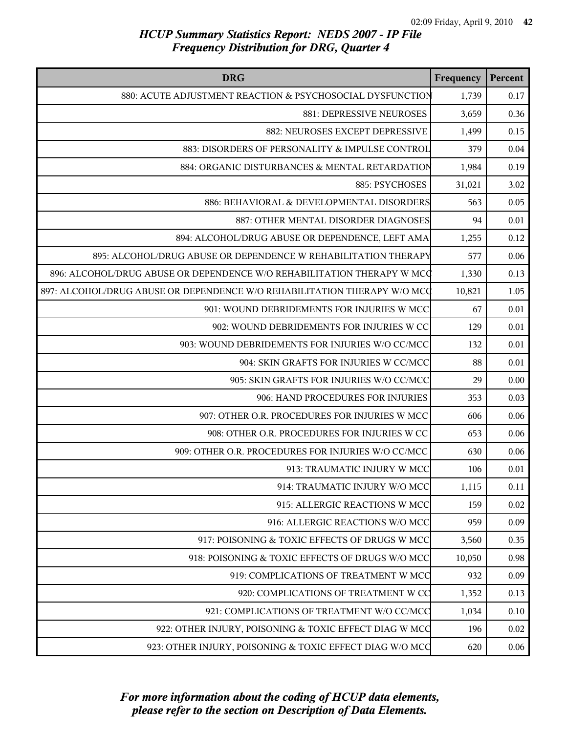| <b>DRG</b>                                                               | Frequency | Percent  |
|--------------------------------------------------------------------------|-----------|----------|
| 880: ACUTE ADJUSTMENT REACTION & PSYCHOSOCIAL DYSFUNCTION                | 1,739     | 0.17     |
| 881: DEPRESSIVE NEUROSES                                                 | 3,659     | 0.36     |
| 882: NEUROSES EXCEPT DEPRESSIVE                                          | 1,499     | 0.15     |
| 883: DISORDERS OF PERSONALITY & IMPULSE CONTROL                          | 379       | 0.04     |
| 884: ORGANIC DISTURBANCES & MENTAL RETARDATION                           | 1,984     | 0.19     |
| 885: PSYCHOSES                                                           | 31,021    | 3.02     |
| 886: BEHAVIORAL & DEVELOPMENTAL DISORDERS                                | 563       | 0.05     |
| 887: OTHER MENTAL DISORDER DIAGNOSES                                     | 94        | 0.01     |
| 894: ALCOHOL/DRUG ABUSE OR DEPENDENCE, LEFT AMA                          | 1,255     | 0.12     |
| 895: ALCOHOL/DRUG ABUSE OR DEPENDENCE W REHABILITATION THERAPY           | 577       | 0.06     |
| 896: ALCOHOL/DRUG ABUSE OR DEPENDENCE W/O REHABILITATION THERAPY W MCC   | 1,330     | 0.13     |
| 897: ALCOHOL/DRUG ABUSE OR DEPENDENCE W/O REHABILITATION THERAPY W/O MCC | 10,821    | 1.05     |
| 901: WOUND DEBRIDEMENTS FOR INJURIES W MCC                               | 67        | 0.01     |
| 902: WOUND DEBRIDEMENTS FOR INJURIES W CC                                | 129       | 0.01     |
| 903: WOUND DEBRIDEMENTS FOR INJURIES W/O CC/MCC                          | 132       | $0.01\,$ |
| 904: SKIN GRAFTS FOR INJURIES W CC/MCC                                   | 88        | $0.01\,$ |
| 905: SKIN GRAFTS FOR INJURIES W/O CC/MCC                                 | 29        | 0.00     |
| 906: HAND PROCEDURES FOR INJURIES                                        | 353       | 0.03     |
| 907: OTHER O.R. PROCEDURES FOR INJURIES W MCC                            | 606       | 0.06     |
| 908: OTHER O.R. PROCEDURES FOR INJURIES W CC                             | 653       | 0.06     |
| 909: OTHER O.R. PROCEDURES FOR INJURIES W/O CC/MCC                       | 630       | 0.06     |
| 913: TRAUMATIC INJURY W MCC                                              | 106       | 0.01     |
| 914: TRAUMATIC INJURY W/O MCC                                            | 1,115     | 0.11     |
| 915: ALLERGIC REACTIONS W MCC                                            | 159       | 0.02     |
| 916: ALLERGIC REACTIONS W/O MCC                                          | 959       | 0.09     |
| 917: POISONING & TOXIC EFFECTS OF DRUGS W MCC                            | 3,560     | 0.35     |
| 918: POISONING & TOXIC EFFECTS OF DRUGS W/O MCC                          | 10,050    | 0.98     |
| 919: COMPLICATIONS OF TREATMENT W MCC                                    | 932       | 0.09     |
| 920: COMPLICATIONS OF TREATMENT W CC                                     | 1,352     | 0.13     |
| 921: COMPLICATIONS OF TREATMENT W/O CC/MCC                               | 1,034     | 0.10     |
| 922: OTHER INJURY, POISONING & TOXIC EFFECT DIAG W MCC                   | 196       | 0.02     |
| 923: OTHER INJURY, POISONING & TOXIC EFFECT DIAG W/O MCC                 | 620       | 0.06     |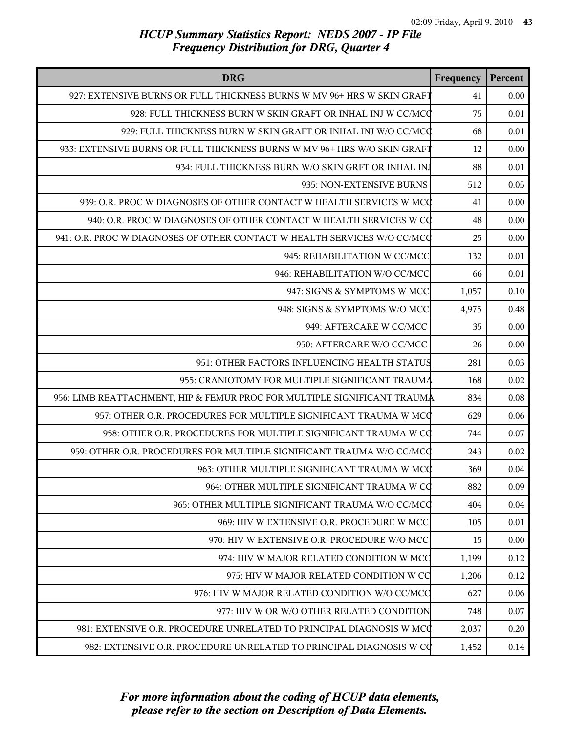| <b>DRG</b>                                                               | Frequency | Percent |
|--------------------------------------------------------------------------|-----------|---------|
| 927: EXTENSIVE BURNS OR FULL THICKNESS BURNS W MV 96+ HRS W SKIN GRAFT   | 41        | 0.00    |
| 928: FULL THICKNESS BURN W SKIN GRAFT OR INHAL INJ W CC/MCQ              | 75        | 0.01    |
| 929: FULL THICKNESS BURN W SKIN GRAFT OR INHAL INJ W/O CC/MCQ            | 68        | 0.01    |
| 933: EXTENSIVE BURNS OR FULL THICKNESS BURNS W MV 96+ HRS W/O SKIN GRAFT | 12        | 0.00    |
| 934: FULL THICKNESS BURN W/O SKIN GRFT OR INHAL INJ                      | 88        | 0.01    |
| 935: NON-EXTENSIVE BURNS                                                 | 512       | 0.05    |
| 939: O.R. PROC W DIAGNOSES OF OTHER CONTACT W HEALTH SERVICES W MCC      | 41        | 0.00    |
| 940: O.R. PROC W DIAGNOSES OF OTHER CONTACT W HEALTH SERVICES W CQ       | 48        | 0.00    |
| 941: O.R. PROC W DIAGNOSES OF OTHER CONTACT W HEALTH SERVICES W/O CC/MCQ | 25        | 0.00    |
| 945: REHABILITATION W CC/MCC                                             | 132       | 0.01    |
| 946: REHABILITATION W/O CC/MCC                                           | 66        | 0.01    |
| 947: SIGNS & SYMPTOMS W MCC                                              | 1,057     | 0.10    |
| 948: SIGNS & SYMPTOMS W/O MCC                                            | 4,975     | 0.48    |
| 949: AFTERCARE W CC/MCC                                                  | 35        | 0.00    |
| 950: AFTERCARE W/O CC/MCC                                                | 26        | 0.00    |
| 951: OTHER FACTORS INFLUENCING HEALTH STATUS                             | 281       | 0.03    |
| 955: CRANIOTOMY FOR MULTIPLE SIGNIFICANT TRAUMA                          | 168       | 0.02    |
| 956: LIMB REATTACHMENT, HIP & FEMUR PROC FOR MULTIPLE SIGNIFICANT TRAUMA | 834       | 0.08    |
| 957: OTHER O.R. PROCEDURES FOR MULTIPLE SIGNIFICANT TRAUMA W MCC         | 629       | 0.06    |
| 958: OTHER O.R. PROCEDURES FOR MULTIPLE SIGNIFICANT TRAUMA W CQ          | 744       | 0.07    |
| 959: OTHER O.R. PROCEDURES FOR MULTIPLE SIGNIFICANT TRAUMA W/O CC/MCQ    | 243       | 0.02    |
| 963: OTHER MULTIPLE SIGNIFICANT TRAUMA W MCC                             | 369       | 0.04    |
| 964: OTHER MULTIPLE SIGNIFICANT TRAUMA W CO                              | 882       | 0.09    |
| 965: OTHER MULTIPLE SIGNIFICANT TRAUMA W/O CC/MCC                        | 404       | 0.04    |
| 969: HIV W EXTENSIVE O.R. PROCEDURE W MCC                                | 105       | 0.01    |
| 970: HIV W EXTENSIVE O.R. PROCEDURE W/O MCC                              | 15        | 0.00    |
| 974: HIV W MAJOR RELATED CONDITION W MCC                                 | 1,199     | 0.12    |
| 975: HIV W MAJOR RELATED CONDITION W CC                                  | 1,206     | 0.12    |
| 976: HIV W MAJOR RELATED CONDITION W/O CC/MCC                            | 627       | 0.06    |
| 977: HIV W OR W/O OTHER RELATED CONDITION                                | 748       | 0.07    |
| 981: EXTENSIVE O.R. PROCEDURE UNRELATED TO PRINCIPAL DIAGNOSIS W MCC     | 2,037     | 0.20    |
| 982: EXTENSIVE O.R. PROCEDURE UNRELATED TO PRINCIPAL DIAGNOSIS W CQ      | 1,452     | 0.14    |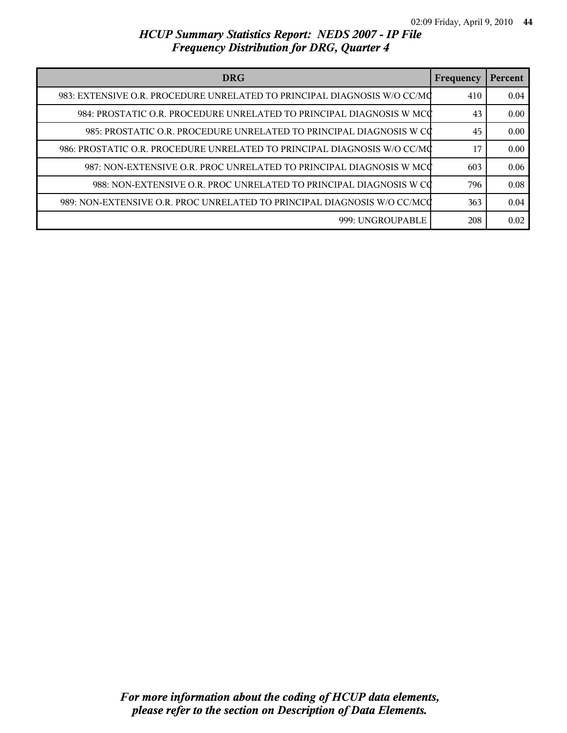| <b>DRG</b>                                                               |     | Percent |
|--------------------------------------------------------------------------|-----|---------|
| 983: EXTENSIVE O.R. PROCEDURE UNRELATED TO PRINCIPAL DIAGNOSIS W/O CC/MC | 410 | 0.04    |
| 984: PROSTATIC O.R. PROCEDURE UNRELATED TO PRINCIPAL DIAGNOSIS W MCC     | 43  | 0.00    |
| 985: PROSTATIC O.R. PROCEDURE UNRELATED TO PRINCIPAL DIAGNOSIS W CO      | 45  | 0.00    |
| 986: PROSTATIC O.R. PROCEDURE UNRELATED TO PRINCIPAL DIAGNOSIS W/O CC/MC | 17  | 0.00    |
| 987: NON-EXTENSIVE O.R. PROC UNRELATED TO PRINCIPAL DIAGNOSIS W MCC      | 603 | 0.06    |
| 988: NON-EXTENSIVE O.R. PROC UNRELATED TO PRINCIPAL DIAGNOSIS W CO       | 796 | 0.08    |
| 989: NON-EXTENSIVE O.R. PROC UNRELATED TO PRINCIPAL DIAGNOSIS W/O CC/MCC | 363 | 0.04    |
| 999: UNGROUPABLE                                                         | 208 | 0.02    |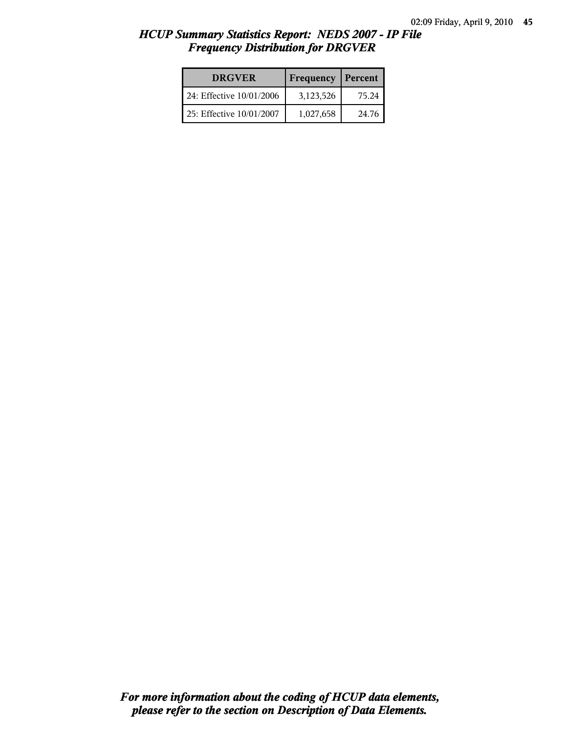| <b>DRGVER</b>            | Frequency | Percent |
|--------------------------|-----------|---------|
| 24: Effective 10/01/2006 | 3,123,526 | 75.24   |
| 25: Effective 10/01/2007 | 1,027,658 | 24.76   |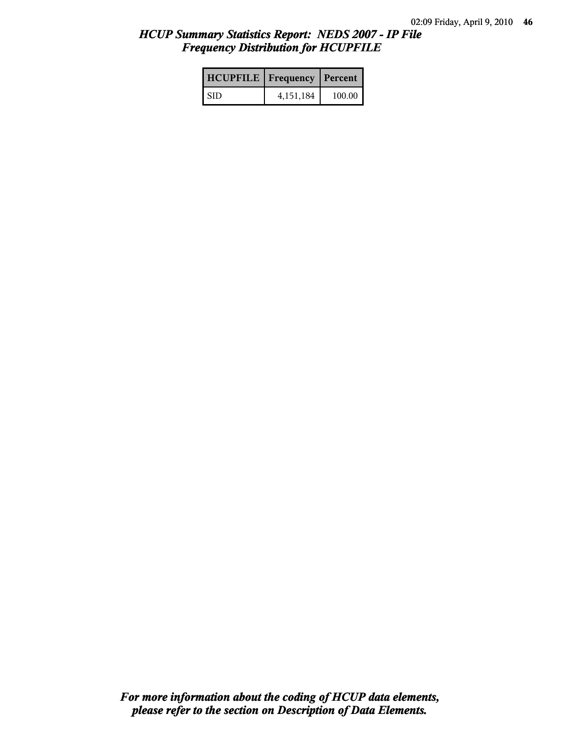| <b>HCUPFILE</b>   Frequency   Percent |             |        |
|---------------------------------------|-------------|--------|
| <b>SID</b>                            | 4, 151, 184 | 100.00 |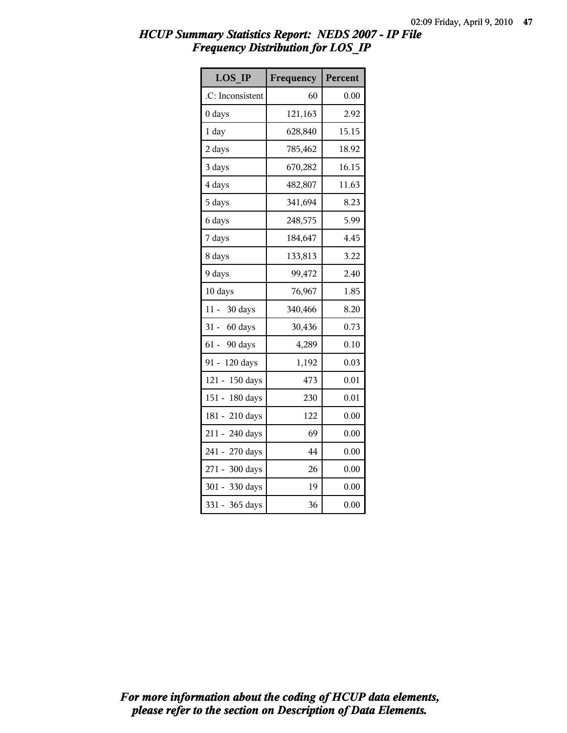| <b>LOS IP</b>       | Frequency | Percent |
|---------------------|-----------|---------|
| .C: Inconsistent    | 60        | 0.00    |
| 0 days              | 121,163   | 2.92    |
| $1$ day             | 628,840   | 15.15   |
| 2 days              | 785,462   | 18.92   |
| 3 days              | 670,282   | 16.15   |
| 4 days              | 482,807   | 11.63   |
| 5 days              | 341,694   | 8.23    |
| 6 days              | 248,575   | 5.99    |
| 7 days              | 184,647   | 4.45    |
| 8 days              | 133,813   | 3.22    |
| 9 days              | 99,472    | 2.40    |
| 10 days             | 76,967    | 1.85    |
| $11 -$<br>30 days   | 340,466   | 8.20    |
| $31 -$<br>60 days   | 30,436    | 0.73    |
| $61 -$<br>90 days   | 4,289     | 0.10    |
| $91 -$<br>120 days  | 1,192     | 0.03    |
| $121 -$<br>150 days | 473       | 0.01    |
| $151 -$<br>180 days | 230       | 0.01    |
| $181 -$<br>210 days | 122       | 0.00    |
| 211 - 240 days      | 69        | 0.00    |
| 241 -<br>270 days   | 44        | 0.00    |
| 271 - 300 days      | 26        | 0.00    |
| 301 - 330 days      | 19        | 0.00    |
| $331 -$<br>365 days | 36        | 0.00    |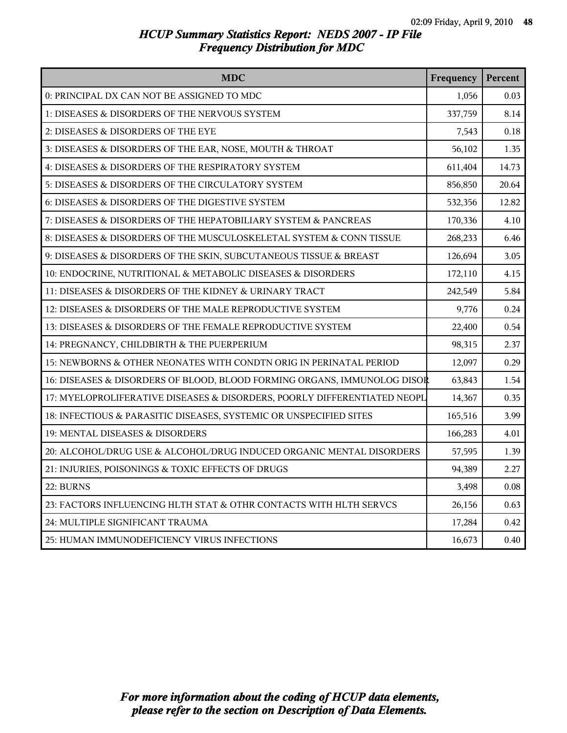| <b>MDC</b>                                                               | Frequency | Percent |
|--------------------------------------------------------------------------|-----------|---------|
| 0: PRINCIPAL DX CAN NOT BE ASSIGNED TO MDC                               | 1,056     | 0.03    |
| 1: DISEASES & DISORDERS OF THE NERVOUS SYSTEM                            | 337,759   | 8.14    |
| 2: DISEASES & DISORDERS OF THE EYE                                       | 7,543     | 0.18    |
| 3: DISEASES & DISORDERS OF THE EAR, NOSE, MOUTH & THROAT                 | 56,102    | 1.35    |
| 4: DISEASES & DISORDERS OF THE RESPIRATORY SYSTEM                        | 611,404   | 14.73   |
| 5: DISEASES & DISORDERS OF THE CIRCULATORY SYSTEM                        | 856,850   | 20.64   |
| 6: DISEASES & DISORDERS OF THE DIGESTIVE SYSTEM                          | 532,356   | 12.82   |
| 7: DISEASES & DISORDERS OF THE HEPATOBILIARY SYSTEM & PANCREAS           | 170,336   | 4.10    |
| 8: DISEASES & DISORDERS OF THE MUSCULOSKELETAL SYSTEM & CONN TISSUE      | 268,233   | 6.46    |
| 9: DISEASES & DISORDERS OF THE SKIN, SUBCUTANEOUS TISSUE & BREAST        | 126,694   | 3.05    |
| 10: ENDOCRINE, NUTRITIONAL & METABOLIC DISEASES & DISORDERS              | 172,110   | 4.15    |
| 11: DISEASES & DISORDERS OF THE KIDNEY & URINARY TRACT                   | 242,549   | 5.84    |
| 12: DISEASES & DISORDERS OF THE MALE REPRODUCTIVE SYSTEM                 | 9,776     | 0.24    |
| 13: DISEASES & DISORDERS OF THE FEMALE REPRODUCTIVE SYSTEM               | 22,400    | 0.54    |
| 14: PREGNANCY, CHILDBIRTH & THE PUERPERIUM                               | 98,315    | 2.37    |
| 15: NEWBORNS & OTHER NEONATES WITH CONDTN ORIG IN PERINATAL PERIOD       | 12,097    | 0.29    |
| 16: DISEASES & DISORDERS OF BLOOD, BLOOD FORMING ORGANS, IMMUNOLOG DISOR | 63,843    | 1.54    |
| 17: MYELOPROLIFERATIVE DISEASES & DISORDERS, POORLY DIFFERENTIATED NEOPL | 14,367    | 0.35    |
| 18: INFECTIOUS & PARASITIC DISEASES, SYSTEMIC OR UNSPECIFIED SITES       | 165,516   | 3.99    |
| 19: MENTAL DISEASES & DISORDERS                                          | 166,283   | 4.01    |
| 20: ALCOHOL/DRUG USE & ALCOHOL/DRUG INDUCED ORGANIC MENTAL DISORDERS     | 57,595    | 1.39    |
| 21: INJURIES, POISONINGS & TOXIC EFFECTS OF DRUGS                        | 94,389    | 2.27    |
| 22: BURNS                                                                | 3,498     | 0.08    |
| 23: FACTORS INFLUENCING HLTH STAT & OTHR CONTACTS WITH HLTH SERVCS       | 26,156    | 0.63    |
| 24: MULTIPLE SIGNIFICANT TRAUMA                                          | 17,284    | 0.42    |
| 25: HUMAN IMMUNODEFICIENCY VIRUS INFECTIONS                              | 16,673    | 0.40    |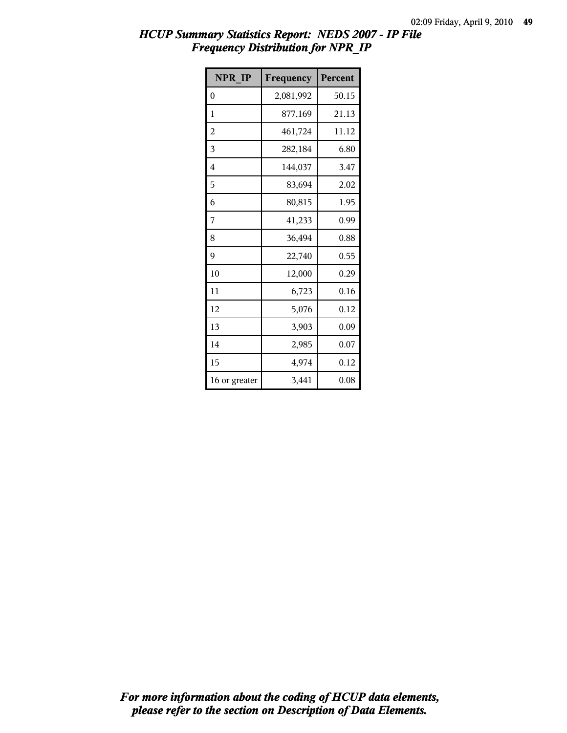| <b>NPR IP</b>           | Frequency | Percent |
|-------------------------|-----------|---------|
| 0                       | 2,081,992 | 50.15   |
| 1                       | 877,169   | 21.13   |
| $\overline{\mathbf{c}}$ | 461,724   | 11.12   |
| 3                       | 282,184   | 6.80    |
| 4                       | 144,037   | 3.47    |
| 5                       | 83,694    | 2.02    |
| 6                       | 80,815    | 1.95    |
| 7                       | 41,233    | 0.99    |
| 8                       | 36,494    | 0.88    |
| 9                       | 22,740    | 0.55    |
| 10                      | 12,000    | 0.29    |
| 11                      | 6,723     | 0.16    |
| 12                      | 5,076     | 0.12    |
| 13                      | 3,903     | 0.09    |
| 14                      | 2,985     | 0.07    |
| 15                      | 4,974     | 0.12    |
| 16 or greater           | 3,441     | 0.08    |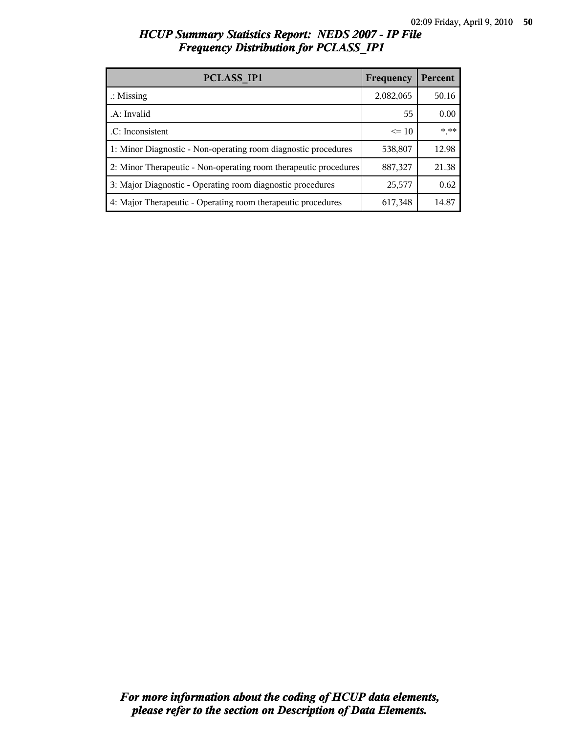| PCLASS IP1                                                       | Frequency | Percent  |
|------------------------------------------------------------------|-----------|----------|
| $\therefore$ Missing                                             | 2,082,065 | 50.16    |
| A: Invalid                                                       | 55        | 0.00     |
| .C: Inconsistent                                                 | $\leq$ 10 | $*$ $**$ |
| 1: Minor Diagnostic - Non-operating room diagnostic procedures   | 538,807   | 12.98    |
| 2: Minor Therapeutic - Non-operating room therapeutic procedures | 887,327   | 21.38    |
| 3: Major Diagnostic - Operating room diagnostic procedures       | 25,577    | 0.62     |
| 4: Major Therapeutic - Operating room therapeutic procedures     | 617,348   | 14.87    |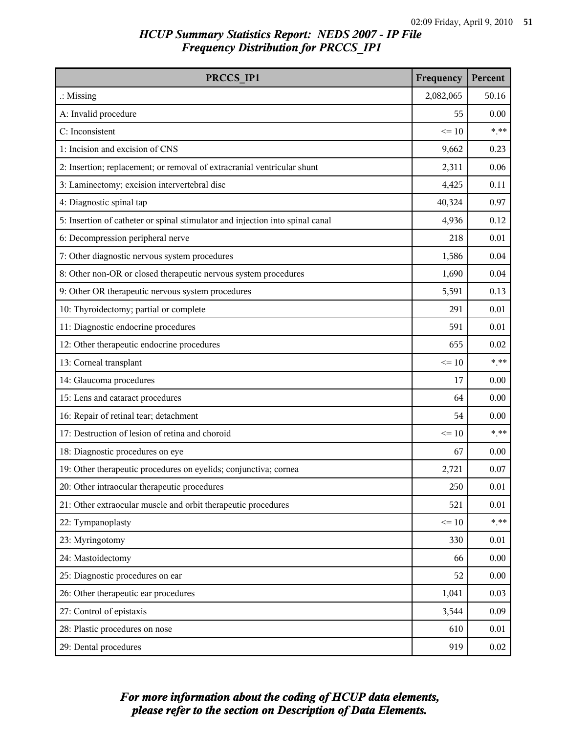| PRCCS IP1                                                                     | Frequency | Percent  |
|-------------------------------------------------------------------------------|-----------|----------|
| $\therefore$ Missing                                                          | 2,082,065 | 50.16    |
| A: Invalid procedure                                                          | 55        | 0.00     |
| C: Inconsistent                                                               | $\leq 10$ | $***$    |
| 1: Incision and excision of CNS                                               | 9,662     | 0.23     |
| 2: Insertion; replacement; or removal of extracranial ventricular shunt       | 2,311     | 0.06     |
| 3: Laminectomy; excision intervertebral disc                                  | 4,425     | 0.11     |
| 4: Diagnostic spinal tap                                                      | 40,324    | 0.97     |
| 5: Insertion of catheter or spinal stimulator and injection into spinal canal | 4,936     | 0.12     |
| 6: Decompression peripheral nerve                                             | 218       | 0.01     |
| 7: Other diagnostic nervous system procedures                                 | 1,586     | 0.04     |
| 8: Other non-OR or closed therapeutic nervous system procedures               | 1,690     | 0.04     |
| 9: Other OR therapeutic nervous system procedures                             | 5,591     | 0.13     |
| 10: Thyroidectomy; partial or complete                                        | 291       | 0.01     |
| 11: Diagnostic endocrine procedures                                           | 591       | 0.01     |
| 12: Other therapeutic endocrine procedures                                    | 655       | 0.02     |
| 13: Corneal transplant                                                        | $\leq 10$ | $***$    |
| 14: Glaucoma procedures                                                       | 17        | 0.00     |
| 15: Lens and cataract procedures                                              | 64        | 0.00     |
| 16: Repair of retinal tear; detachment                                        | 54        | 0.00     |
| 17: Destruction of lesion of retina and choroid                               | $\leq 10$ | $***$    |
| 18: Diagnostic procedures on eye                                              | 67        | 0.00     |
| 19: Other therapeutic procedures on eyelids; conjunctiva; cornea              | 2,721     | 0.07     |
| 20: Other intraocular therapeutic procedures                                  | 250       | 0.01     |
| 21: Other extraocular muscle and orbit therapeutic procedures                 | 521       | 0.01     |
| 22: Tympanoplasty                                                             | $\leq 10$ | $***$    |
| 23: Myringotomy                                                               | 330       | 0.01     |
| 24: Mastoidectomy                                                             | 66        | 0.00     |
| 25: Diagnostic procedures on ear                                              | 52        | 0.00     |
| 26: Other therapeutic ear procedures                                          | 1,041     | 0.03     |
| 27: Control of epistaxis                                                      | 3,544     | 0.09     |
| 28: Plastic procedures on nose                                                | 610       | 0.01     |
| 29: Dental procedures                                                         | 919       | $0.02\,$ |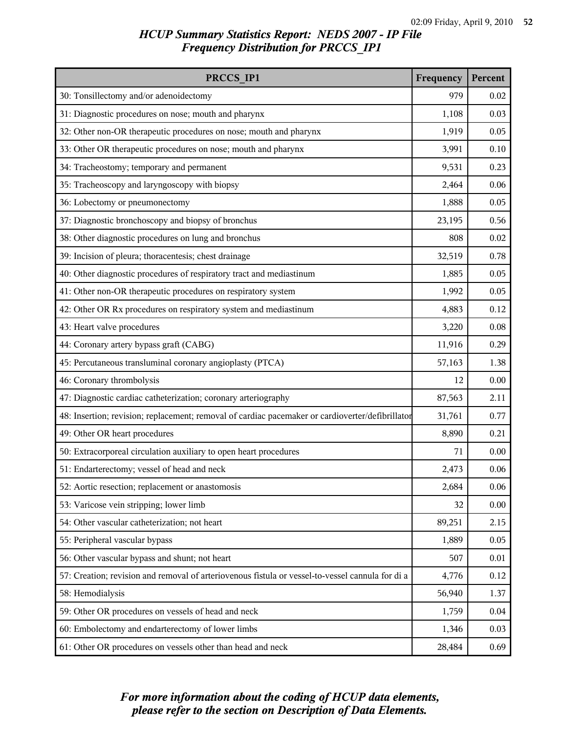| PRCCS IP1                                                                                        | Frequency | Percent |
|--------------------------------------------------------------------------------------------------|-----------|---------|
| 30: Tonsillectomy and/or adenoidectomy                                                           | 979       | 0.02    |
| 31: Diagnostic procedures on nose; mouth and pharynx                                             | 1,108     | 0.03    |
| 32: Other non-OR therapeutic procedures on nose; mouth and pharynx                               | 1,919     | 0.05    |
| 33: Other OR therapeutic procedures on nose; mouth and pharynx                                   | 3,991     | 0.10    |
| 34: Tracheostomy; temporary and permanent                                                        | 9,531     | 0.23    |
| 35: Tracheoscopy and laryngoscopy with biopsy                                                    | 2,464     | 0.06    |
| 36: Lobectomy or pneumonectomy                                                                   | 1,888     | 0.05    |
| 37: Diagnostic bronchoscopy and biopsy of bronchus                                               | 23,195    | 0.56    |
| 38: Other diagnostic procedures on lung and bronchus                                             | 808       | 0.02    |
| 39: Incision of pleura; thoracentesis; chest drainage                                            | 32,519    | 0.78    |
| 40: Other diagnostic procedures of respiratory tract and mediastinum                             | 1,885     | 0.05    |
| 41: Other non-OR therapeutic procedures on respiratory system                                    | 1,992     | 0.05    |
| 42: Other OR Rx procedures on respiratory system and mediastinum                                 | 4,883     | 0.12    |
| 43: Heart valve procedures                                                                       | 3,220     | 0.08    |
| 44: Coronary artery bypass graft (CABG)                                                          | 11,916    | 0.29    |
| 45: Percutaneous transluminal coronary angioplasty (PTCA)                                        | 57,163    | 1.38    |
| 46: Coronary thrombolysis                                                                        | 12        | 0.00    |
| 47: Diagnostic cardiac catheterization; coronary arteriography                                   | 87,563    | 2.11    |
| 48: Insertion; revision; replacement; removal of cardiac pacemaker or cardioverter/defibrillator | 31,761    | 0.77    |
| 49: Other OR heart procedures                                                                    | 8,890     | 0.21    |
| 50: Extracorporeal circulation auxiliary to open heart procedures                                | 71        | 0.00    |
| 51: Endarterectomy; vessel of head and neck                                                      | 2,473     | 0.06    |
| 52: Aortic resection; replacement or anastomosis                                                 | 2,684     | 0.06    |
| 53: Varicose vein stripping; lower limb                                                          | 32        | 0.00    |
| 54: Other vascular catheterization; not heart                                                    | 89,251    | 2.15    |
| 55: Peripheral vascular bypass                                                                   | 1,889     | 0.05    |
| 56: Other vascular bypass and shunt; not heart                                                   | 507       | 0.01    |
| 57: Creation; revision and removal of arteriovenous fistula or vessel-to-vessel cannula for di a | 4,776     | 0.12    |
| 58: Hemodialysis                                                                                 | 56,940    | 1.37    |
| 59: Other OR procedures on vessels of head and neck                                              | 1,759     | 0.04    |
| 60: Embolectomy and endarterectomy of lower limbs                                                | 1,346     | 0.03    |
| 61: Other OR procedures on vessels other than head and neck                                      | 28,484    | 0.69    |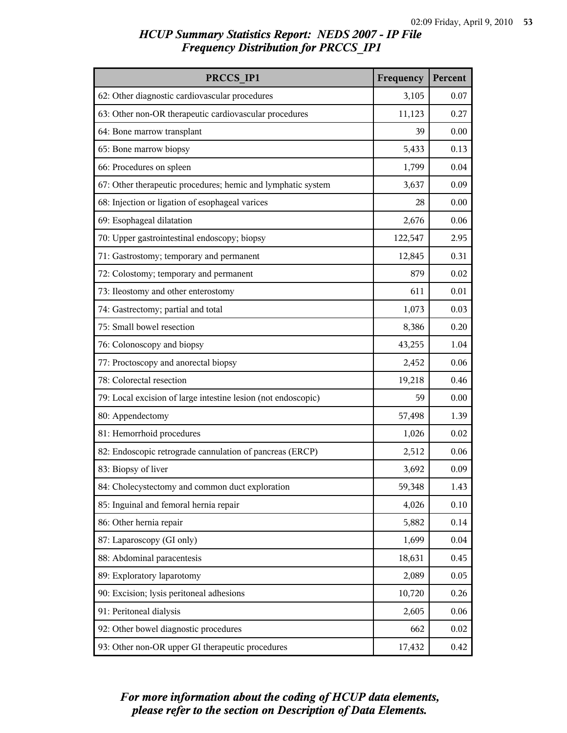| PRCCS IP1                                                     | Frequency | Percent |
|---------------------------------------------------------------|-----------|---------|
| 62: Other diagnostic cardiovascular procedures                | 3,105     | 0.07    |
| 63: Other non-OR therapeutic cardiovascular procedures        | 11,123    | 0.27    |
| 64: Bone marrow transplant                                    | 39        | 0.00    |
| 65: Bone marrow biopsy                                        | 5,433     | 0.13    |
| 66: Procedures on spleen                                      | 1,799     | 0.04    |
| 67: Other therapeutic procedures; hemic and lymphatic system  | 3,637     | 0.09    |
| 68: Injection or ligation of esophageal varices               | 28        | 0.00    |
| 69: Esophageal dilatation                                     | 2,676     | 0.06    |
| 70: Upper gastrointestinal endoscopy; biopsy                  | 122,547   | 2.95    |
| 71: Gastrostomy; temporary and permanent                      | 12,845    | 0.31    |
| 72: Colostomy; temporary and permanent                        | 879       | 0.02    |
| 73: Ileostomy and other enterostomy                           | 611       | 0.01    |
| 74: Gastrectomy; partial and total                            | 1,073     | 0.03    |
| 75: Small bowel resection                                     | 8,386     | 0.20    |
| 76: Colonoscopy and biopsy                                    | 43,255    | 1.04    |
| 77: Proctoscopy and anorectal biopsy                          | 2,452     | 0.06    |
| 78: Colorectal resection                                      | 19,218    | 0.46    |
| 79: Local excision of large intestine lesion (not endoscopic) | 59        | 0.00    |
| 80: Appendectomy                                              | 57,498    | 1.39    |
| 81: Hemorrhoid procedures                                     | 1,026     | 0.02    |
| 82: Endoscopic retrograde cannulation of pancreas (ERCP)      | 2,512     | 0.06    |
| 83: Biopsy of liver                                           | 3,692     | 0.09    |
| 84: Cholecystectomy and common duct exploration               | 59,348    | 1.43    |
| 85: Inguinal and femoral hernia repair                        | 4,026     | 0.10    |
| 86: Other hernia repair                                       | 5,882     | 0.14    |
| 87: Laparoscopy (GI only)                                     | 1,699     | 0.04    |
| 88: Abdominal paracentesis                                    | 18,631    | 0.45    |
| 89: Exploratory laparotomy                                    | 2,089     | 0.05    |
| 90: Excision; lysis peritoneal adhesions                      | 10,720    | 0.26    |
| 91: Peritoneal dialysis                                       | 2,605     | 0.06    |
| 92: Other bowel diagnostic procedures                         | 662       | 0.02    |
| 93: Other non-OR upper GI therapeutic procedures              | 17,432    | 0.42    |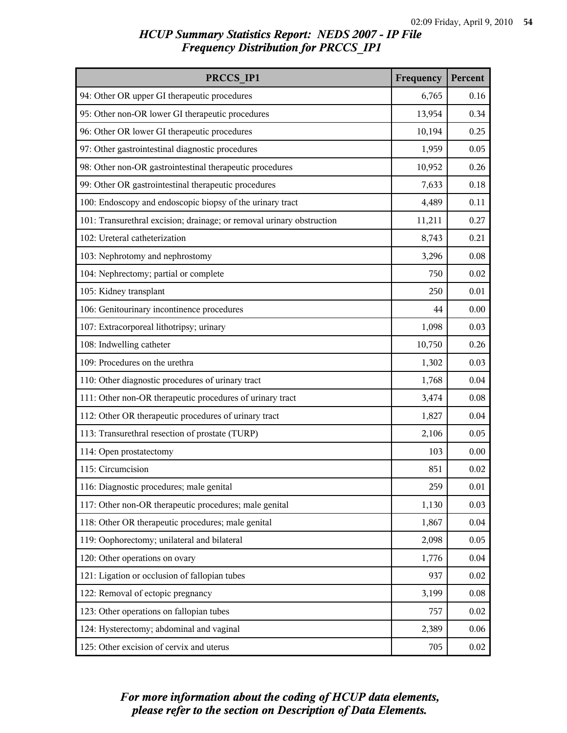| PRCCS IP1                                                             | Frequency | Percent  |
|-----------------------------------------------------------------------|-----------|----------|
| 94: Other OR upper GI therapeutic procedures                          | 6,765     | 0.16     |
| 95: Other non-OR lower GI therapeutic procedures                      | 13,954    | 0.34     |
| 96: Other OR lower GI therapeutic procedures                          | 10,194    | 0.25     |
| 97: Other gastrointestinal diagnostic procedures                      | 1,959     | 0.05     |
| 98: Other non-OR gastrointestinal therapeutic procedures              | 10,952    | 0.26     |
| 99: Other OR gastrointestinal therapeutic procedures                  | 7,633     | 0.18     |
| 100: Endoscopy and endoscopic biopsy of the urinary tract             | 4,489     | 0.11     |
| 101: Transurethral excision; drainage; or removal urinary obstruction | 11,211    | 0.27     |
| 102: Ureteral catheterization                                         | 8,743     | 0.21     |
| 103: Nephrotomy and nephrostomy                                       | 3,296     | 0.08     |
| 104: Nephrectomy; partial or complete                                 | 750       | 0.02     |
| 105: Kidney transplant                                                | 250       | 0.01     |
| 106: Genitourinary incontinence procedures                            | 44        | 0.00     |
| 107: Extracorporeal lithotripsy; urinary                              | 1,098     | 0.03     |
| 108: Indwelling catheter                                              | 10,750    | 0.26     |
| 109: Procedures on the urethra                                        | 1,302     | 0.03     |
| 110: Other diagnostic procedures of urinary tract                     | 1,768     | 0.04     |
| 111: Other non-OR therapeutic procedures of urinary tract             | 3,474     | 0.08     |
| 112: Other OR therapeutic procedures of urinary tract                 | 1,827     | 0.04     |
| 113: Transurethral resection of prostate (TURP)                       | 2,106     | 0.05     |
| 114: Open prostatectomy                                               | 103       | 0.00     |
| 115: Circumcision                                                     | 851       | 0.02     |
| 116: Diagnostic procedures; male genital                              | 259       | $0.01\,$ |
| 117: Other non-OR therapeutic procedures; male genital                | 1,130     | 0.03     |
| 118: Other OR therapeutic procedures; male genital                    | 1,867     | 0.04     |
| 119: Oophorectomy; unilateral and bilateral                           | 2,098     | 0.05     |
| 120: Other operations on ovary                                        | 1,776     | 0.04     |
| 121: Ligation or occlusion of fallopian tubes                         | 937       | 0.02     |
| 122: Removal of ectopic pregnancy                                     | 3,199     | 0.08     |
| 123: Other operations on fallopian tubes                              | 757       | 0.02     |
| 124: Hysterectomy; abdominal and vaginal                              | 2,389     | 0.06     |
| 125: Other excision of cervix and uterus                              | 705       | $0.02\,$ |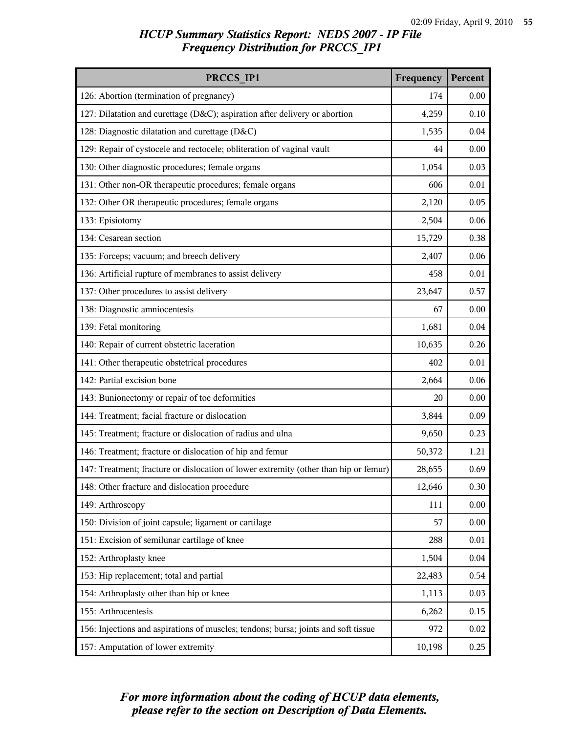| PRCCS IP1                                                                            | Frequency | Percent |
|--------------------------------------------------------------------------------------|-----------|---------|
| 126: Abortion (termination of pregnancy)                                             | 174       | 0.00    |
| 127: Dilatation and curettage (D&C); aspiration after delivery or abortion           | 4,259     | 0.10    |
| 128: Diagnostic dilatation and curettage (D&C)                                       | 1,535     | 0.04    |
| 129: Repair of cystocele and rectocele; obliteration of vaginal vault                | 44        | 0.00    |
| 130: Other diagnostic procedures; female organs                                      | 1,054     | 0.03    |
| 131: Other non-OR therapeutic procedures; female organs                              | 606       | 0.01    |
| 132: Other OR therapeutic procedures; female organs                                  | 2,120     | 0.05    |
| 133: Episiotomy                                                                      | 2,504     | 0.06    |
| 134: Cesarean section                                                                | 15,729    | 0.38    |
| 135: Forceps; vacuum; and breech delivery                                            | 2,407     | 0.06    |
| 136: Artificial rupture of membranes to assist delivery                              | 458       | 0.01    |
| 137: Other procedures to assist delivery                                             | 23,647    | 0.57    |
| 138: Diagnostic amniocentesis                                                        | 67        | 0.00    |
| 139: Fetal monitoring                                                                | 1,681     | 0.04    |
| 140: Repair of current obstetric laceration                                          | 10,635    | 0.26    |
| 141: Other therapeutic obstetrical procedures                                        | 402       | 0.01    |
| 142: Partial excision bone                                                           | 2,664     | 0.06    |
| 143: Bunionectomy or repair of toe deformities                                       | 20        | 0.00    |
| 144: Treatment; facial fracture or dislocation                                       | 3,844     | 0.09    |
| 145: Treatment; fracture or dislocation of radius and ulna                           | 9,650     | 0.23    |
| 146: Treatment; fracture or dislocation of hip and femur                             | 50,372    | 1.21    |
| 147: Treatment; fracture or dislocation of lower extremity (other than hip or femur) | 28,655    | 0.69    |
| 148: Other fracture and dislocation procedure                                        | 12,646    | 0.30    |
| 149: Arthroscopy                                                                     | 111       | 0.00    |
| 150: Division of joint capsule; ligament or cartilage                                | 57        | 0.00    |
| 151: Excision of semilunar cartilage of knee                                         | 288       | 0.01    |
| 152: Arthroplasty knee                                                               | 1,504     | 0.04    |
| 153: Hip replacement; total and partial                                              | 22,483    | 0.54    |
| 154: Arthroplasty other than hip or knee                                             | 1,113     | 0.03    |
| 155: Arthrocentesis                                                                  | 6,262     | 0.15    |
| 156: Injections and aspirations of muscles; tendons; bursa; joints and soft tissue   | 972       | 0.02    |
| 157: Amputation of lower extremity                                                   | 10,198    | 0.25    |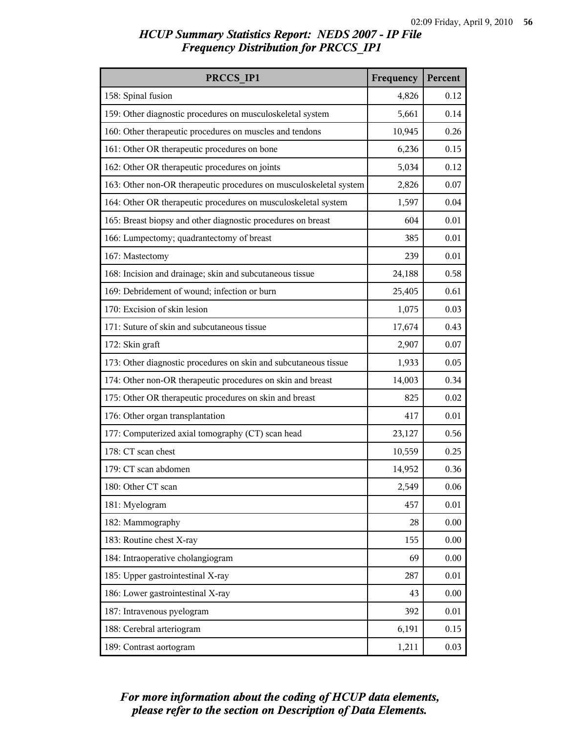| PRCCS IP1                                                          | Frequency | Percent |
|--------------------------------------------------------------------|-----------|---------|
| 158: Spinal fusion                                                 | 4,826     | 0.12    |
| 159: Other diagnostic procedures on musculoskeletal system         | 5,661     | 0.14    |
| 160: Other therapeutic procedures on muscles and tendons           | 10,945    | 0.26    |
| 161: Other OR therapeutic procedures on bone                       | 6,236     | 0.15    |
| 162: Other OR therapeutic procedures on joints                     | 5,034     | 0.12    |
| 163: Other non-OR therapeutic procedures on musculoskeletal system | 2,826     | 0.07    |
| 164: Other OR therapeutic procedures on musculoskeletal system     | 1,597     | 0.04    |
| 165: Breast biopsy and other diagnostic procedures on breast       | 604       | 0.01    |
| 166: Lumpectomy; quadrantectomy of breast                          | 385       | 0.01    |
| 167: Mastectomy                                                    | 239       | 0.01    |
| 168: Incision and drainage; skin and subcutaneous tissue           | 24,188    | 0.58    |
| 169: Debridement of wound; infection or burn                       | 25,405    | 0.61    |
| 170: Excision of skin lesion                                       | 1,075     | 0.03    |
| 171: Suture of skin and subcutaneous tissue                        | 17,674    | 0.43    |
| 172: Skin graft                                                    | 2,907     | 0.07    |
| 173: Other diagnostic procedures on skin and subcutaneous tissue   | 1,933     | 0.05    |
| 174: Other non-OR therapeutic procedures on skin and breast        | 14,003    | 0.34    |
| 175: Other OR therapeutic procedures on skin and breast            | 825       | 0.02    |
| 176: Other organ transplantation                                   | 417       | 0.01    |
| 177: Computerized axial tomography (CT) scan head                  | 23,127    | 0.56    |
| 178: CT scan chest                                                 | 10,559    | 0.25    |
| 179: CT scan abdomen                                               | 14,952    | 0.36    |
| 180: Other CT scan                                                 | 2,549     | 0.06    |
| 181: Myelogram                                                     | 457       | 0.01    |
| 182: Mammography                                                   | 28        | 0.00    |
| 183: Routine chest X-ray                                           | 155       | 0.00    |
| 184: Intraoperative cholangiogram                                  | 69        | 0.00    |
| 185: Upper gastrointestinal X-ray                                  | 287       | 0.01    |
| 186: Lower gastrointestinal X-ray                                  | 43        | 0.00    |
| 187: Intravenous pyelogram                                         | 392       | 0.01    |
| 188: Cerebral arteriogram                                          | 6,191     | 0.15    |
| 189: Contrast aortogram                                            | 1,211     | 0.03    |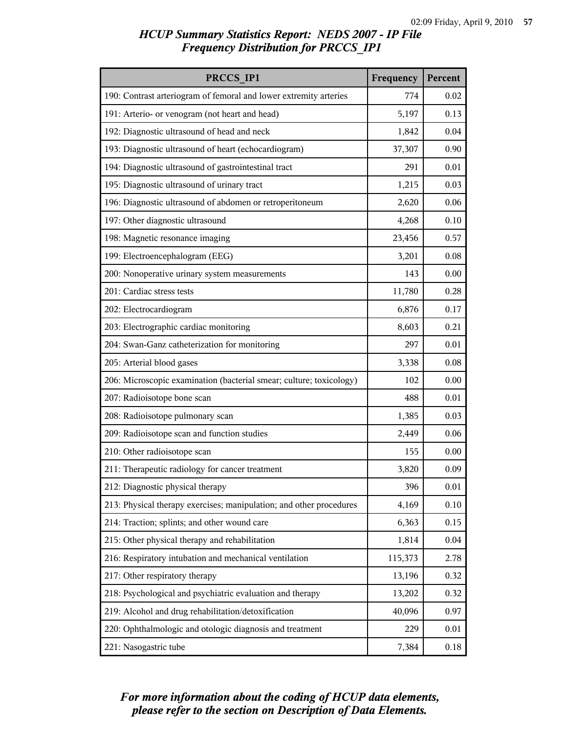| PRCCS IP1                                                           | Frequency | Percent  |
|---------------------------------------------------------------------|-----------|----------|
| 190: Contrast arteriogram of femoral and lower extremity arteries   | 774       | 0.02     |
| 191: Arterio- or venogram (not heart and head)                      | 5,197     | 0.13     |
| 192: Diagnostic ultrasound of head and neck                         | 1,842     | 0.04     |
| 193: Diagnostic ultrasound of heart (echocardiogram)                | 37,307    | 0.90     |
| 194: Diagnostic ultrasound of gastrointestinal tract                | 291       | 0.01     |
| 195: Diagnostic ultrasound of urinary tract                         | 1,215     | 0.03     |
| 196: Diagnostic ultrasound of abdomen or retroperitoneum            | 2,620     | 0.06     |
| 197: Other diagnostic ultrasound                                    | 4,268     | 0.10     |
| 198: Magnetic resonance imaging                                     | 23,456    | 0.57     |
| 199: Electroencephalogram (EEG)                                     | 3,201     | 0.08     |
| 200: Nonoperative urinary system measurements                       | 143       | 0.00     |
| 201: Cardiac stress tests                                           | 11,780    | 0.28     |
| 202: Electrocardiogram                                              | 6,876     | 0.17     |
| 203: Electrographic cardiac monitoring                              | 8,603     | 0.21     |
| 204: Swan-Ganz catheterization for monitoring                       | 297       | 0.01     |
| 205: Arterial blood gases                                           | 3,338     | 0.08     |
| 206: Microscopic examination (bacterial smear; culture; toxicology) | 102       | 0.00     |
| 207: Radioisotope bone scan                                         | 488       | 0.01     |
| 208: Radioisotope pulmonary scan                                    | 1,385     | 0.03     |
| 209: Radioisotope scan and function studies                         | 2,449     | 0.06     |
| 210: Other radioisotope scan                                        | 155       | 0.00     |
| 211: Therapeutic radiology for cancer treatment                     | 3,820     | 0.09     |
| 212: Diagnostic physical therapy                                    | 396       | 0.01     |
| 213: Physical therapy exercises; manipulation; and other procedures | 4,169     | 0.10     |
| 214: Traction; splints; and other wound care                        | 6,363     | 0.15     |
| 215: Other physical therapy and rehabilitation                      | 1,814     | 0.04     |
| 216: Respiratory intubation and mechanical ventilation              | 115,373   | 2.78     |
| 217: Other respiratory therapy                                      | 13,196    | 0.32     |
| 218: Psychological and psychiatric evaluation and therapy           | 13,202    | 0.32     |
| 219: Alcohol and drug rehabilitation/detoxification                 | 40,096    | 0.97     |
| 220: Ophthalmologic and otologic diagnosis and treatment            | 229       | 0.01     |
| 221: Nasogastric tube                                               | 7,384     | $0.18\,$ |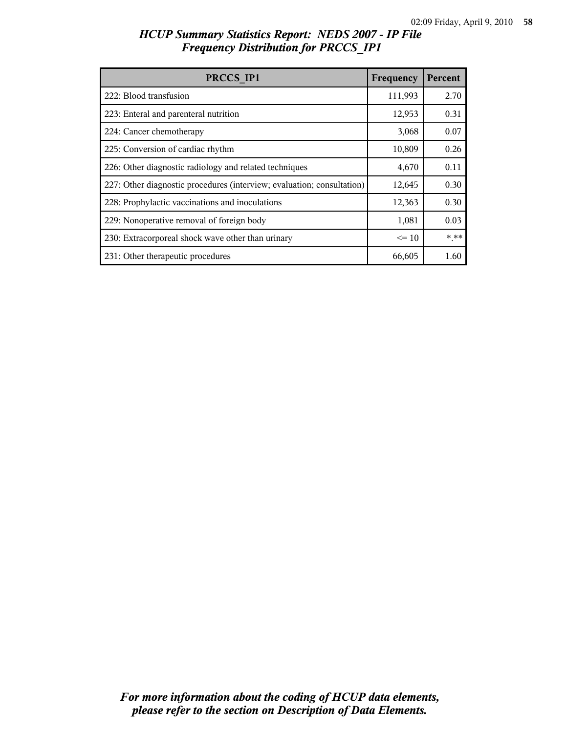| PRCCS IP1                                                              | Frequency | Percent |
|------------------------------------------------------------------------|-----------|---------|
| 222: Blood transfusion                                                 | 111,993   | 2.70    |
| 223: Enteral and parenteral nutrition                                  | 12,953    | 0.31    |
| 224: Cancer chemotherapy                                               | 3,068     | 0.07    |
| 225: Conversion of cardiac rhythm                                      | 10,809    | 0.26    |
| 226: Other diagnostic radiology and related techniques                 | 4,670     | 0.11    |
| 227: Other diagnostic procedures (interview; evaluation; consultation) | 12,645    | 0.30    |
| 228: Prophylactic vaccinations and inoculations                        | 12,363    | 0.30    |
| 229: Nonoperative removal of foreign body                              | 1,081     | 0.03    |
| 230: Extracorporeal shock wave other than urinary                      | $\leq 10$ | $***$   |
| 231: Other therapeutic procedures                                      | 66,605    | 1.60    |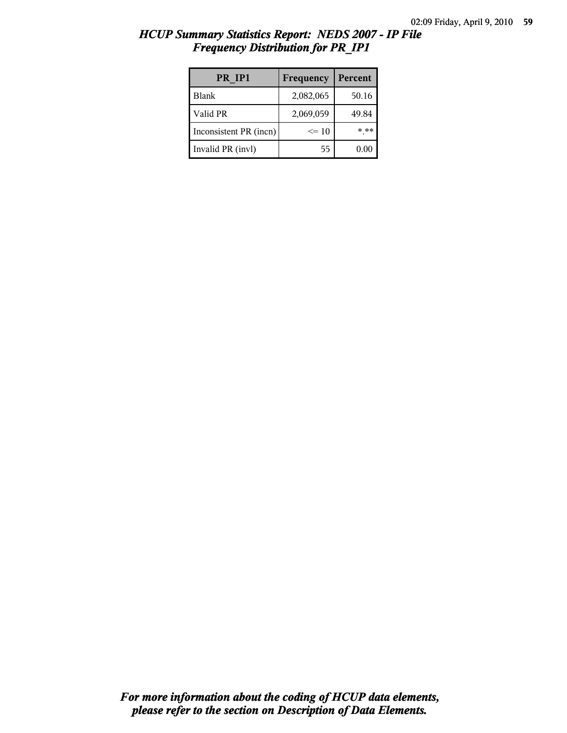| PR IP1                 | Frequency | Percent |
|------------------------|-----------|---------|
| <b>Blank</b>           | 2,082,065 | 50.16   |
| Valid PR               | 2,069,059 | 49.84   |
| Inconsistent PR (incn) | $\leq$ 10 | * **    |
| Invalid PR (invl)      | 55        | 0.00    |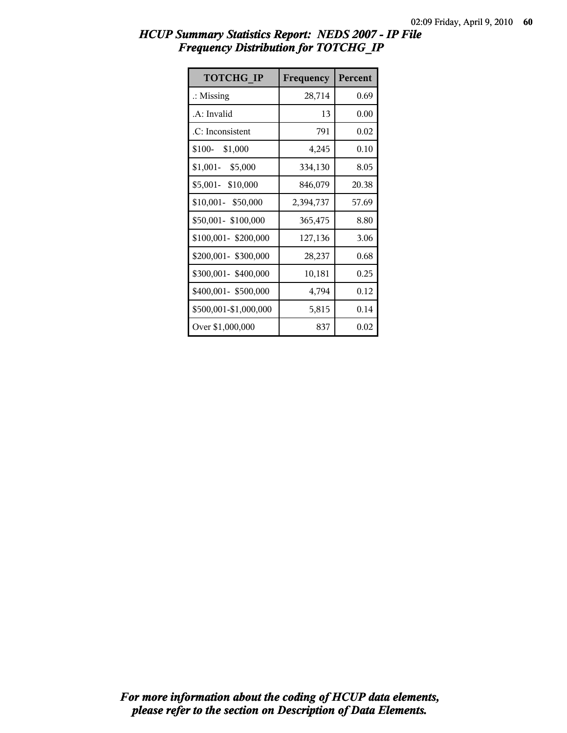| <b>TOTCHG IP</b>      | Frequency | Percent |
|-----------------------|-----------|---------|
| $\therefore$ Missing  | 28,714    | 0.69    |
| .A: Invalid           | 13        | 0.00    |
| .C: Inconsistent      | 791       | 0.02    |
| \$100-<br>\$1,000     | 4,245     | 0.10    |
| $$1,001 - $5,000$     | 334,130   | 8.05    |
| \$5,001- \$10,000     | 846,079   | 20.38   |
| \$10,001- \$50,000    | 2,394,737 | 57.69   |
| \$50,001-\$100,000    | 365,475   | 8.80    |
| \$100,001-\$200,000   | 127,136   | 3.06    |
| \$200,001- \$300,000  | 28,237    | 0.68    |
| \$300,001-\$400,000   | 10,181    | 0.25    |
| \$400,001- \$500,000  | 4,794     | 0.12    |
| \$500,001-\$1,000,000 | 5,815     | 0.14    |
| Over \$1,000,000      | 837       | 0.02    |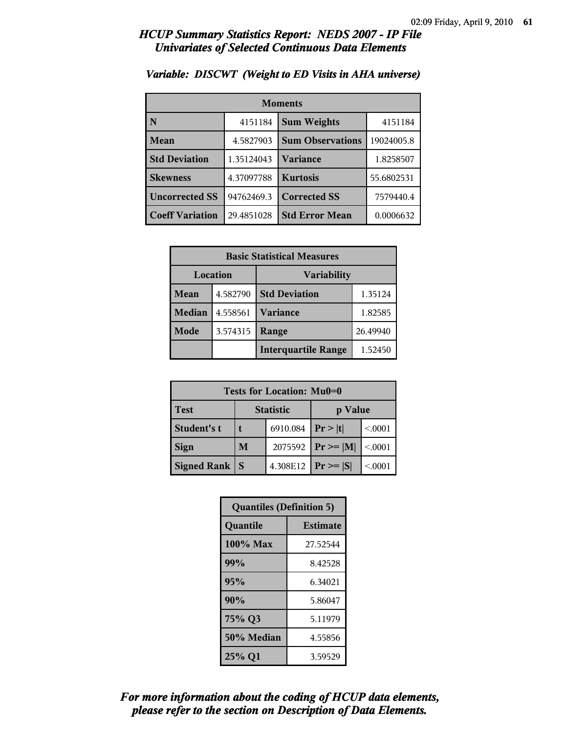| <b>Moments</b>         |            |                         |            |
|------------------------|------------|-------------------------|------------|
| N                      | 4151184    | <b>Sum Weights</b>      | 4151184    |
| Mean                   | 4.5827903  | <b>Sum Observations</b> | 19024005.8 |
| <b>Std Deviation</b>   | 1.35124043 | Variance                | 1.8258507  |
| <b>Skewness</b>        | 4.37097788 | <b>Kurtosis</b>         | 55.6802531 |
| <b>Uncorrected SS</b>  | 94762469.3 | <b>Corrected SS</b>     | 7579440.4  |
| <b>Coeff Variation</b> | 29.4851028 | <b>Std Error Mean</b>   | 0.0006632  |

### *Variable: DISCWT (Weight to ED Visits in AHA universe)*

| <b>Basic Statistical Measures</b> |          |                                 |          |
|-----------------------------------|----------|---------------------------------|----------|
| Location<br><b>Variability</b>    |          |                                 |          |
| Mean                              | 4.582790 | <b>Std Deviation</b><br>1.35124 |          |
| <b>Median</b>                     | 4.558561 | <b>Variance</b>                 | 1.82585  |
| Mode                              | 3.574315 | Range                           | 26.49940 |
|                                   |          | <b>Interquartile Range</b>      | 1.52450  |

| Tests for Location: Mu0=0 |                             |          |               |         |  |
|---------------------------|-----------------------------|----------|---------------|---------|--|
| Test                      | <b>Statistic</b><br>p Value |          |               |         |  |
| Student's t               |                             | 6910.084 | Pr >  t       | < 0.001 |  |
| <b>Sign</b>               | M<br>2075592                |          | $Pr \geq  M $ | < 0001  |  |
| <b>Signed Rank</b>        | S                           | 4.308E12 | $ Pr \ge  S $ | < 0.001 |  |

| <b>Quantiles (Definition 5)</b> |                 |  |
|---------------------------------|-----------------|--|
| Quantile                        | <b>Estimate</b> |  |
| 100% Max                        | 27.52544        |  |
| 99%                             | 8.42528         |  |
| 95%<br>6.34021                  |                 |  |
| 90%<br>5.86047                  |                 |  |
| 75% Q3<br>5.11979               |                 |  |
| 50% Median<br>4.55856           |                 |  |
| 25% Q1<br>3.59529               |                 |  |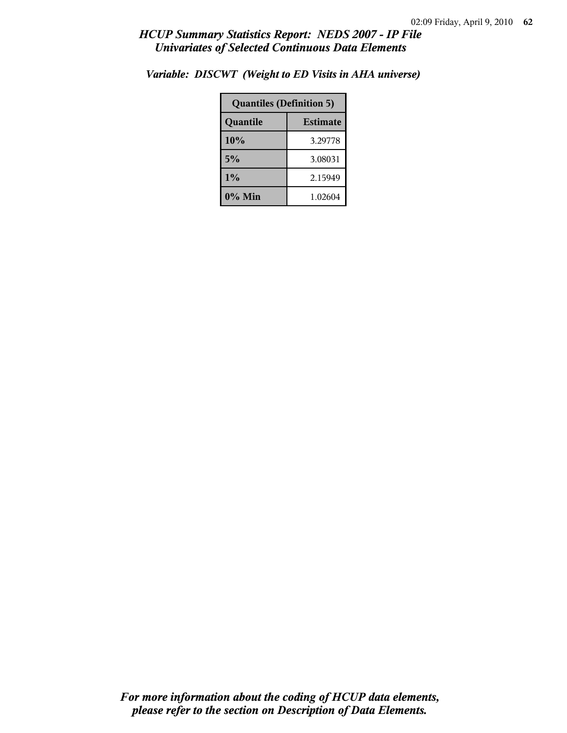| <b>Quantiles (Definition 5)</b> |         |  |
|---------------------------------|---------|--|
| <b>Estimate</b><br>Quantile     |         |  |
| 10%<br>3.29778                  |         |  |
| 5%<br>3.08031                   |         |  |
| 1%<br>2.15949                   |         |  |
| 0% Min                          | 1.02604 |  |

*Variable: DISCWT (Weight to ED Visits in AHA universe)*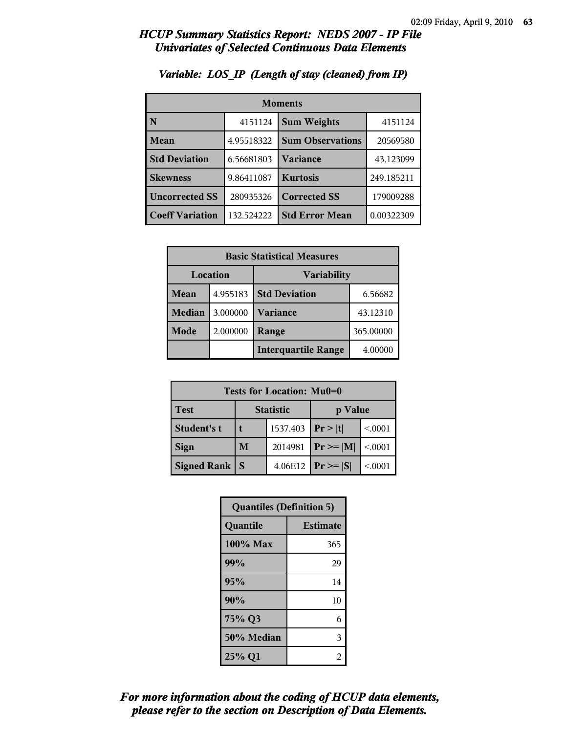| <b>Moments</b>         |            |                         |            |
|------------------------|------------|-------------------------|------------|
| N                      | 4151124    | <b>Sum Weights</b>      | 4151124    |
| Mean                   | 4.95518322 | <b>Sum Observations</b> | 20569580   |
| <b>Std Deviation</b>   | 6.56681803 | Variance                | 43.123099  |
| <b>Skewness</b>        | 9.86411087 | <b>Kurtosis</b>         | 249.185211 |
| <b>Uncorrected SS</b>  | 280935326  | <b>Corrected SS</b>     | 179009288  |
| <b>Coeff Variation</b> | 132.524222 | <b>Std Error Mean</b>   | 0.00322309 |

### *Variable: LOS\_IP (Length of stay (cleaned) from IP)*

| <b>Basic Statistical Measures</b> |          |                            |           |  |
|-----------------------------------|----------|----------------------------|-----------|--|
| Location<br><b>Variability</b>    |          |                            |           |  |
| Mean                              | 4.955183 | <b>Std Deviation</b>       | 6.56682   |  |
| Median                            | 3.000000 | <b>Variance</b>            | 43.12310  |  |
| Mode                              | 2.000000 | Range                      | 365.00000 |  |
|                                   |          | <b>Interquartile Range</b> | 4.00000   |  |

| Tests for Location: Mu0=0 |                             |          |               |         |  |
|---------------------------|-----------------------------|----------|---------------|---------|--|
| <b>Test</b>               | <b>Statistic</b><br>p Value |          |               |         |  |
| Student's t               | t                           | 1537.403 | Pr >  t       | < 0001  |  |
| <b>Sign</b>               | 2014981<br>M                |          | $Pr \ge  M $  | < 0.001 |  |
| <b>Signed Rank</b>        | S                           | 4.06E12  | $Pr \geq  S $ | < 0001  |  |

| <b>Quantiles (Definition 5)</b> |                 |  |
|---------------------------------|-----------------|--|
| Quantile                        | <b>Estimate</b> |  |
| $100\%$ Max                     | 365             |  |
| 99%                             | 29              |  |
| 95%                             |                 |  |
| 90%                             | 10              |  |
| 75% Q3<br>6                     |                 |  |
| 50% Median                      | 3               |  |
| 25% Q1<br>2                     |                 |  |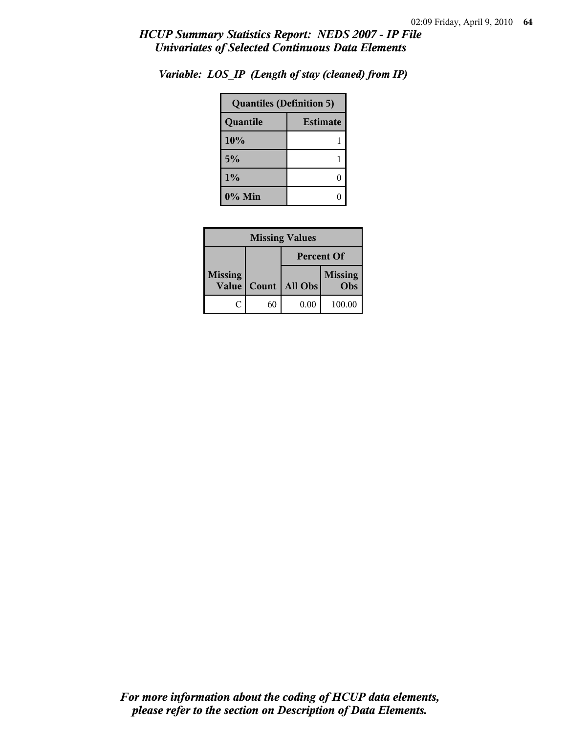| <b>Quantiles (Definition 5)</b> |  |  |
|---------------------------------|--|--|
| <b>Estimate</b><br>Quantile     |  |  |
| 10%                             |  |  |
| 5%                              |  |  |
| 1%                              |  |  |
| 0% Min                          |  |  |

*Variable: LOS\_IP (Length of stay (cleaned) from IP)*

| <b>Missing Values</b>          |       |                   |                       |  |
|--------------------------------|-------|-------------------|-----------------------|--|
|                                |       | <b>Percent Of</b> |                       |  |
| <b>Missing</b><br><b>Value</b> | Count | All Obs           | <b>Missing</b><br>Obs |  |
| ſ.                             | 60    | 0.00              | 100.00                |  |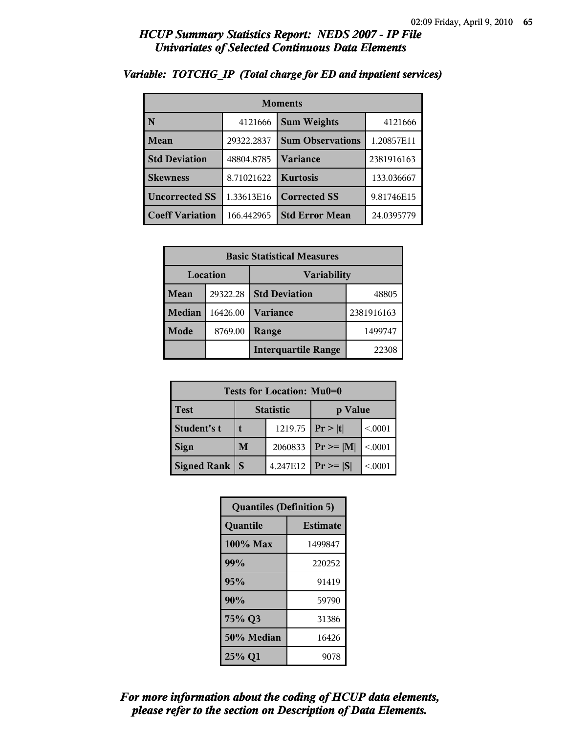| <b>Moments</b>         |            |                         |            |
|------------------------|------------|-------------------------|------------|
| N                      | 4121666    | <b>Sum Weights</b>      | 4121666    |
| Mean                   | 29322.2837 | <b>Sum Observations</b> | 1.20857E11 |
| <b>Std Deviation</b>   | 48804.8785 | Variance                | 2381916163 |
| <b>Skewness</b>        | 8.71021622 | <b>Kurtosis</b>         | 133.036667 |
| <b>Uncorrected SS</b>  | 1.33613E16 | <b>Corrected SS</b>     | 9.81746E15 |
| <b>Coeff Variation</b> | 166.442965 | <b>Std Error Mean</b>   | 24.0395779 |

### *Variable: TOTCHG\_IP (Total charge for ED and inpatient services)*

| <b>Basic Statistical Measures</b> |          |                            |            |
|-----------------------------------|----------|----------------------------|------------|
| Location                          |          | <b>Variability</b>         |            |
| Mean                              | 29322.28 | <b>Std Deviation</b>       | 48805      |
| <b>Median</b>                     | 16426.00 | <b>Variance</b>            | 2381916163 |
| Mode                              | 8769.00  | Range                      | 1499747    |
|                                   |          | <b>Interquartile Range</b> | 22308      |

| Tests for Location: Mu0=0 |                  |                   |               |         |
|---------------------------|------------------|-------------------|---------------|---------|
| <b>Test</b>               | <b>Statistic</b> |                   | p Value       |         |
| Student's t               |                  | 1219.75 $ Pr> t $ |               | < 0001  |
| <b>Sign</b>               | M                | 2060833           | $Pr \geq  M $ | < 0.001 |
| <b>Signed Rank</b>        | <sup>S</sup>     | 4.247E12          | $ Pr \ge  S $ | < 0.001 |

| <b>Quantiles (Definition 5)</b> |                 |  |
|---------------------------------|-----------------|--|
| Quantile                        | <b>Estimate</b> |  |
| 100% Max                        | 1499847         |  |
| 99%                             | 220252          |  |
| 95%                             | 91419           |  |
| 90%                             | 59790           |  |
| 75% Q3                          | 31386           |  |
| 50% Median                      | 16426           |  |
| 25% Q1                          | 9078            |  |